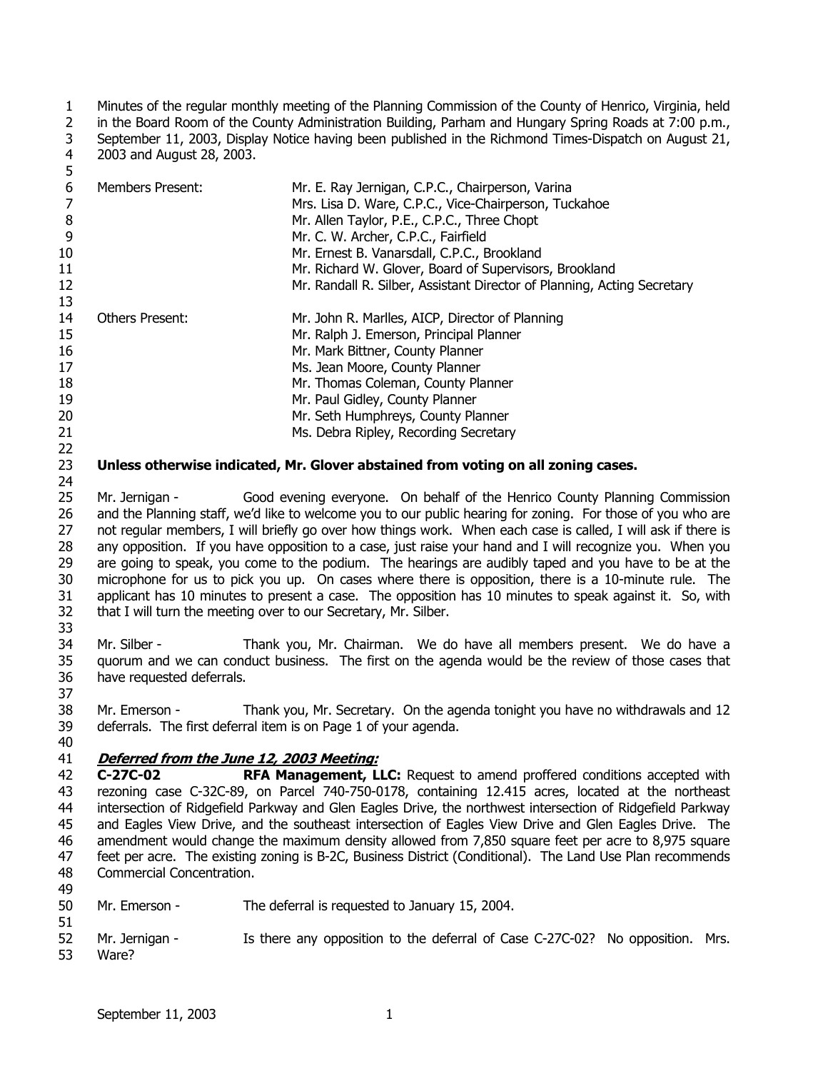1 2 3 4 Minutes of the regular monthly meeting of the Planning Commission of the County of Henrico, Virginia, held in the Board Room of the County Administration Building, Parham and Hungary Spring Roads at 7:00 p.m., September 11, 2003, Display Notice having been published in the Richmond Times-Dispatch on August 21, 2003 and August 28, 2003.

| 6  | <b>Members Present:</b> | Mr. E. Ray Jernigan, C.P.C., Chairperson, Varina                        |
|----|-------------------------|-------------------------------------------------------------------------|
|    |                         | Mrs. Lisa D. Ware, C.P.C., Vice-Chairperson, Tuckahoe                   |
| 8  |                         | Mr. Allen Taylor, P.E., C.P.C., Three Chopt                             |
| 9  |                         | Mr. C. W. Archer, C.P.C., Fairfield                                     |
| 10 |                         | Mr. Ernest B. Vanarsdall, C.P.C., Brookland                             |
| 11 |                         | Mr. Richard W. Glover, Board of Supervisors, Brookland                  |
| 12 |                         | Mr. Randall R. Silber, Assistant Director of Planning, Acting Secretary |
| 13 |                         |                                                                         |
| 14 | <b>Others Present:</b>  | Mr. John R. Marlles, AICP, Director of Planning                         |
| 15 |                         | Mr. Ralph J. Emerson, Principal Planner                                 |
| 16 |                         | Mr. Mark Bittner, County Planner                                        |
| 17 |                         | Ms. Jean Moore, County Planner                                          |
| 18 |                         | Mr. Thomas Coleman, County Planner                                      |
| 19 |                         | Mr. Paul Gidley, County Planner                                         |
| 20 |                         | Mr. Seth Humphreys, County Planner                                      |
| 21 |                         | Ms. Debra Ripley, Recording Secretary                                   |
| 22 |                         |                                                                         |

23 **Unless otherwise indicated, Mr. Glover abstained from voting on all zoning cases.**

25 26 27 28 29 30 31 32 33 Mr. Jernigan - Good evening everyone. On behalf of the Henrico County Planning Commission and the Planning staff, we'd like to welcome you to our public hearing for zoning. For those of you who are not regular members, I will briefly go over how things work. When each case is called, I will ask if there is any opposition. If you have opposition to a case, just raise your hand and I will recognize you. When you are going to speak, you come to the podium. The hearings are audibly taped and you have to be at the microphone for us to pick you up. On cases where there is opposition, there is a 10-minute rule. The applicant has 10 minutes to present a case. The opposition has 10 minutes to speak against it. So, with that I will turn the meeting over to our Secretary, Mr. Silber.

34 35 36 37 Mr. Silber - Thank you, Mr. Chairman. We do have all members present. We do have a quorum and we can conduct business. The first on the agenda would be the review of those cases that have requested deferrals.

38 39 Mr. Emerson - Thank you, Mr. Secretary. On the agenda tonight you have no withdrawals and 12 deferrals. The first deferral item is on Page 1 of your agenda.

40

24

5

## 41 **Deferred from the June 12, 2003 Meeting:**

42 43 44 45 46 47 48 49 **C-27C-02 RFA Management, LLC:** Request to amend proffered conditions accepted with rezoning case C-32C-89, on Parcel 740-750-0178, containing 12.415 acres, located at the northeast intersection of Ridgefield Parkway and Glen Eagles Drive, the northwest intersection of Ridgefield Parkway and Eagles View Drive, and the southeast intersection of Eagles View Drive and Glen Eagles Drive. The amendment would change the maximum density allowed from 7,850 square feet per acre to 8,975 square feet per acre. The existing zoning is B-2C, Business District (Conditional). The Land Use Plan recommends Commercial Concentration.

- 50 Mr. Emerson - The deferral is requested to January 15, 2004.
- 51 52 53 Mr. Jernigan - Is there any opposition to the deferral of Case C-27C-02? No opposition. Mrs. Ware?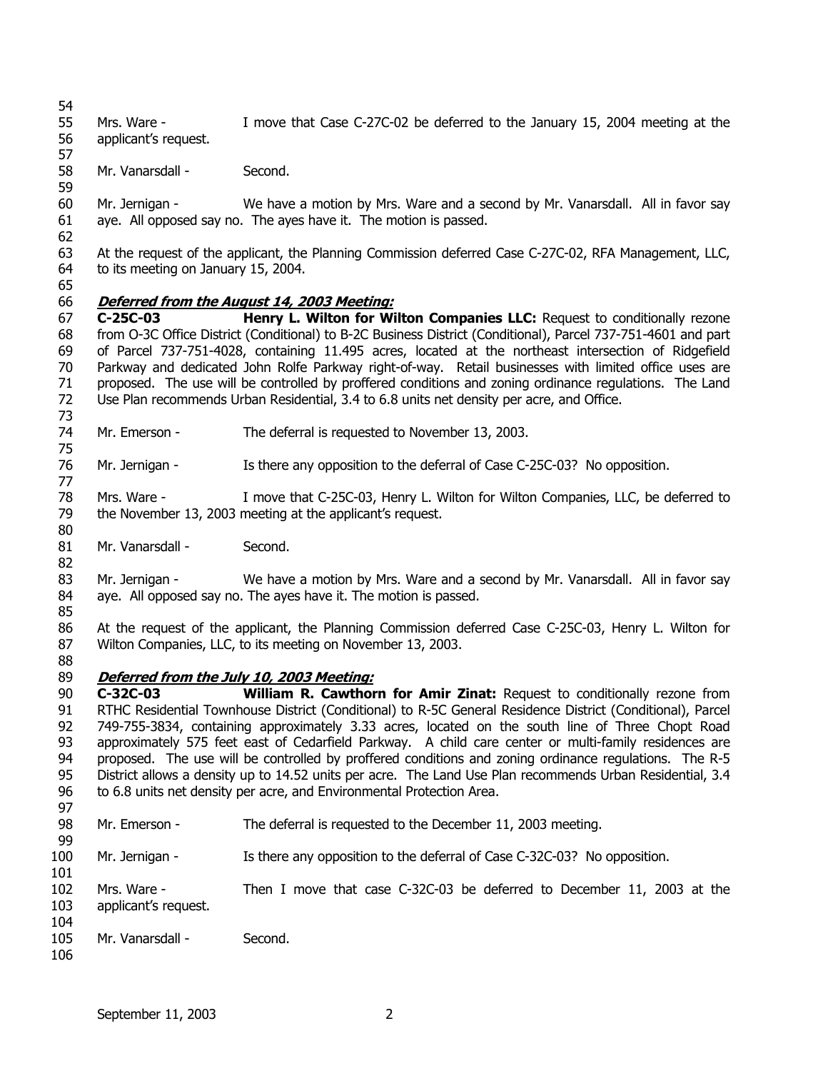Mrs. Ware - I move that Case C-27C-02 be deferred to the January 15, 2004 meeting at the applicant's request.

 Mr. Vanarsdall - Second.

 Mr. Jernigan - We have a motion by Mrs. Ware and a second by Mr. Vanarsdall. All in favor say aye. All opposed say no. The ayes have it. The motion is passed.

 At the request of the applicant, the Planning Commission deferred Case C-27C-02, RFA Management, LLC, to its meeting on January 15, 2004.

## **Deferred from the August 14, 2003 Meeting:**

 **C-25C-03 Henry L. Wilton for Wilton Companies LLC:** Request to conditionally rezone from O-3C Office District (Conditional) to B-2C Business District (Conditional), Parcel 737-751-4601 and part of Parcel 737-751-4028, containing 11.495 acres, located at the northeast intersection of Ridgefield Parkway and dedicated John Rolfe Parkway right-of-way. Retail businesses with limited office uses are proposed. The use will be controlled by proffered conditions and zoning ordinance regulations. The Land Use Plan recommends Urban Residential, 3.4 to 6.8 units net density per acre, and Office.

 Mr. Emerson - The deferral is requested to November 13, 2003.

 Mr. Jernigan - Is there any opposition to the deferral of Case C-25C-03? No opposition.

 Mrs. Ware - I move that C-25C-03, Henry L. Wilton for Wilton Companies, LLC, be deferred to the November 13, 2003 meeting at the applicant's request.

 Mr. Vanarsdall - Second.

 Mr. Jernigan - We have a motion by Mrs. Ware and a second by Mr. Vanarsdall. All in favor say aye. All opposed say no. The ayes have it. The motion is passed.

 At the request of the applicant, the Planning Commission deferred Case C-25C-03, Henry L. Wilton for Wilton Companies, LLC, to its meeting on November 13, 2003.

#### **Deferred from the July 10, 2003 Meeting:**

 **C-32C-03 William R. Cawthorn for Amir Zinat:** Request to conditionally rezone from RTHC Residential Townhouse District (Conditional) to R-5C General Residence District (Conditional), Parcel 749-755-3834, containing approximately 3.33 acres, located on the south line of Three Chopt Road approximately 575 feet east of Cedarfield Parkway. A child care center or multi-family residences are proposed. The use will be controlled by proffered conditions and zoning ordinance regulations. The R-5 District allows a density up to 14.52 units per acre. The Land Use Plan recommends Urban Residential, 3.4 to 6.8 units net density per acre, and Environmental Protection Area.

- Mr. Emerson - The deferral is requested to the December 11, 2003 meeting.
- Mr. Jernigan - Is there any opposition to the deferral of Case C-32C-03? No opposition.
- Mrs. Ware - Then I move that case C-32C-03 be deferred to December 11, 2003 at the applicant's request.
- Mr. Vanarsdall - Second.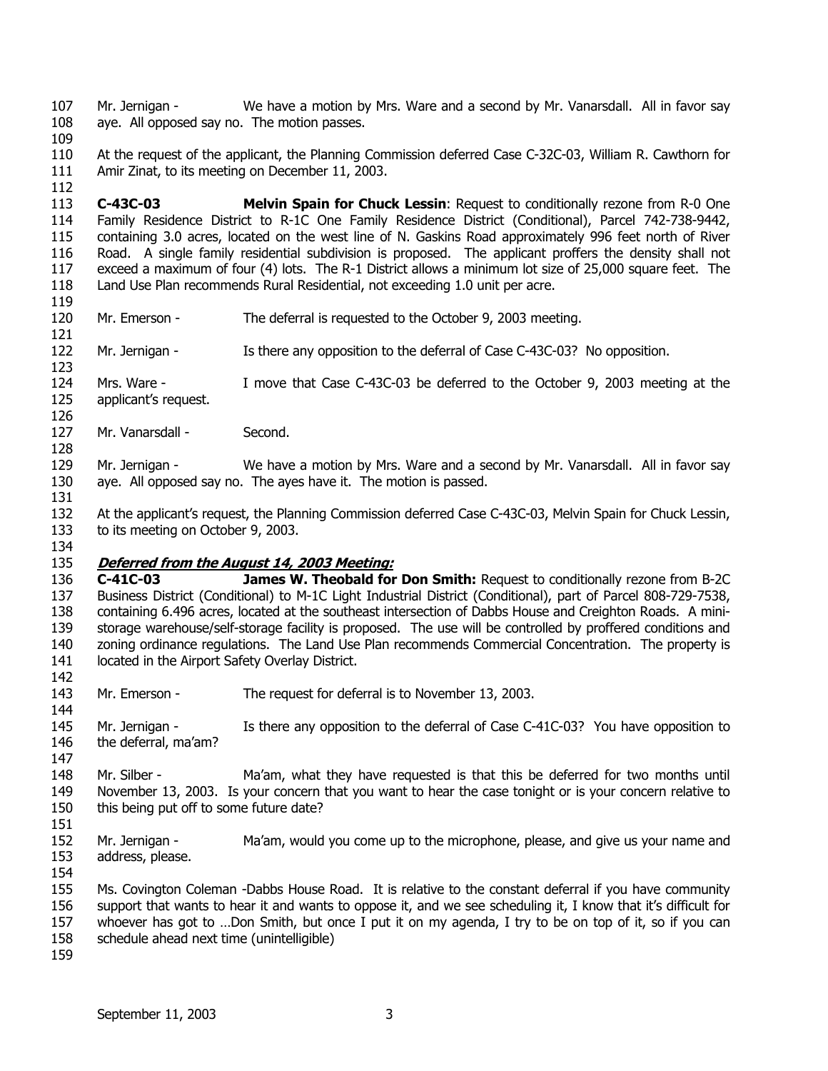107 108 Mr. Jernigan - We have a motion by Mrs. Ware and a second by Mr. Vanarsdall. All in favor say aye. All opposed say no. The motion passes.

109

112

110 111 At the request of the applicant, the Planning Commission deferred Case C-32C-03, William R. Cawthorn for Amir Zinat, to its meeting on December 11, 2003.

113 114 115 116 117 118 **C-43C-03 Melvin Spain for Chuck Lessin**: Request to conditionally rezone from R-0 One Family Residence District to R-1C One Family Residence District (Conditional), Parcel 742-738-9442, containing 3.0 acres, located on the west line of N. Gaskins Road approximately 996 feet north of River Road. A single family residential subdivision is proposed. The applicant proffers the density shall not exceed a maximum of four (4) lots. The R-1 District allows a minimum lot size of 25,000 square feet. The Land Use Plan recommends Rural Residential, not exceeding 1.0 unit per acre.

- 119 120
	- Mr. Emerson The deferral is requested to the October 9, 2003 meeting.
- 121 122 Mr. Jernigan - Is there any opposition to the deferral of Case C-43C-03? No opposition.
- 123 124 125 Mrs. Ware - I move that Case C-43C-03 be deferred to the October 9, 2003 meeting at the applicant's request.
- 126 127 Mr. Vanarsdall - Second.
- 129 130 Mr. Jernigan - We have a motion by Mrs. Ware and a second by Mr. Vanarsdall. All in favor say aye. All opposed say no. The ayes have it. The motion is passed.
- 131 132 133 At the applicant's request, the Planning Commission deferred Case C-43C-03, Melvin Spain for Chuck Lessin, to its meeting on October 9, 2003.
- 134

144

147

151

128

#### 135 **Deferred from the August 14, 2003 Meeting:**

136 137 138 139 140 141 142 **C-41C-03 James W. Theobald for Don Smith:** Request to conditionally rezone from B-2C Business District (Conditional) to M-1C Light Industrial District (Conditional), part of Parcel 808-729-7538, containing 6.496 acres, located at the southeast intersection of Dabbs House and Creighton Roads. A ministorage warehouse/self-storage facility is proposed. The use will be controlled by proffered conditions and zoning ordinance regulations. The Land Use Plan recommends Commercial Concentration. The property is located in the Airport Safety Overlay District.

- 143 Mr. Emerson - The request for deferral is to November 13, 2003.
- 145 146 Mr. Jernigan - Is there any opposition to the deferral of Case C-41C-03? You have opposition to the deferral, ma'am?
- 148 149 150 Mr. Silber - Ma'am, what they have requested is that this be deferred for two months until November 13, 2003. Is your concern that you want to hear the case tonight or is your concern relative to this being put off to some future date?
- 152 153 Mr. Jernigan - Ma'am, would you come up to the microphone, please, and give us your name and address, please.
- 154 155 156 157 Ms. Covington Coleman -Dabbs House Road. It is relative to the constant deferral if you have community support that wants to hear it and wants to oppose it, and we see scheduling it, I know that it's difficult for whoever has got to ...Don Smith, but once I put it on my agenda, I try to be on top of it, so if you can
- 158 schedule ahead next time (unintelligible)
- 159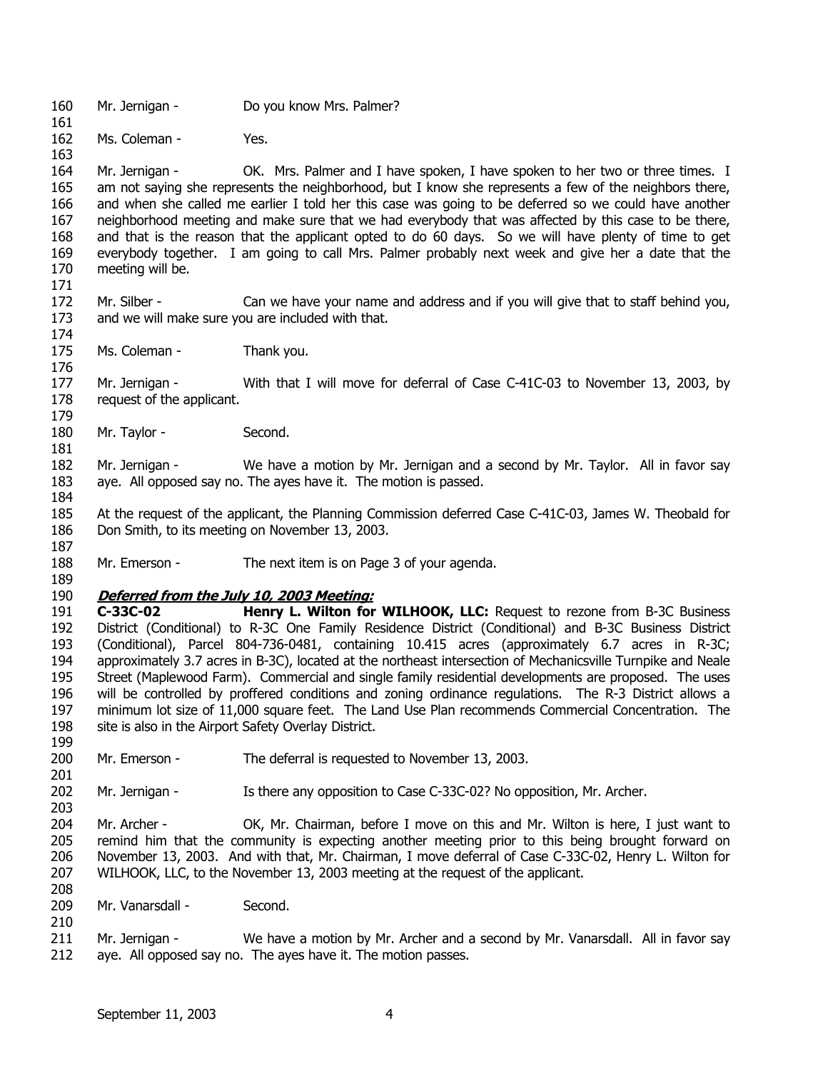- 160 Mr. Jernigan - Do you know Mrs. Palmer?
- 162 Ms. Coleman - Yes.

163 164 165 166 167 168 169 170 Mr. Jernigan - CK. Mrs. Palmer and I have spoken, I have spoken to her two or three times. I am not saying she represents the neighborhood, but I know she represents a few of the neighbors there, and when she called me earlier I told her this case was going to be deferred so we could have another neighborhood meeting and make sure that we had everybody that was affected by this case to be there, and that is the reason that the applicant opted to do 60 days. So we will have plenty of time to get everybody together. I am going to call Mrs. Palmer probably next week and give her a date that the meeting will be.

- 172 173 Mr. Silber - Can we have your name and address and if you will give that to staff behind you, and we will make sure you are included with that.
- 174 175 176 Ms. Coleman - Thank you.

177 178 179 Mr. Jernigan - With that I will move for deferral of Case C-41C-03 to November 13, 2003, by request of the applicant.

- 180 Mr. Taylor - Second.
- 182 183 Mr. Jernigan - We have a motion by Mr. Jernigan and a second by Mr. Taylor. All in favor say aye. All opposed say no. The ayes have it. The motion is passed.
- 184 185 186 At the request of the applicant, the Planning Commission deferred Case C-41C-03, James W. Theobald for Don Smith, to its meeting on November 13, 2003.
- 187

181

161

171

- 188 Mr. Emerson - The next item is on Page 3 of your agenda.
- 189

199

201

203

208

210

#### 190 **Deferred from the July 10, 2003 Meeting:**

191 192 193 194 195 196 197 198 **C-33C-02 Henry L. Wilton for WILHOOK, LLC:** Request to rezone from B-3C Business District (Conditional) to R-3C One Family Residence District (Conditional) and B-3C Business District (Conditional), Parcel 804-736-0481, containing 10.415 acres (approximately 6.7 acres in R-3C; approximately 3.7 acres in B-3C), located at the northeast intersection of Mechanicsville Turnpike and Neale Street (Maplewood Farm). Commercial and single family residential developments are proposed. The uses will be controlled by proffered conditions and zoning ordinance regulations. The R-3 District allows a minimum lot size of 11,000 square feet. The Land Use Plan recommends Commercial Concentration. The site is also in the Airport Safety Overlay District.

- 200 Mr. Emerson - The deferral is requested to November 13, 2003.
- 202 Mr. Jernigan - Is there any opposition to Case C-33C-02? No opposition, Mr. Archer.

204 205 206 207 Mr. Archer - OK, Mr. Chairman, before I move on this and Mr. Wilton is here, I just want to remind him that the community is expecting another meeting prior to this being brought forward on November 13, 2003. And with that, Mr. Chairman, I move deferral of Case C-33C-02, Henry L. Wilton for WILHOOK, LLC, to the November 13, 2003 meeting at the request of the applicant.

- 209 Mr. Vanarsdall - Second.
- 211 212 Mr. Jernigan - We have a motion by Mr. Archer and a second by Mr. Vanarsdall. All in favor say aye. All opposed say no. The ayes have it. The motion passes.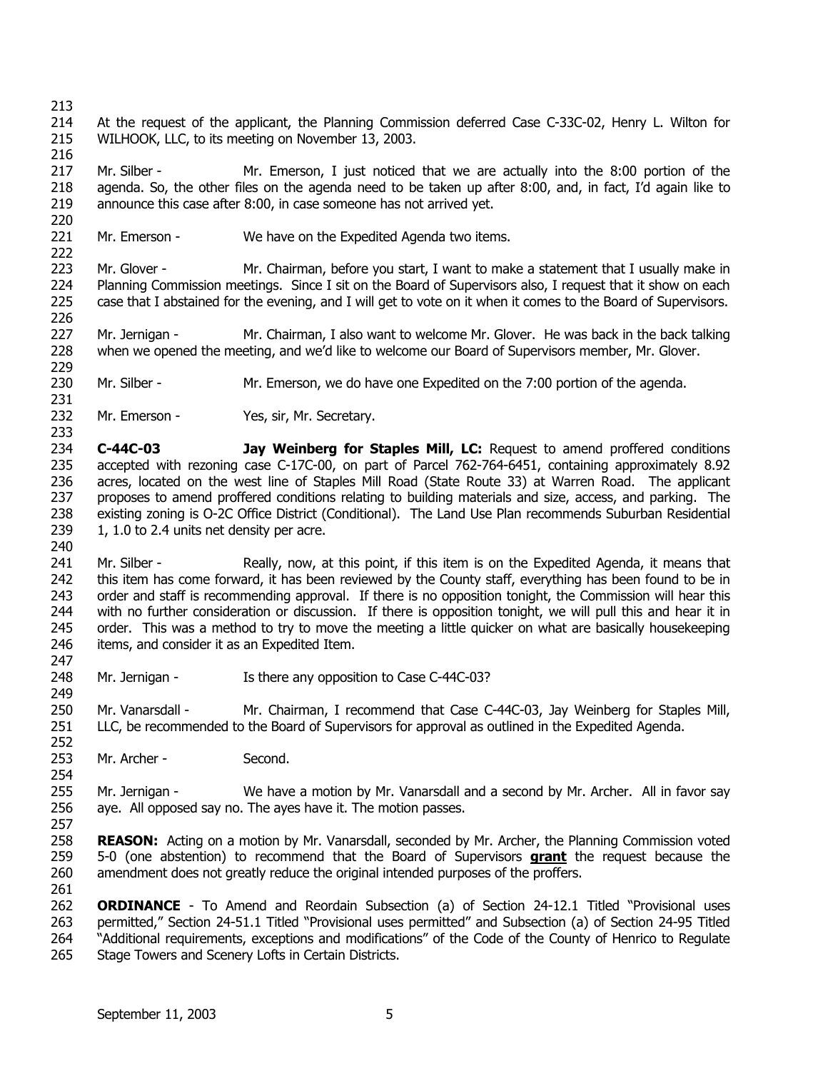222

226

231

214 215 At the request of the applicant, the Planning Commission deferred Case C-33C-02, Henry L. Wilton for WILHOOK, LLC, to its meeting on November 13, 2003.

216 217 218 219 220 Mr. Silber - Mr. Emerson, I just noticed that we are actually into the 8:00 portion of the agenda. So, the other files on the agenda need to be taken up after 8:00, and, in fact, I'd again like to announce this case after 8:00, in case someone has not arrived yet.

221 Mr. Emerson - We have on the Expedited Agenda two items.

223 224 225 Mr. Glover - Mr. Chairman, before you start, I want to make a statement that I usually make in Planning Commission meetings. Since I sit on the Board of Supervisors also, I request that it show on each case that I abstained for the evening, and I will get to vote on it when it comes to the Board of Supervisors.

227 228 229 Mr. Jernigan - Mr. Chairman, I also want to welcome Mr. Glover. He was back in the back talking when we opened the meeting, and we'd like to welcome our Board of Supervisors member, Mr. Glover.

- 230 Mr. Silber - Mr. Emerson, we do have one Expedited on the 7:00 portion of the agenda.
- 232 233 Mr. Emerson - Yes, sir, Mr. Secretary.
- 234 235 236 237 238 239 **C-44C-03 Jay Weinberg for Staples Mill, LC:** Request to amend proffered conditions accepted with rezoning case C-17C-00, on part of Parcel 762-764-6451, containing approximately 8.92 acres, located on the west line of Staples Mill Road (State Route 33) at Warren Road. The applicant proposes to amend proffered conditions relating to building materials and size, access, and parking. The existing zoning is O-2C Office District (Conditional). The Land Use Plan recommends Suburban Residential 1, 1.0 to 2.4 units net density per acre.
- 240

249

252

257

241 242 243 244 245 246 247 Mr. Silber - Really, now, at this point, if this item is on the Expedited Agenda, it means that this item has come forward, it has been reviewed by the County staff, everything has been found to be in order and staff is recommending approval. If there is no opposition tonight, the Commission will hear this with no further consideration or discussion. If there is opposition tonight, we will pull this and hear it in order. This was a method to try to move the meeting a little quicker on what are basically housekeeping items, and consider it as an Expedited Item.

248 Mr. Jernigan - Is there any opposition to Case C-44C-03?

250 251 Mr. Vanarsdall - Mr. Chairman, I recommend that Case C-44C-03, Jay Weinberg for Staples Mill, LLC, be recommended to the Board of Supervisors for approval as outlined in the Expedited Agenda.

253 Mr. Archer - Second.

254 255 256 Mr. Jernigan - We have a motion by Mr. Vanarsdall and a second by Mr. Archer. All in favor say aye. All opposed say no. The ayes have it. The motion passes.

258 **REASON:** Acting on a motion by Mr. Vanarsdall, seconded by Mr. Archer, the Planning Commission voted 5-0 (one abstention) to recommend that the Board of Supervisors **grant** the request because the amendment does not greatly reduce the original intended purposes of the proffers. 259 260 261

262 263 264 265 **ORDINANCE** - To Amend and Reordain Subsection (a) of Section 24-12.1 Titled "Provisional uses permitted," Section 24-51.1 Titled "Provisional uses permitted" and Subsection (a) of Section 24-95 Titled "Additional requirements, exceptions and modifications" of the Code of the County of Henrico to Regulate Stage Towers and Scenery Lofts in Certain Districts.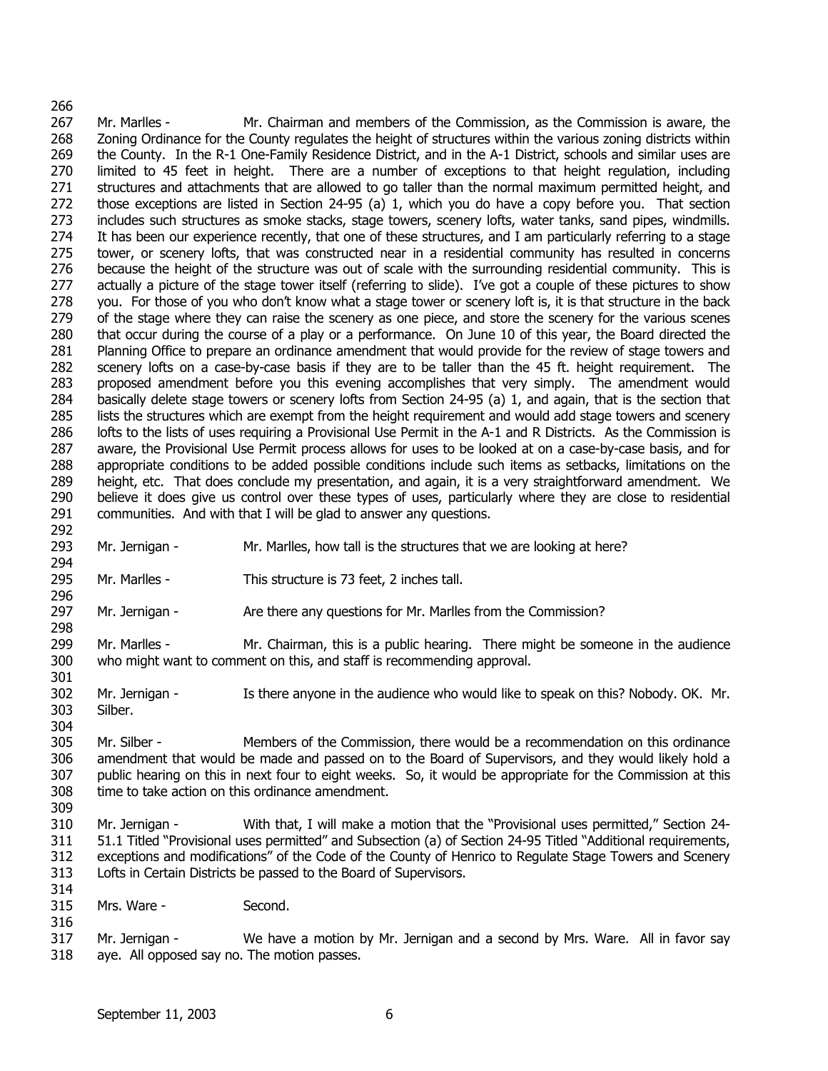#### 266 267 268 269 270 271 272 273 274 275 276 277 278 279 280 281 282 283 284 285 286 287 288 289 290 291 292 Mr. Marlles - Mr. Chairman and members of the Commission, as the Commission is aware, the Zoning Ordinance for the County regulates the height of structures within the various zoning districts within the County. In the R-1 One-Family Residence District, and in the A-1 District, schools and similar uses are limited to 45 feet in height. There are a number of exceptions to that height regulation, including structures and attachments that are allowed to go taller than the normal maximum permitted height, and those exceptions are listed in Section 24-95 (a) 1, which you do have a copy before you. That section includes such structures as smoke stacks, stage towers, scenery lofts, water tanks, sand pipes, windmills. It has been our experience recently, that one of these structures, and I am particularly referring to a stage tower, or scenery lofts, that was constructed near in a residential community has resulted in concerns because the height of the structure was out of scale with the surrounding residential community. This is actually a picture of the stage tower itself (referring to slide). I've got a couple of these pictures to show you. For those of you who don't know what a stage tower or scenery loft is, it is that structure in the back of the stage where they can raise the scenery as one piece, and store the scenery for the various scenes that occur during the course of a play or a performance. On June 10 of this year, the Board directed the Planning Office to prepare an ordinance amendment that would provide for the review of stage towers and scenery lofts on a case-by-case basis if they are to be taller than the 45 ft. height requirement. The proposed amendment before you this evening accomplishes that very simply. The amendment would basically delete stage towers or scenery lofts from Section 24-95 (a) 1, and again, that is the section that lists the structures which are exempt from the height requirement and would add stage towers and scenery lofts to the lists of uses requiring a Provisional Use Permit in the A-1 and R Districts. As the Commission is aware, the Provisional Use Permit process allows for uses to be looked at on a case-by-case basis, and for appropriate conditions to be added possible conditions include such items as setbacks, limitations on the height, etc. That does conclude my presentation, and again, it is a very straightforward amendment. We believe it does give us control over these types of uses, particularly where they are close to residential communities. And with that I will be glad to answer any questions.

- 293 294 Mr. Jernigan - Mr. Marlles, how tall is the structures that we are looking at here?
- 295 Mr. Marlles - This structure is 73 feet, 2 inches tall.
- 297 Mr. Jernigan - Are there any questions for Mr. Marlles from the Commission?
- 299 300 Mr. Marlles - Mr. Chairman, this is a public hearing. There might be someone in the audience who might want to comment on this, and staff is recommending approval.
- 301 302 303 Mr. Jernigan - Is there anyone in the audience who would like to speak on this? Nobody. OK. Mr. Silber.
- 304 305 306 307 308 Mr. Silber - Members of the Commission, there would be a recommendation on this ordinance amendment that would be made and passed on to the Board of Supervisors, and they would likely hold a public hearing on this in next four to eight weeks. So, it would be appropriate for the Commission at this time to take action on this ordinance amendment.
- 310 311 312 313 Mr. Jernigan - With that, I will make a motion that the "Provisional uses permitted," Section 24- 51.1 Titled "Provisional uses permitted" and Subsection (a) of Section 24-95 Titled "Additional requirements, exceptions and modifications" of the Code of the County of Henrico to Regulate Stage Towers and Scenery Lofts in Certain Districts be passed to the Board of Supervisors.
- 315 Mrs. Ware - Second.

296

298

309

314

316

317 318 Mr. Jernigan - We have a motion by Mr. Jernigan and a second by Mrs. Ware. All in favor say aye. All opposed say no. The motion passes.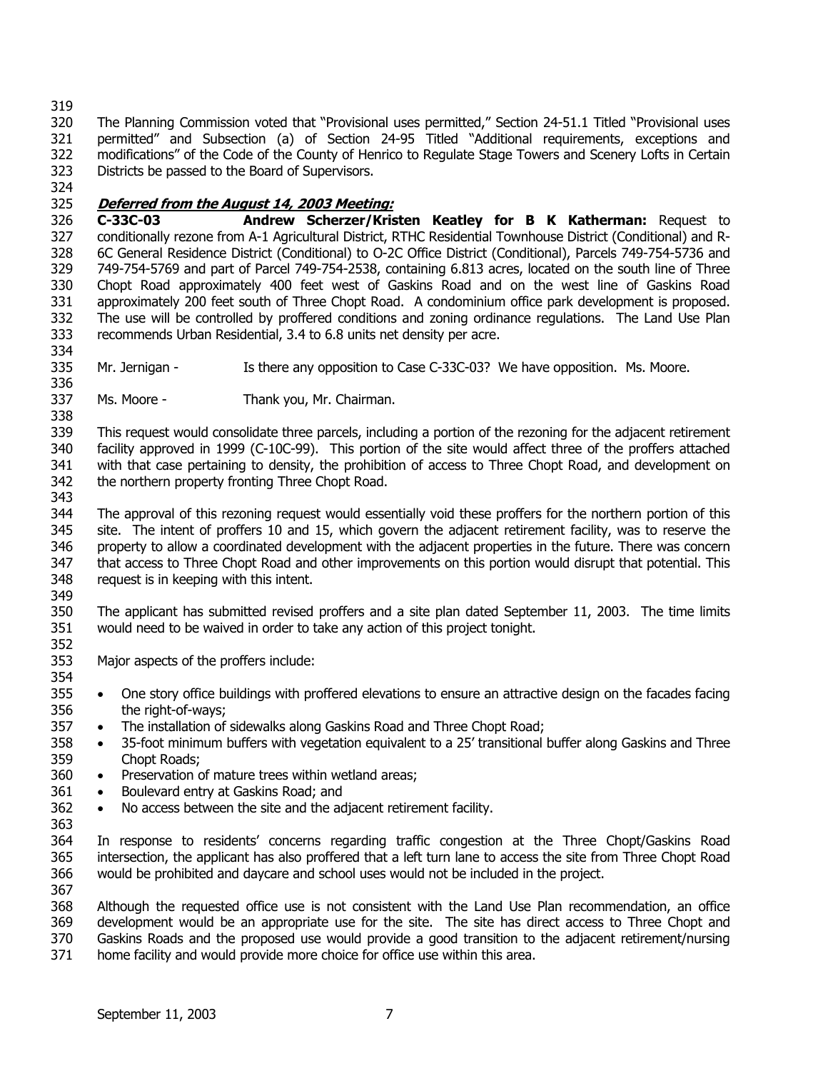320 321 322 323 The Planning Commission voted that "Provisional uses permitted," Section 24-51.1 Titled "Provisional uses permitted" and Subsection (a) of Section 24-95 Titled "Additional requirements, exceptions and modifications" of the Code of the County of Henrico to Regulate Stage Towers and Scenery Lofts in Certain Districts be passed to the Board of Supervisors.

324

334

## 325 **Deferred from the August 14, 2003 Meeting:**

326 327 328 329 330 331 332 333 **C-33C-03 Andrew Scherzer/Kristen Keatley for B K Katherman:** Request to conditionally rezone from A-1 Agricultural District, RTHC Residential Townhouse District (Conditional) and R-6C General Residence District (Conditional) to O-2C Office District (Conditional), Parcels 749-754-5736 and 749-754-5769 and part of Parcel 749-754-2538, containing 6.813 acres, located on the south line of Three Chopt Road approximately 400 feet west of Gaskins Road and on the west line of Gaskins Road approximately 200 feet south of Three Chopt Road. A condominium office park development is proposed. The use will be controlled by proffered conditions and zoning ordinance regulations. The Land Use Plan recommends Urban Residential, 3.4 to 6.8 units net density per acre.

335 336 Mr. Jernigan - Is there any opposition to Case C-33C-03? We have opposition. Ms. Moore.

337 Ms. Moore - Thank you, Mr. Chairman.

338 339 340 341 342 343 This request would consolidate three parcels, including a portion of the rezoning for the adjacent retirement facility approved in 1999 (C-10C-99). This portion of the site would affect three of the proffers attached with that case pertaining to density, the prohibition of access to Three Chopt Road, and development on the northern property fronting Three Chopt Road.

344 345 346 347 348 349 The approval of this rezoning request would essentially void these proffers for the northern portion of this site. The intent of proffers 10 and 15, which govern the adjacent retirement facility, was to reserve the property to allow a coordinated development with the adjacent properties in the future. There was concern that access to Three Chopt Road and other improvements on this portion would disrupt that potential. This request is in keeping with this intent.

350 351 The applicant has submitted revised proffers and a site plan dated September 11, 2003. The time limits would need to be waived in order to take any action of this project tonight.

- 352 353 Major aspects of the proffers include:
- 354 355 356 • One story office buildings with proffered elevations to ensure an attractive design on the facades facing the right-of-ways;
- 357 • The installation of sidewalks along Gaskins Road and Three Chopt Road;
- 358 359 • 35-foot minimum buffers with vegetation equivalent to a 25' transitional buffer along Gaskins and Three Chopt Roads;
- 360 • Preservation of mature trees within wetland areas;
- 361 • Boulevard entry at Gaskins Road; and
- 362 • No access between the site and the adjacent retirement facility.
- 363
- 364 365 366 367 In response to residents' concerns regarding traffic congestion at the Three Chopt/Gaskins Road intersection, the applicant has also proffered that a left turn lane to access the site from Three Chopt Road would be prohibited and daycare and school uses would not be included in the project.

368 369 370 371 Although the requested office use is not consistent with the Land Use Plan recommendation, an office development would be an appropriate use for the site. The site has direct access to Three Chopt and Gaskins Roads and the proposed use would provide a good transition to the adjacent retirement/nursing home facility and would provide more choice for office use within this area.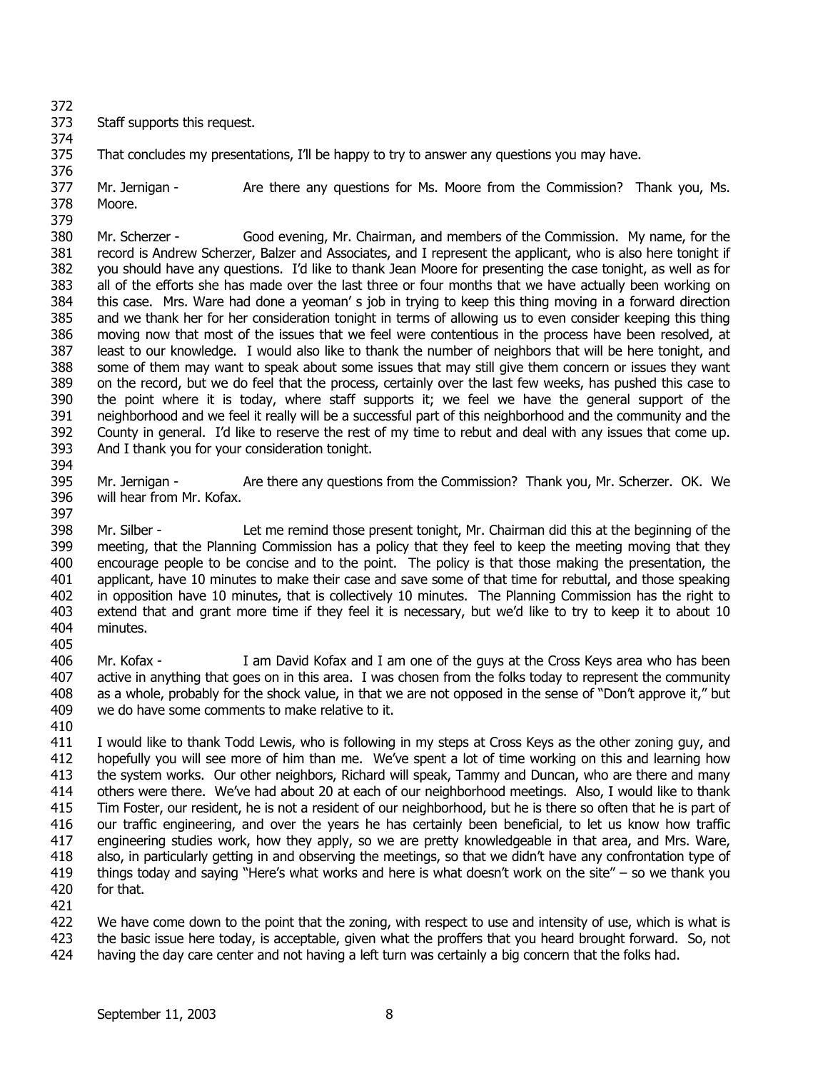374

373 Staff supports this request.

375 That concludes my presentations, I'll be happy to try to answer any questions you may have.

376 377 378 379 Mr. Jernigan - Are there any questions for Ms. Moore from the Commission? Thank you, Ms. Moore.

380 381 382 383 384 385 386 387 388 389 390 391 392 393 Mr. Scherzer - Good evening, Mr. Chairman, and members of the Commission. My name, for the record is Andrew Scherzer, Balzer and Associates, and I represent the applicant, who is also here tonight if you should have any questions. I'd like to thank Jean Moore for presenting the case tonight, as well as for all of the efforts she has made over the last three or four months that we have actually been working on this case. Mrs. Ware had done a yeoman' s job in trying to keep this thing moving in a forward direction and we thank her for her consideration tonight in terms of allowing us to even consider keeping this thing moving now that most of the issues that we feel were contentious in the process have been resolved, at least to our knowledge. I would also like to thank the number of neighbors that will be here tonight, and some of them may want to speak about some issues that may still give them concern or issues they want on the record, but we do feel that the process, certainly over the last few weeks, has pushed this case to the point where it is today, where staff supports it; we feel we have the general support of the neighborhood and we feel it really will be a successful part of this neighborhood and the community and the County in general. I'd like to reserve the rest of my time to rebut and deal with any issues that come up. And I thank you for your consideration tonight.

395 396 397 Mr. Jernigan - Are there any questions from the Commission? Thank you, Mr. Scherzer. OK. We will hear from Mr. Kofax.

398 399 400 401 402 403 404 Mr. Silber - Let me remind those present tonight, Mr. Chairman did this at the beginning of the meeting, that the Planning Commission has a policy that they feel to keep the meeting moving that they encourage people to be concise and to the point. The policy is that those making the presentation, the applicant, have 10 minutes to make their case and save some of that time for rebuttal, and those speaking in opposition have 10 minutes, that is collectively 10 minutes. The Planning Commission has the right to extend that and grant more time if they feel it is necessary, but we'd like to try to keep it to about 10 minutes.

406 407 408 409 Mr. Kofax - I am David Kofax and I am one of the guys at the Cross Keys area who has been active in anything that goes on in this area. I was chosen from the folks today to represent the community as a whole, probably for the shock value, in that we are not opposed in the sense of "Don't approve it," but we do have some comments to make relative to it.

410

405

394

411 412 413 414 415 416 417 418 419 420 I would like to thank Todd Lewis, who is following in my steps at Cross Keys as the other zoning guy, and hopefully you will see more of him than me. We've spent a lot of time working on this and learning how the system works. Our other neighbors, Richard will speak, Tammy and Duncan, who are there and many others were there. We've had about 20 at each of our neighborhood meetings. Also, I would like to thank Tim Foster, our resident, he is not a resident of our neighborhood, but he is there so often that he is part of our traffic engineering, and over the years he has certainly been beneficial, to let us know how traffic engineering studies work, how they apply, so we are pretty knowledgeable in that area, and Mrs. Ware, also, in particularly getting in and observing the meetings, so that we didn't have any confrontation type of things today and saying "Here's what works and here is what doesn't work on the site"  $-$  so we thank you for that.

421

422 423 424 We have come down to the point that the zoning, with respect to use and intensity of use, which is what is the basic issue here today, is acceptable, given what the proffers that you heard brought forward. So, not having the day care center and not having a left turn was certainly a big concern that the folks had.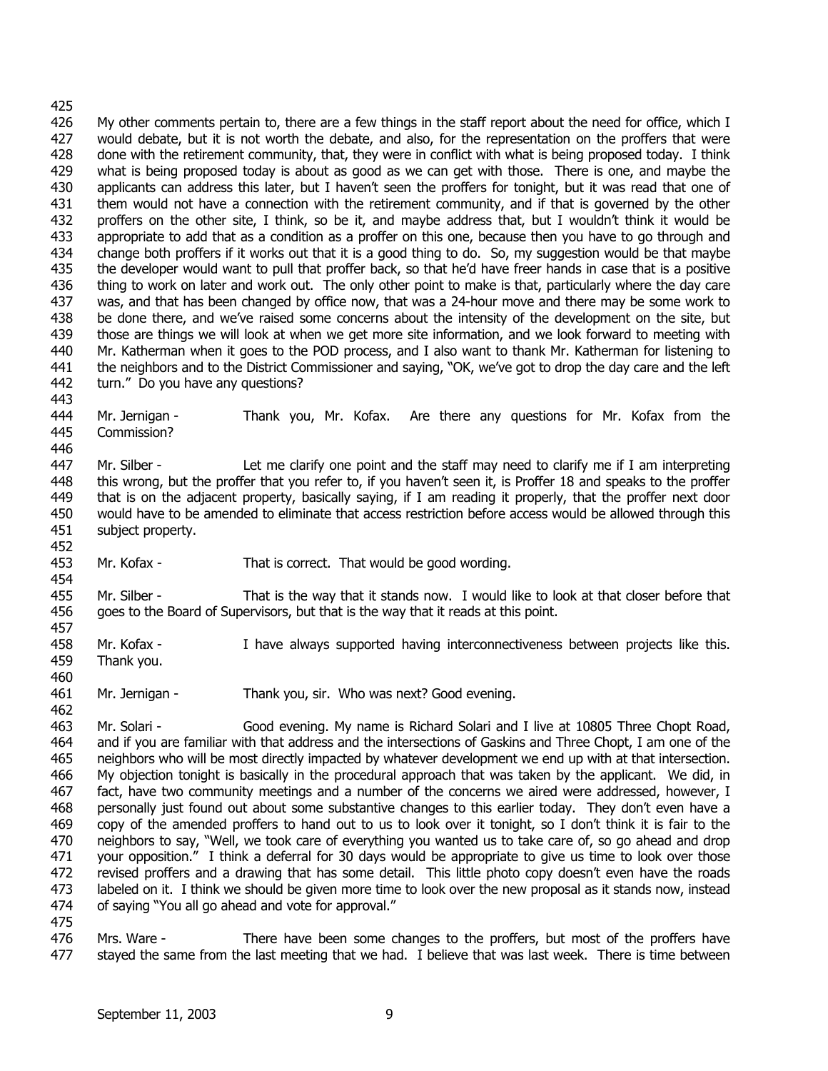443

446

452

454

457

460

462

426 427 428 429 430 431 432 433 434 435 436 437 438 439 440 441 442 My other comments pertain to, there are a few things in the staff report about the need for office, which I would debate, but it is not worth the debate, and also, for the representation on the proffers that were done with the retirement community, that, they were in conflict with what is being proposed today. I think what is being proposed today is about as good as we can get with those. There is one, and maybe the applicants can address this later, but I haven't seen the proffers for tonight, but it was read that one of them would not have a connection with the retirement community, and if that is governed by the other proffers on the other site, I think, so be it, and maybe address that, but I wouldn't think it would be appropriate to add that as a condition as a proffer on this one, because then you have to go through and change both proffers if it works out that it is a good thing to do. So, my suggestion would be that maybe the developer would want to pull that proffer back, so that he'd have freer hands in case that is a positive thing to work on later and work out. The only other point to make is that, particularly where the day care was, and that has been changed by office now, that was a 24-hour move and there may be some work to be done there, and we've raised some concerns about the intensity of the development on the site, but those are things we will look at when we get more site information, and we look forward to meeting with Mr. Katherman when it goes to the POD process, and I also want to thank Mr. Katherman for listening to the neighbors and to the District Commissioner and saying, "OK, we've got to drop the day care and the left turn." Do you have any questions?

444 445 Mr. Jernigan - Thank you, Mr. Kofax. Are there any questions for Mr. Kofax from the Commission?

447 448 449 450 451 Mr. Silber - Let me clarify one point and the staff may need to clarify me if I am interpreting this wrong, but the proffer that you refer to, if you haven't seen it, is Proffer 18 and speaks to the proffer that is on the adjacent property, basically saying, if I am reading it properly, that the proffer next door would have to be amended to eliminate that access restriction before access would be allowed through this subject property.

453 Mr. Kofax - That is correct. That would be good wording.

455 456 Mr. Silber - That is the way that it stands now. I would like to look at that closer before that goes to the Board of Supervisors, but that is the way that it reads at this point.

- 458 459 Mr. Kofax - I have always supported having interconnectiveness between projects like this. Thank you.
- 461 Mr. Jernigan - Thank you, sir. Who was next? Good evening.

463 464 465 466 467 468 469 470 471 472 473 474 Mr. Solari - Good evening. My name is Richard Solari and I live at 10805 Three Chopt Road, and if you are familiar with that address and the intersections of Gaskins and Three Chopt, I am one of the neighbors who will be most directly impacted by whatever development we end up with at that intersection. My objection tonight is basically in the procedural approach that was taken by the applicant. We did, in fact, have two community meetings and a number of the concerns we aired were addressed, however, I personally just found out about some substantive changes to this earlier today. They don't even have a copy of the amended proffers to hand out to us to look over it tonight, so I don't think it is fair to the neighbors to say, "Well, we took care of everything you wanted us to take care of, so go ahead and drop your opposition." I think a deferral for 30 days would be appropriate to give us time to look over those revised proffers and a drawing that has some detail. This little photo copy doesn't even have the roads labeled on it. I think we should be given more time to look over the new proposal as it stands now, instead of saying "You all go ahead and vote for approval."

475

476 477 Mrs. Ware - There have been some changes to the proffers, but most of the proffers have stayed the same from the last meeting that we had. I believe that was last week. There is time between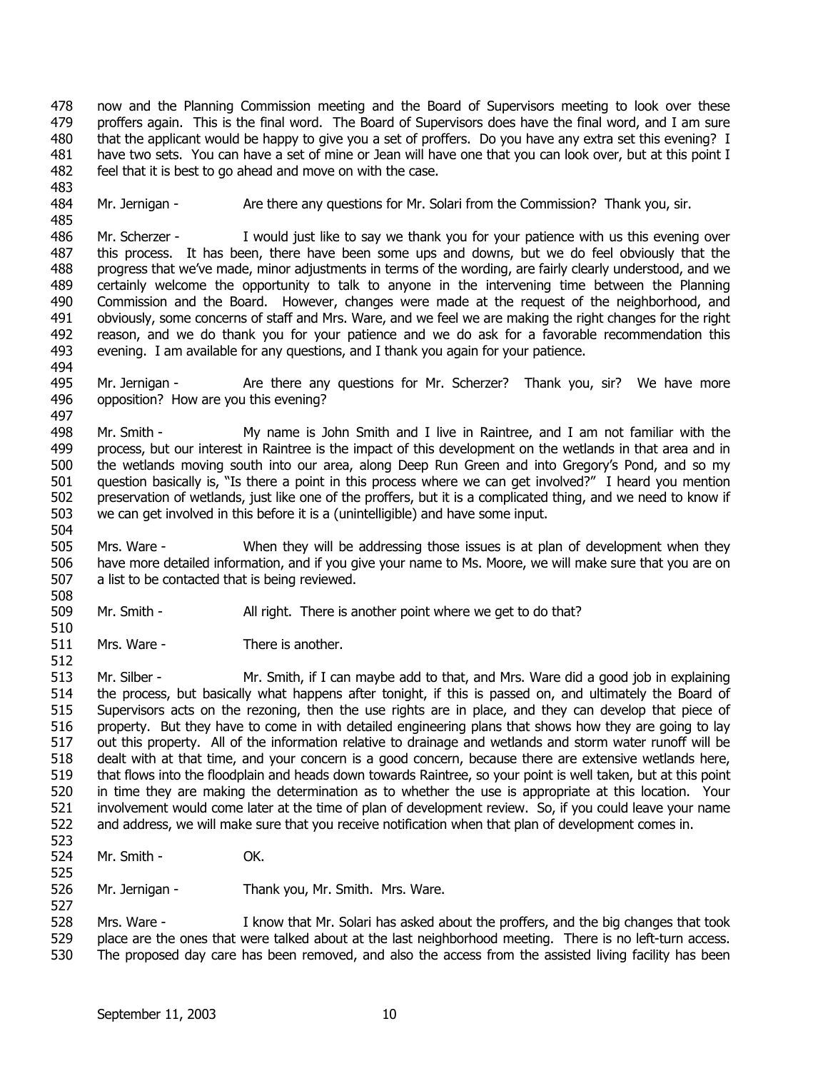478 479 480 481 482 now and the Planning Commission meeting and the Board of Supervisors meeting to look over these proffers again. This is the final word. The Board of Supervisors does have the final word, and I am sure that the applicant would be happy to give you a set of proffers. Do you have any extra set this evening? I have two sets. You can have a set of mine or Jean will have one that you can look over, but at this point I feel that it is best to go ahead and move on with the case.

483

512

525

527

484 485 Mr. Jernigan - Are there any questions for Mr. Solari from the Commission? Thank you, sir.

486 487 488 489 490 491 492 493 494 Mr. Scherzer - I would just like to say we thank you for your patience with us this evening over this process. It has been, there have been some ups and downs, but we do feel obviously that the progress that we've made, minor adjustments in terms of the wording, are fairly clearly understood, and we certainly welcome the opportunity to talk to anyone in the intervening time between the Planning Commission and the Board. However, changes were made at the request of the neighborhood, and obviously, some concerns of staff and Mrs. Ware, and we feel we are making the right changes for the right reason, and we do thank you for your patience and we do ask for a favorable recommendation this evening. I am available for any questions, and I thank you again for your patience.

495 496 497 Mr. Jernigan - Are there any questions for Mr. Scherzer? Thank you, sir? We have more opposition? How are you this evening?

498 499 500 501 502 503 504 Mr. Smith - My name is John Smith and I live in Raintree, and I am not familiar with the process, but our interest in Raintree is the impact of this development on the wetlands in that area and in the wetlands moving south into our area, along Deep Run Green and into Gregory's Pond, and so my question basically is, "Is there a point in this process where we can get involved?" I heard you mention preservation of wetlands, just like one of the proffers, but it is a complicated thing, and we need to know if we can get involved in this before it is a (unintelligible) and have some input.

505 506 507 508 Mrs. Ware - When they will be addressing those issues is at plan of development when they have more detailed information, and if you give your name to Ms. Moore, we will make sure that you are on a list to be contacted that is being reviewed.

- 509 510 Mr. Smith - All right. There is another point where we get to do that?
- 511 Mrs. Ware - There is another.

513 514 515 516 517 518 519 520 521 522 523 Mr. Silber - Mr. Smith, if I can maybe add to that, and Mrs. Ware did a good job in explaining the process, but basically what happens after tonight, if this is passed on, and ultimately the Board of Supervisors acts on the rezoning, then the use rights are in place, and they can develop that piece of property. But they have to come in with detailed engineering plans that shows how they are going to lay out this property. All of the information relative to drainage and wetlands and storm water runoff will be dealt with at that time, and your concern is a good concern, because there are extensive wetlands here, that flows into the floodplain and heads down towards Raintree, so your point is well taken, but at this point in time they are making the determination as to whether the use is appropriate at this location. Your involvement would come later at the time of plan of development review. So, if you could leave your name and address, we will make sure that you receive notification when that plan of development comes in.

- 524 Mr. Smith - **OK.**
- 526 Mr. Jernigan - Thank you, Mr. Smith. Mrs. Ware.

528 529 530 Mrs. Ware - I know that Mr. Solari has asked about the proffers, and the big changes that took place are the ones that were talked about at the last neighborhood meeting. There is no left-turn access. The proposed day care has been removed, and also the access from the assisted living facility has been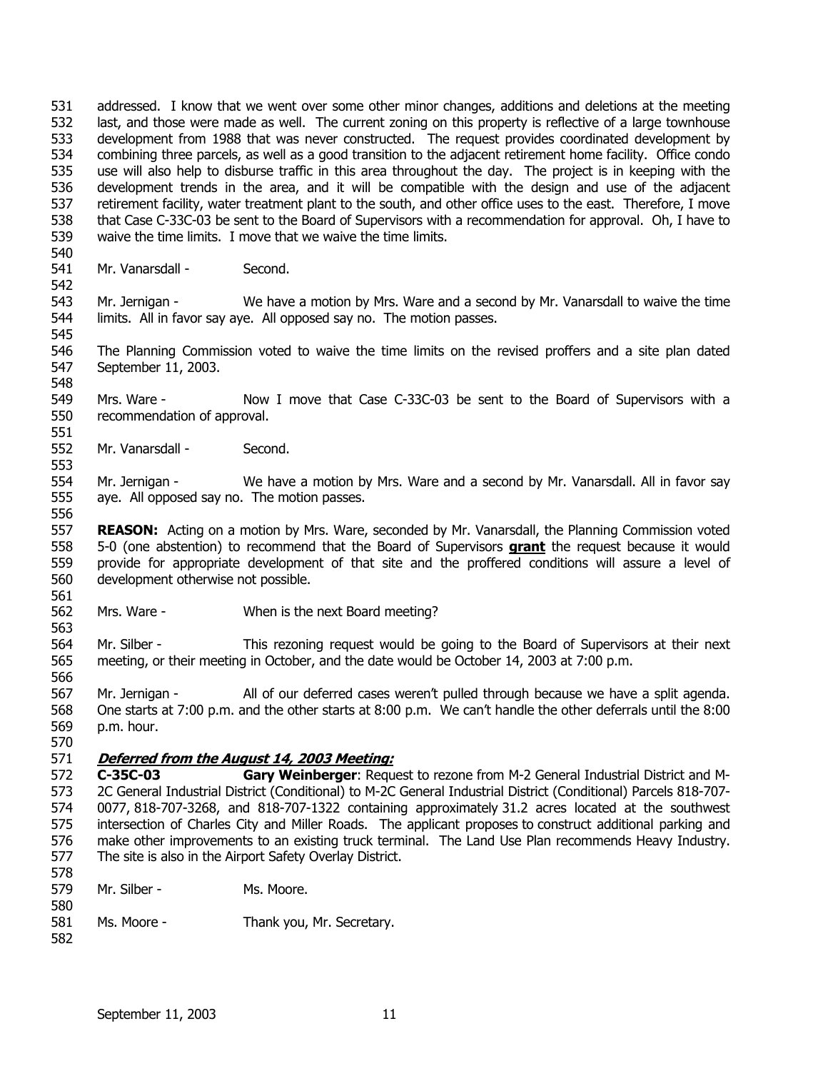531 532 533 534 535 536 537 538 539 540 addressed. I know that we went over some other minor changes, additions and deletions at the meeting last, and those were made as well. The current zoning on this property is reflective of a large townhouse development from 1988 that was never constructed. The request provides coordinated development by combining three parcels, as well as a good transition to the adjacent retirement home facility. Office condo use will also help to disburse traffic in this area throughout the day. The project is in keeping with the development trends in the area, and it will be compatible with the design and use of the adjacent retirement facility, water treatment plant to the south, and other office uses to the east. Therefore, I move that Case C-33C-03 be sent to the Board of Supervisors with a recommendation for approval. Oh, I have to waive the time limits. I move that we waive the time limits.

541 Mr. Vanarsdall - Second.

542

545

553

556

563

566

570

578

543 544 Mr. Jernigan - We have a motion by Mrs. Ware and a second by Mr. Vanarsdall to waive the time limits. All in favor say aye. All opposed say no. The motion passes.

- 546 547 548 The Planning Commission voted to waive the time limits on the revised proffers and a site plan dated September 11, 2003.
- 549 550 Mrs. Ware - Now I move that Case C-33C-03 be sent to the Board of Supervisors with a recommendation of approval.
- 551 552 Mr. Vanarsdall - Second.

554 555 Mr. Jernigan - We have a motion by Mrs. Ware and a second by Mr. Vanarsdall. All in favor say aye. All opposed say no. The motion passes.

557 **REASON:** Acting on a motion by Mrs. Ware, seconded by Mr. Vanarsdall, the Planning Commission voted 5-0 (one abstention) to recommend that the Board of Supervisors **grant** the request because it would provide for appropriate development of that site and the proffered conditions will assure a level of development otherwise not possible. 558 559 560 561

562 Mrs. Ware - When is the next Board meeting?

564 565 Mr. Silber - This rezoning request would be going to the Board of Supervisors at their next meeting, or their meeting in October, and the date would be October 14, 2003 at 7:00 p.m.

567 568 569 Mr. Jernigan - All of our deferred cases weren't pulled through because we have a split agenda. One starts at 7:00 p.m. and the other starts at 8:00 p.m. We can't handle the other deferrals until the 8:00 p.m. hour.

#### 571 **Deferred from the August 14, 2003 Meeting:**

572 573 574 575 576 577 **C-35C-03 Gary Weinberger**: Request to rezone from M-2 General Industrial District and M-2C General Industrial District (Conditional) to M-2C General Industrial District (Conditional) Parcels 818-707- 0077, 818-707-3268, and 818-707-1322 containing approximately 31.2 acres located at the southwest intersection of Charles City and Miller Roads. The applicant proposes to construct additional parking and make other improvements to an existing truck terminal. The Land Use Plan recommends Heavy Industry. The site is also in the Airport Safety Overlay District.

- 579 580 Mr. Silber - Ms. Moore.
- 581 582 Ms. Moore - Thank you, Mr. Secretary.
	- September 11, 2003 11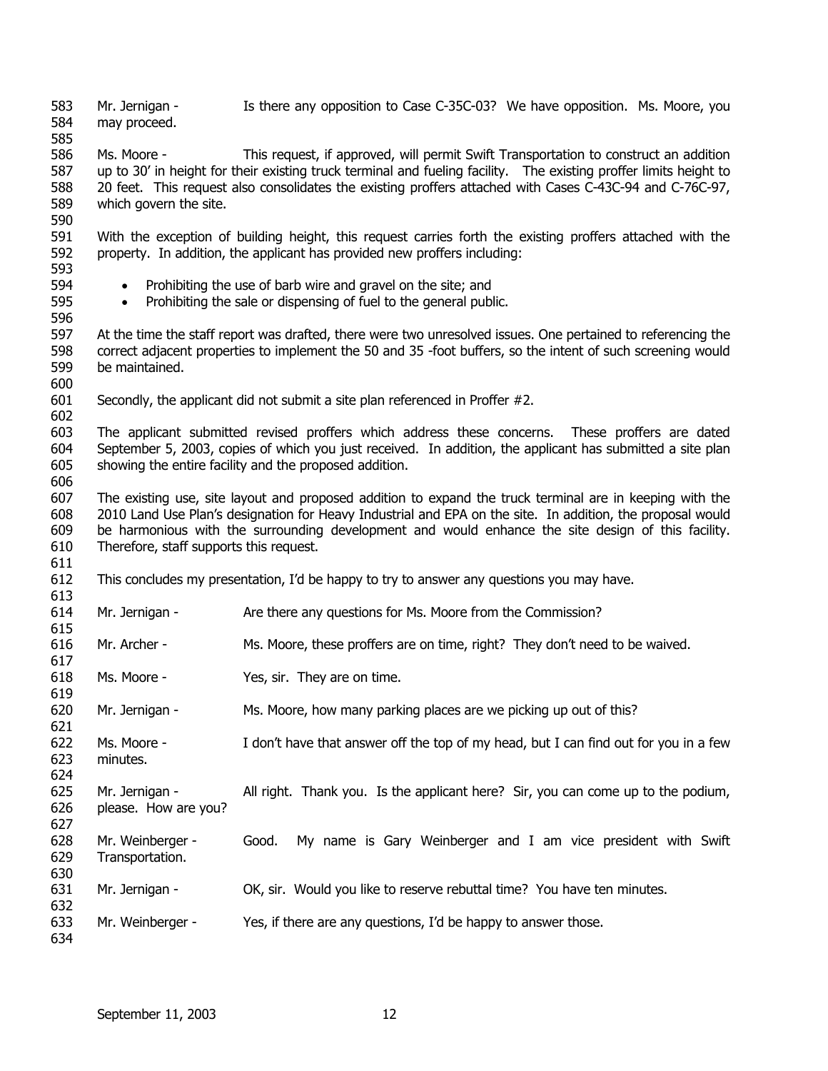583 584 Mr. Jernigan - Is there any opposition to Case C-35C-03? We have opposition. Ms. Moore, you may proceed.

586 587 588 589 Ms. Moore - This request, if approved, will permit Swift Transportation to construct an addition up to 30' in height for their existing truck terminal and fueling facility. The existing proffer limits height to 20 feet. This request also consolidates the existing proffers attached with Cases C-43C-94 and C-76C-97, which govern the site.

591 592 593 With the exception of building height, this request carries forth the existing proffers attached with the property. In addition, the applicant has provided new proffers including:

- Prohibiting the use of barb wire and gravel on the site; and
- Prohibiting the sale or dispensing of fuel to the general public.

597 598 599 At the time the staff report was drafted, there were two unresolved issues. One pertained to referencing the correct adjacent properties to implement the 50 and 35 -foot buffers, so the intent of such screening would be maintained.

600

606

611

613  $614$ 

624

630

632

585

590

594 595 596

601 602 Secondly, the applicant did not submit a site plan referenced in Proffer #2.

603 604 605 The applicant submitted revised proffers which address these concerns. These proffers are dated September 5, 2003, copies of which you just received. In addition, the applicant has submitted a site plan showing the entire facility and the proposed addition.

607 608 609 610 The existing use, site layout and proposed addition to expand the truck terminal are in keeping with the 2010 Land Use Plan's designation for Heavy Industrial and EPA on the site. In addition, the proposal would be harmonious with the surrounding development and would enhance the site design of this facility. Therefore, staff supports this request.

612 This concludes my presentation, I'd be happy to try to answer any questions you may have.

Mr. Jernigan - Are there any questions for Ms. Moore from the Commission?

| 014<br>615 | <u>MI. Jerniyan - </u> | Are there any questions for MS. Moore from the Commission?                  |
|------------|------------------------|-----------------------------------------------------------------------------|
| 616        | Mr. Archer -           | Ms. Moore, these proffers are on time, right? They don't need to be waived. |
| 617        |                        |                                                                             |
| 618        | Ms. Moore -            | Yes, sir. They are on time.                                                 |
| 619        |                        |                                                                             |
| 620        | Mr. Jernigan -         | Ms. Moore, how many parking places are we picking up out of this?           |
| 621        |                        |                                                                             |

622 623 Ms. Moore - I don't have that answer off the top of my head, but I can find out for you in a few minutes.

625 626 Mr. Jernigan - All right. Thank you. Is the applicant here? Sir, you can come up to the podium, please. How are you?

- 627 628 629 Mr. Weinberger - Good. My name is Gary Weinberger and I am vice president with Swift Transportation.
- 631 Mr. Jernigan - OK, sir. Would you like to reserve rebuttal time? You have ten minutes.

633 Mr. Weinberger - Yes, if there are any questions, I'd be happy to answer those.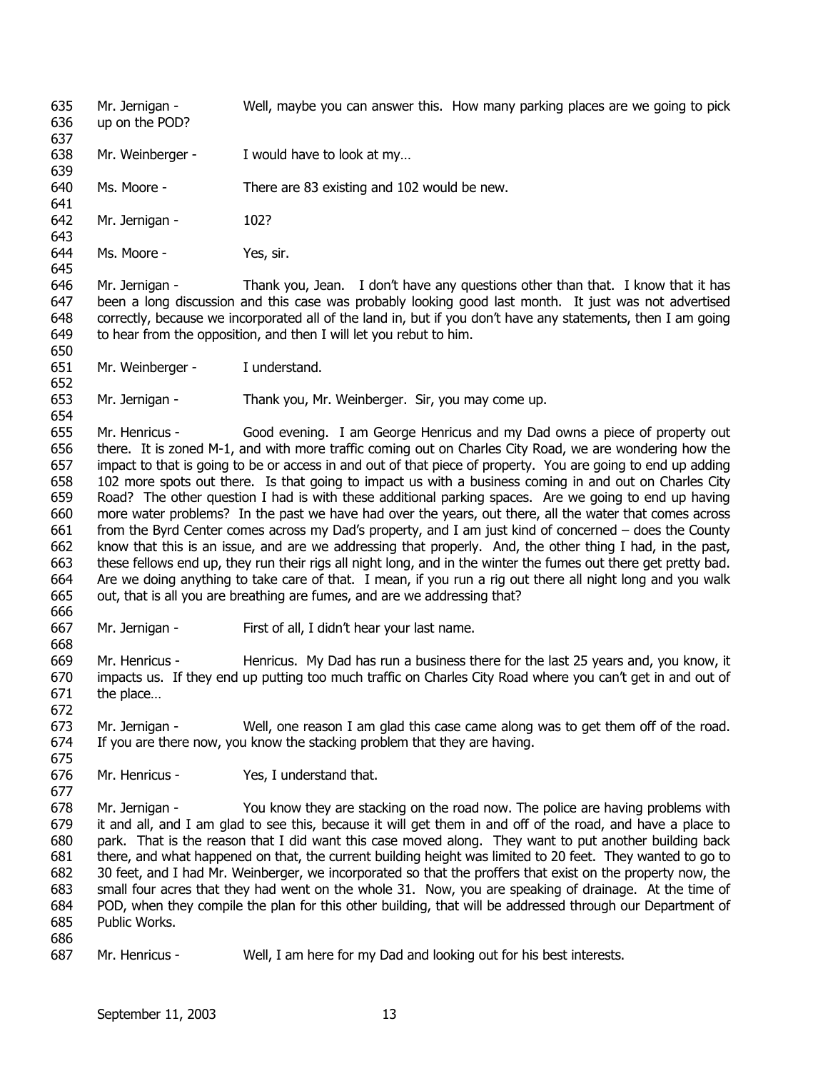635 636 637 638 639 640 641 642 643 644 645 646 647 648 649 650 651 652 653 654 655 656 657 658 659 660 661 662 663 664 665 666 667 668 669 670 671 672 673 674 675 676 677 678 679 680 681 682 683 684 685 686 687 Mr. Jernigan - Well, maybe you can answer this. How many parking places are we going to pick up on the POD? Mr. Weinberger - I would have to look at my... Ms. Moore - There are 83 existing and 102 would be new. Mr. Jernigan - 102? Ms. Moore - Yes, sir. Mr. Jernigan - Thank you, Jean. I don't have any questions other than that. I know that it has been a long discussion and this case was probably looking good last month. It just was not advertised correctly, because we incorporated all of the land in, but if you don't have any statements, then I am going to hear from the opposition, and then I will let you rebut to him. Mr. Weinberger - I understand. Mr. Jernigan - Thank you, Mr. Weinberger. Sir, you may come up. Mr. Henricus - Good evening. I am George Henricus and my Dad owns a piece of property out there. It is zoned M-1, and with more traffic coming out on Charles City Road, we are wondering how the impact to that is going to be or access in and out of that piece of property. You are going to end up adding 102 more spots out there. Is that going to impact us with a business coming in and out on Charles City Road? The other question I had is with these additional parking spaces. Are we going to end up having more water problems? In the past we have had over the years, out there, all the water that comes across from the Byrd Center comes across my Dad's property, and I am just kind of concerned – does the County know that this is an issue, and are we addressing that properly. And, the other thing I had, in the past, these fellows end up, they run their rigs all night long, and in the winter the fumes out there get pretty bad. Are we doing anything to take care of that. I mean, if you run a rig out there all night long and you walk out, that is all you are breathing are fumes, and are we addressing that? Mr. Jernigan - First of all, I didn't hear your last name. Mr. Henricus - Henricus. My Dad has run a business there for the last 25 years and, you know, it impacts us. If they end up putting too much traffic on Charles City Road where you can't get in and out of the place… Mr. Jernigan - Well, one reason I am glad this case came along was to get them off of the road. If you are there now, you know the stacking problem that they are having. Mr. Henricus - Yes, I understand that. Mr. Jernigan - You know they are stacking on the road now. The police are having problems with it and all, and I am glad to see this, because it will get them in and off of the road, and have a place to park. That is the reason that I did want this case moved along. They want to put another building back there, and what happened on that, the current building height was limited to 20 feet. They wanted to go to 30 feet, and I had Mr. Weinberger, we incorporated so that the proffers that exist on the property now, the small four acres that they had went on the whole 31. Now, you are speaking of drainage. At the time of POD, when they compile the plan for this other building, that will be addressed through our Department of Public Works. Mr. Henricus - Well, I am here for my Dad and looking out for his best interests.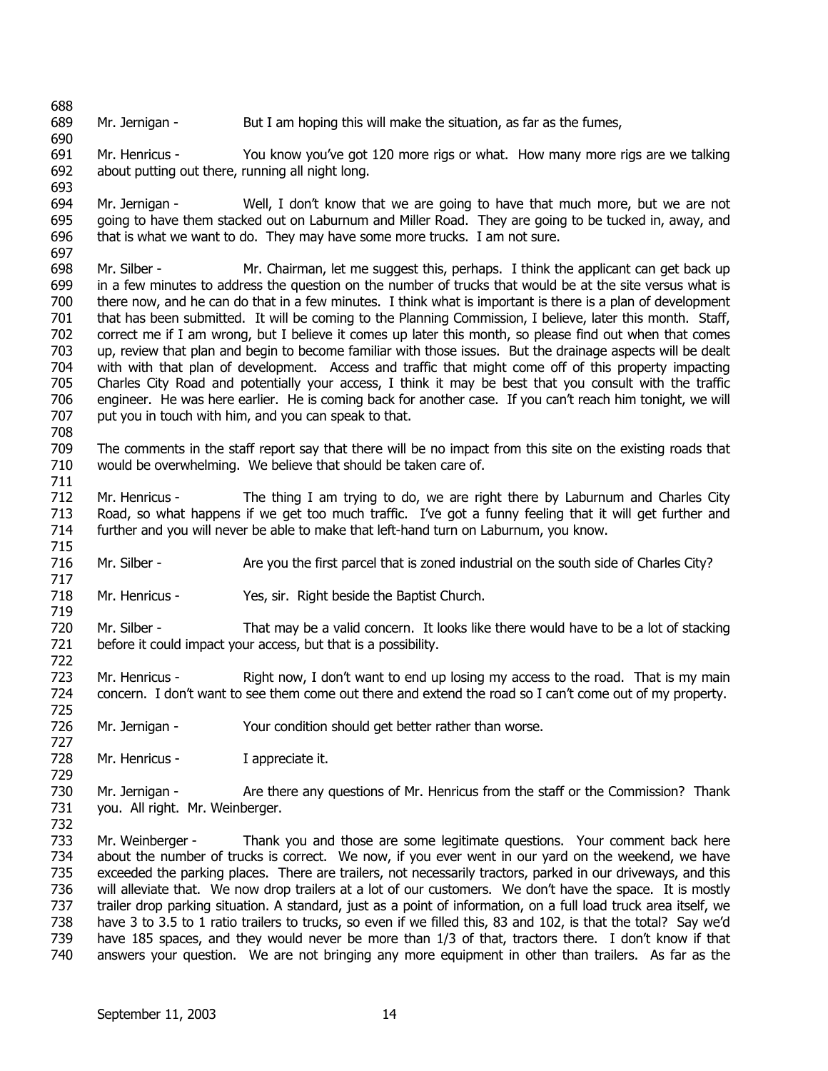688 689 Mr. Jernigan - But I am hoping this will make the situation, as far as the fumes,

691 692 693 Mr. Henricus - You know you've got 120 more rigs or what. How many more rigs are we talking about putting out there, running all night long.

694 695 696 697 Mr. Jernigan - Well, I don't know that we are going to have that much more, but we are not going to have them stacked out on Laburnum and Miller Road. They are going to be tucked in, away, and that is what we want to do. They may have some more trucks. I am not sure.

698 699 700 701 702 703 704 705 706 707 Mr. Silber - Mr. Chairman, let me suggest this, perhaps. I think the applicant can get back up in a few minutes to address the question on the number of trucks that would be at the site versus what is there now, and he can do that in a few minutes. I think what is important is there is a plan of development that has been submitted. It will be coming to the Planning Commission, I believe, later this month. Staff, correct me if I am wrong, but I believe it comes up later this month, so please find out when that comes up, review that plan and begin to become familiar with those issues. But the drainage aspects will be dealt with with that plan of development. Access and traffic that might come off of this property impacting Charles City Road and potentially your access, I think it may be best that you consult with the traffic engineer. He was here earlier. He is coming back for another case. If you can't reach him tonight, we will put you in touch with him, and you can speak to that.

709 710 The comments in the staff report say that there will be no impact from this site on the existing roads that would be overwhelming. We believe that should be taken care of.

711 712 713 714 Mr. Henricus - The thing I am trying to do, we are right there by Laburnum and Charles City Road, so what happens if we get too much traffic. I've got a funny feeling that it will get further and further and you will never be able to make that left-hand turn on Laburnum, you know.

716 Mr. Silber - Are you the first parcel that is zoned industrial on the south side of Charles City?

718 Mr. Henricus - Yes, sir. Right beside the Baptist Church.

720 721 Mr. Silber - That may be a valid concern. It looks like there would have to be a lot of stacking before it could impact your access, but that is a possibility.

723 724 Mr. Henricus - Right now, I don't want to end up losing my access to the road. That is my main concern. I don't want to see them come out there and extend the road so I can't come out of my property.

726 Mr. Jernigan - Your condition should get better rather than worse.

728 Mr. Henricus - I appreciate it.

690

708

715

717

719

722

725

727

729

732

730 731 Mr. Jernigan - Are there any questions of Mr. Henricus from the staff or the Commission? Thank you. All right. Mr. Weinberger.

733 734 735 736 737 738 739 740 Mr. Weinberger - Thank you and those are some legitimate questions. Your comment back here about the number of trucks is correct. We now, if you ever went in our yard on the weekend, we have exceeded the parking places. There are trailers, not necessarily tractors, parked in our driveways, and this will alleviate that. We now drop trailers at a lot of our customers. We don't have the space. It is mostly trailer drop parking situation. A standard, just as a point of information, on a full load truck area itself, we have 3 to 3.5 to 1 ratio trailers to trucks, so even if we filled this, 83 and 102, is that the total? Say we'd have 185 spaces, and they would never be more than 1/3 of that, tractors there. I don't know if that answers your question. We are not bringing any more equipment in other than trailers. As far as the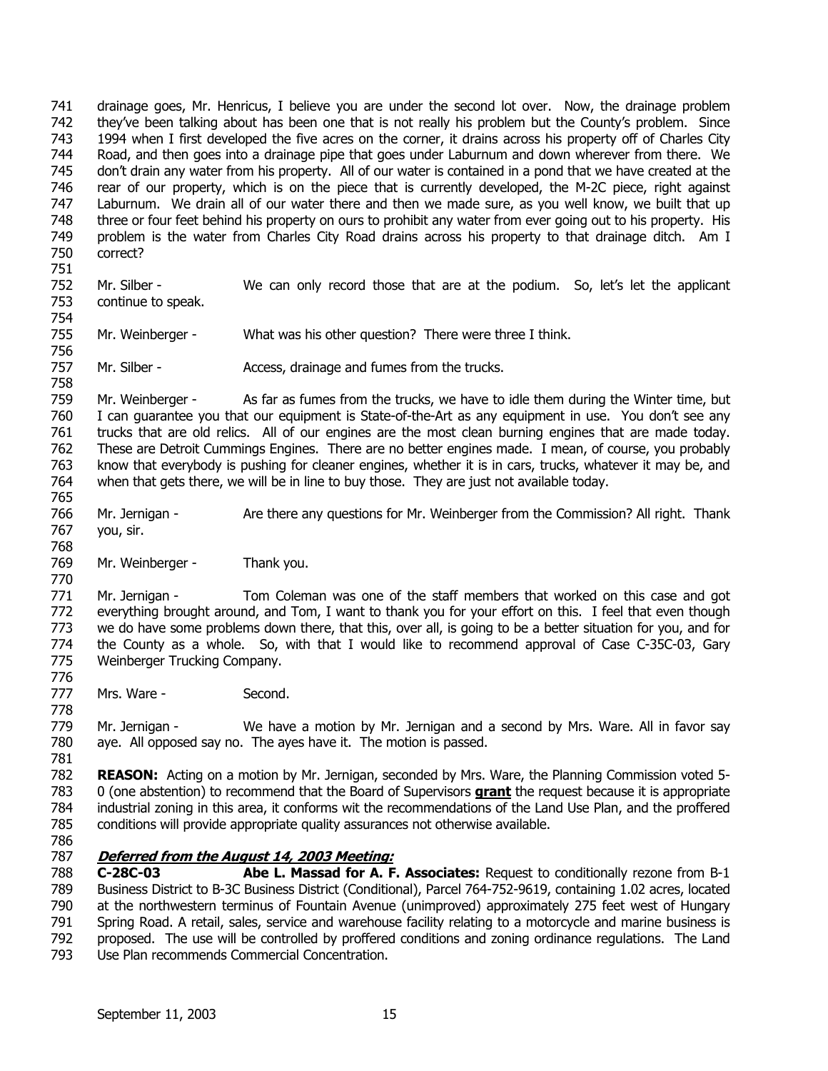741 742 743 744 745 746 747 748 749 750 drainage goes, Mr. Henricus, I believe you are under the second lot over. Now, the drainage problem they've been talking about has been one that is not really his problem but the County's problem. Since 1994 when I first developed the five acres on the corner, it drains across his property off of Charles City Road, and then goes into a drainage pipe that goes under Laburnum and down wherever from there. We don't drain any water from his property. All of our water is contained in a pond that we have created at the rear of our property, which is on the piece that is currently developed, the M-2C piece, right against Laburnum. We drain all of our water there and then we made sure, as you well know, we built that up three or four feet behind his property on ours to prohibit any water from ever going out to his property. His problem is the water from Charles City Road drains across his property to that drainage ditch. Am I correct?

751 752

753 754 Mr. Silber - We can only record those that are at the podium. So, let's let the applicant continue to speak.

- 755 756 Mr. Weinberger - What was his other question? There were three I think.
- 757 Mr. Silber - Access, drainage and fumes from the trucks.

758 759 760 761 762 763 764 Mr. Weinberger - As far as fumes from the trucks, we have to idle them during the Winter time, but I can guarantee you that our equipment is State-of-the-Art as any equipment in use. You don't see any trucks that are old relics. All of our engines are the most clean burning engines that are made today. These are Detroit Cummings Engines. There are no better engines made. I mean, of course, you probably know that everybody is pushing for cleaner engines, whether it is in cars, trucks, whatever it may be, and when that gets there, we will be in line to buy those. They are just not available today.

- 765 766 767 Mr. Jernigan - Are there any questions for Mr. Weinberger from the Commission? All right. Thank you, sir.
- 768
- 769 770 Mr. Weinberger - Thank you.

771 772 773 774 775 776 Mr. Jernigan - Tom Coleman was one of the staff members that worked on this case and got everything brought around, and Tom, I want to thank you for your effort on this. I feel that even though we do have some problems down there, that this, over all, is going to be a better situation for you, and for the County as a whole. So, with that I would like to recommend approval of Case C-35C-03, Gary Weinberger Trucking Company.

777 Mrs. Ware - Second.

779 780 781 Mr. Jernigan - We have a motion by Mr. Jernigan and a second by Mrs. Ware. All in favor say aye. All opposed say no. The ayes have it. The motion is passed.

782 **REASON:** Acting on a motion by Mr. Jernigan, seconded by Mrs. Ware, the Planning Commission voted 5- 0 (one abstention) to recommend that the Board of Supervisors **grant** the request because it is appropriate industrial zoning in this area, it conforms wit the recommendations of the Land Use Plan, and the proffered conditions will provide appropriate quality assurances not otherwise available. 783 784 785

786

778

#### 787 **Deferred from the August 14, 2003 Meeting:**

788 789 790 791 792 793 **C-28C-03 Abe L. Massad for A. F. Associates:** Request to conditionally rezone from B-1 Business District to B-3C Business District (Conditional), Parcel 764-752-9619, containing 1.02 acres, located at the northwestern terminus of Fountain Avenue (unimproved) approximately 275 feet west of Hungary Spring Road. A retail, sales, service and warehouse facility relating to a motorcycle and marine business is proposed. The use will be controlled by proffered conditions and zoning ordinance regulations. The Land Use Plan recommends Commercial Concentration.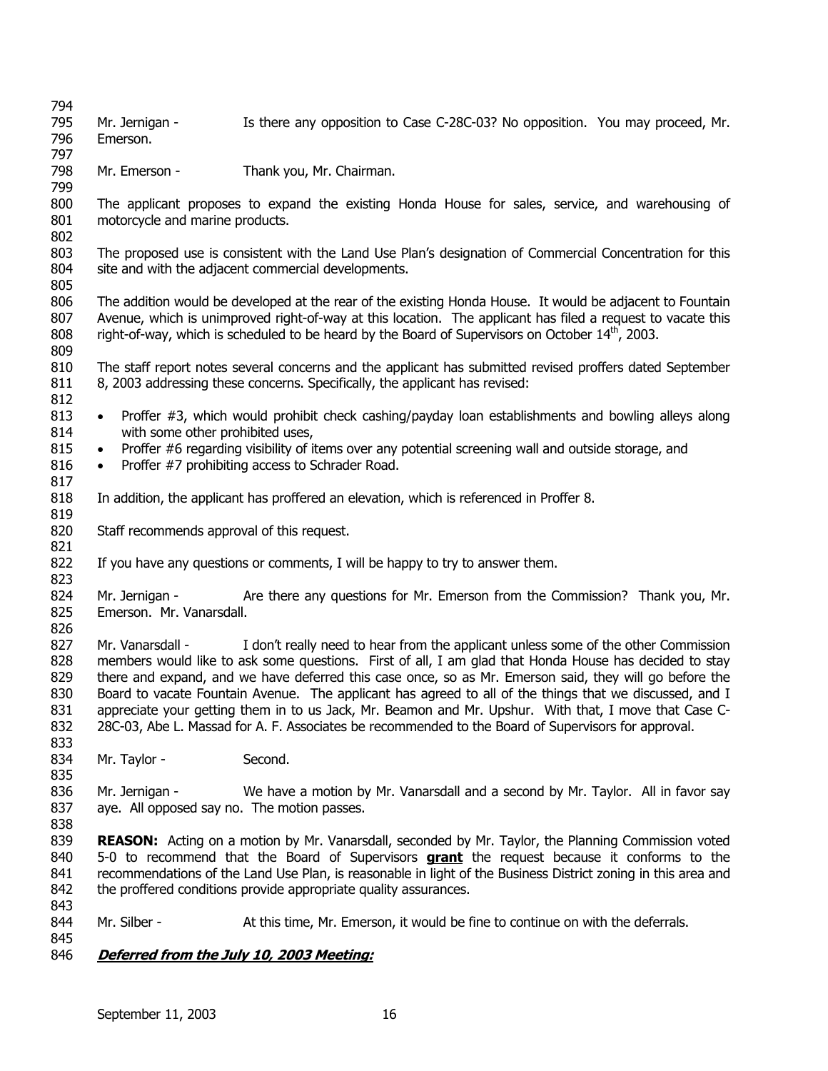794 795 796 797 798 799 800 801 802 803 804 805 806 807 808 809 810 811 812 813 814 815 816 817 818 819 820 821 822 823 824 825 826 827 828 829 830 831 832 833 834 835 836 837 838 839 Mr. Jernigan - Is there any opposition to Case C-28C-03? No opposition. You may proceed, Mr. Emerson. Mr. Emerson - Thank you, Mr. Chairman. The applicant proposes to expand the existing Honda House for sales, service, and warehousing of motorcycle and marine products. The proposed use is consistent with the Land Use Plan's designation of Commercial Concentration for this site and with the adjacent commercial developments. The addition would be developed at the rear of the existing Honda House. It would be adjacent to Fountain Avenue, which is unimproved right-of-way at this location. The applicant has filed a request to vacate this right-of-way, which is scheduled to be heard by the Board of Supervisors on October  $14<sup>th</sup>$ , 2003. The staff report notes several concerns and the applicant has submitted revised proffers dated September 8, 2003 addressing these concerns. Specifically, the applicant has revised: • Proffer #3, which would prohibit check cashing/payday loan establishments and bowling alleys along with some other prohibited uses, • Proffer #6 regarding visibility of items over any potential screening wall and outside storage, and • Proffer #7 prohibiting access to Schrader Road. In addition, the applicant has proffered an elevation, which is referenced in Proffer 8. Staff recommends approval of this request. If you have any questions or comments, I will be happy to try to answer them. Mr. Jernigan - Are there any questions for Mr. Emerson from the Commission? Thank you, Mr. Emerson. Mr. Vanarsdall. Mr. Vanarsdall - I don't really need to hear from the applicant unless some of the other Commission members would like to ask some questions. First of all, I am glad that Honda House has decided to stay there and expand, and we have deferred this case once, so as Mr. Emerson said, they will go before the Board to vacate Fountain Avenue. The applicant has agreed to all of the things that we discussed, and I appreciate your getting them in to us Jack, Mr. Beamon and Mr. Upshur. With that, I move that Case C-28C-03, Abe L. Massad for A. F. Associates be recommended to the Board of Supervisors for approval. Mr. Taylor - Second. Mr. Jernigan - We have a motion by Mr. Vanarsdall and a second by Mr. Taylor. All in favor say aye. All opposed say no. The motion passes. **REASON:** Acting on a motion by Mr. Vanarsdall, seconded by Mr. Taylor, the Planning Commission voted 5-0 to recommend that the Board of Supervisors **grant** the request because it conforms to the recommendations of the Land Use Plan, is reasonable in light of the Business District zoning in this area and the proffered conditions provide appropriate quality assurances. 840 841 842 843 844 845 Mr. Silber - At this time, Mr. Emerson, it would be fine to continue on with the deferrals. 846 **Deferred from the July 10, 2003 Meeting:**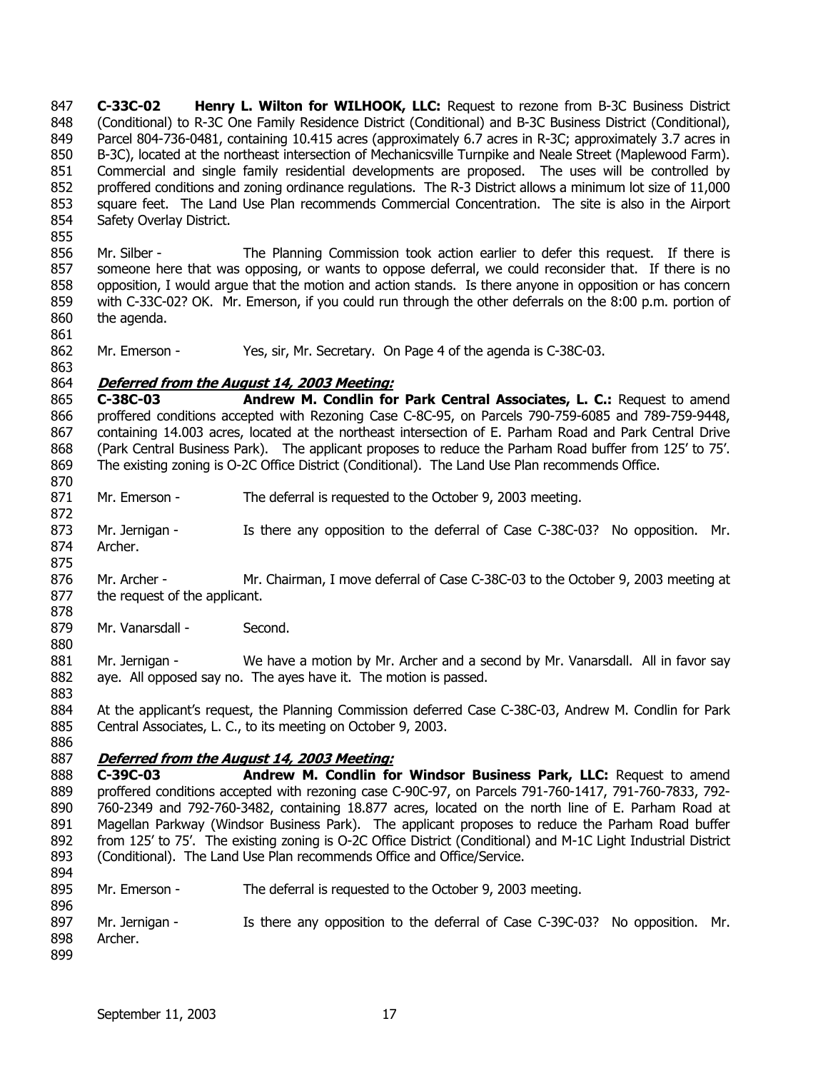**C-33C-02 Henry L. Wilton for WILHOOK, LLC:** Request to rezone from B-3C Business District (Conditional) to R-3C One Family Residence District (Conditional) and B-3C Business District (Conditional), Parcel 804-736-0481, containing 10.415 acres (approximately 6.7 acres in R-3C; approximately 3.7 acres in B-3C), located at the northeast intersection of Mechanicsville Turnpike and Neale Street (Maplewood Farm). Commercial and single family residential developments are proposed. The uses will be controlled by proffered conditions and zoning ordinance regulations. The R-3 District allows a minimum lot size of 11,000 square feet. The Land Use Plan recommends Commercial Concentration. The site is also in the Airport Safety Overlay District. 847 848 849 850 851 852 853 854 855

856 857 858 859 860 Mr. Silber - The Planning Commission took action earlier to defer this request. If there is someone here that was opposing, or wants to oppose deferral, we could reconsider that. If there is no opposition, I would argue that the motion and action stands. Is there anyone in opposition or has concern with C-33C-02? OK. Mr. Emerson, if you could run through the other deferrals on the 8:00 p.m. portion of the agenda.

861

863

870

872

875

880

883

862 Mr. Emerson - Yes, sir, Mr. Secretary. On Page 4 of the agenda is C-38C-03.

#### 864 **Deferred from the August 14, 2003 Meeting:**

865 866 867 868 869 **C-38C-03 Andrew M. Condlin for Park Central Associates, L. C.:** Request to amend proffered conditions accepted with Rezoning Case C-8C-95, on Parcels 790-759-6085 and 789-759-9448, containing 14.003 acres, located at the northeast intersection of E. Parham Road and Park Central Drive (Park Central Business Park). The applicant proposes to reduce the Parham Road buffer from 125' to 75'. The existing zoning is O-2C Office District (Conditional). The Land Use Plan recommends Office.

- 871 Mr. Emerson - The deferral is requested to the October 9, 2003 meeting.
- 873 874 Mr. Jernigan - Is there any opposition to the deferral of Case C-38C-03? No opposition. Mr. Archer.
- 876 877 878 Mr. Archer - Mr. Chairman, I move deferral of Case C-38C-03 to the October 9, 2003 meeting at the request of the applicant.
- 879 Mr. Vanarsdall - Second.

881 882 Mr. Jernigan - We have a motion by Mr. Archer and a second by Mr. Vanarsdall. All in favor say aye. All opposed say no. The ayes have it. The motion is passed.

884 885 At the applicant's request, the Planning Commission deferred Case C-38C-03, Andrew M. Condlin for Park Central Associates, L. C., to its meeting on October 9, 2003.

886

#### 887 **Deferred from the August 14, 2003 Meeting:**

888 889 890 891 892 893 894 **C-39C-03 Andrew M. Condlin for Windsor Business Park, LLC:** Request to amend proffered conditions accepted with rezoning case C-90C-97, on Parcels 791-760-1417, 791-760-7833, 792- 760-2349 and 792-760-3482, containing 18.877 acres, located on the north line of E. Parham Road at Magellan Parkway (Windsor Business Park). The applicant proposes to reduce the Parham Road buffer from 125' to 75'. The existing zoning is O-2C Office District (Conditional) and M-1C Light Industrial District (Conditional). The Land Use Plan recommends Office and Office/Service.

- 895 Mr. Emerson - The deferral is requested to the October 9, 2003 meeting.
- 896 897 898 899 Mr. Jernigan - Is there any opposition to the deferral of Case C-39C-03? No opposition. Mr. Archer.
	- September 11, 2003 17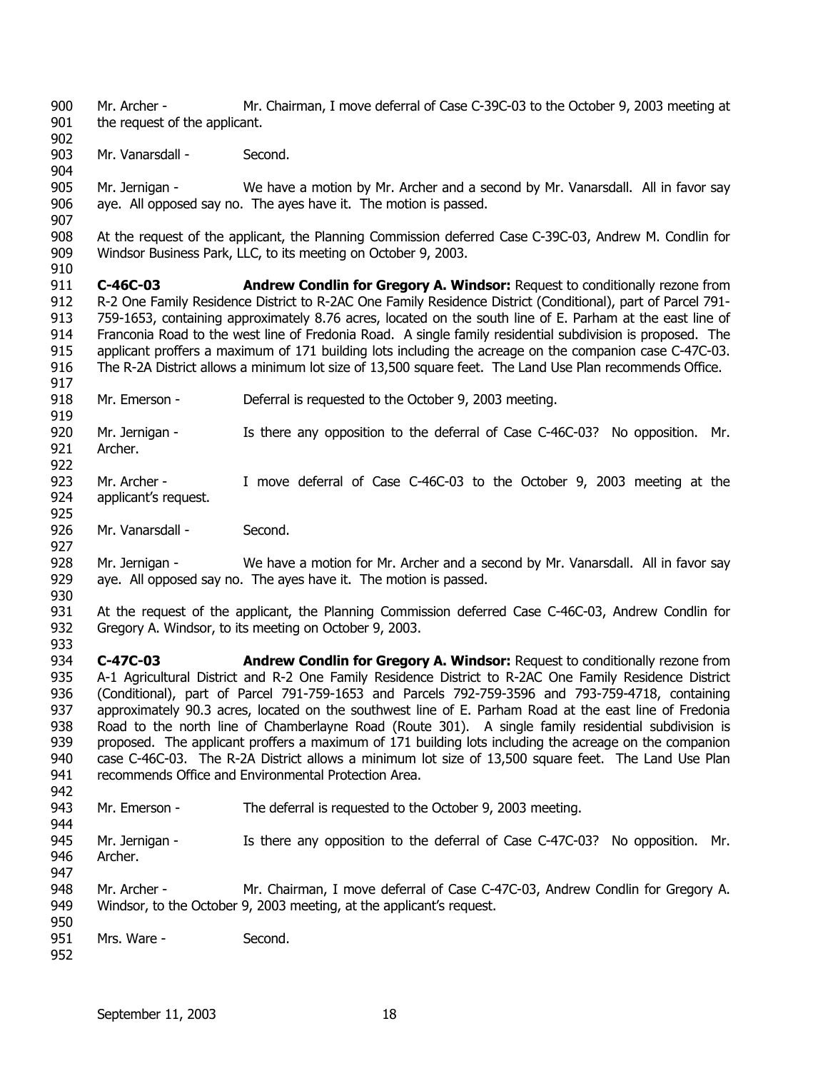900 901 Mr. Archer - Mr. Chairman, I move deferral of Case C-39C-03 to the October 9, 2003 meeting at the request of the applicant.

903 Mr. Vanarsdall - Second.

902

904

907

910

925

927

933

905 906 Mr. Jernigan - We have a motion by Mr. Archer and a second by Mr. Vanarsdall. All in favor say aye. All opposed say no. The ayes have it. The motion is passed.

908 909 At the request of the applicant, the Planning Commission deferred Case C-39C-03, Andrew M. Condlin for Windsor Business Park, LLC, to its meeting on October 9, 2003.

911 912 913 914 915 916 917 **C-46C-03 Andrew Condlin for Gregory A. Windsor:** Request to conditionally rezone from R-2 One Family Residence District to R-2AC One Family Residence District (Conditional), part of Parcel 791- 759-1653, containing approximately 8.76 acres, located on the south line of E. Parham at the east line of Franconia Road to the west line of Fredonia Road. A single family residential subdivision is proposed. The applicant proffers a maximum of 171 building lots including the acreage on the companion case C-47C-03. The R-2A District allows a minimum lot size of 13,500 square feet. The Land Use Plan recommends Office.

918 Mr. Emerson - Deferral is requested to the October 9, 2003 meeting.

919 920 921 922 Mr. Jernigan - Is there any opposition to the deferral of Case C-46C-03? No opposition. Mr. Archer.

923 924 Mr. Archer - I move deferral of Case C-46C-03 to the October 9, 2003 meeting at the applicant's request.

926 Mr. Vanarsdall - Second.

928 929 930 Mr. Jernigan - We have a motion for Mr. Archer and a second by Mr. Vanarsdall. All in favor say aye. All opposed say no. The ayes have it. The motion is passed.

931 932 At the request of the applicant, the Planning Commission deferred Case C-46C-03, Andrew Condlin for Gregory A. Windsor, to its meeting on October 9, 2003.

934 935 936 937 938 939 940 941 942 **C-47C-03 Andrew Condlin for Gregory A. Windsor:** Request to conditionally rezone from A-1 Agricultural District and R-2 One Family Residence District to R-2AC One Family Residence District (Conditional), part of Parcel 791-759-1653 and Parcels 792-759-3596 and 793-759-4718, containing approximately 90.3 acres, located on the southwest line of E. Parham Road at the east line of Fredonia Road to the north line of Chamberlayne Road (Route 301). A single family residential subdivision is proposed. The applicant proffers a maximum of 171 building lots including the acreage on the companion case C-46C-03. The R-2A District allows a minimum lot size of 13,500 square feet. The Land Use Plan recommends Office and Environmental Protection Area.

943 Mr. Emerson - The deferral is requested to the October 9, 2003 meeting.

944 945 946 947 Mr. Jernigan - Is there any opposition to the deferral of Case C-47C-03? No opposition. Mr. Archer.

948 949 Mr. Archer - Mr. Chairman, I move deferral of Case C-47C-03, Andrew Condlin for Gregory A. Windsor, to the October 9, 2003 meeting, at the applicant's request.

950 951 Mrs. Ware - Second.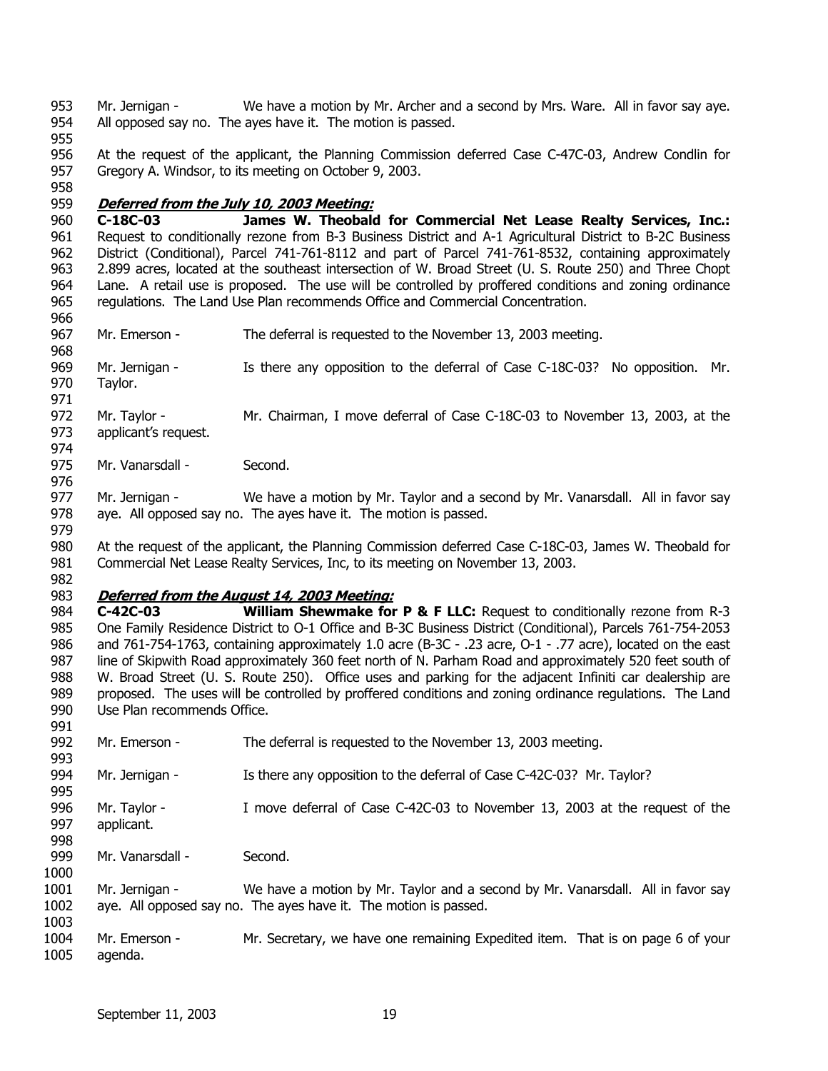953 954 Mr. Jernigan - We have a motion by Mr. Archer and a second by Mrs. Ware. All in favor say aye. All opposed say no. The ayes have it. The motion is passed.

955

958

966

974

976

956 957 At the request of the applicant, the Planning Commission deferred Case C-47C-03, Andrew Condlin for Gregory A. Windsor, to its meeting on October 9, 2003.

## 959 **Deferred from the July 10, 2003 Meeting:**

960 961 962 963 964 965 **C-18C-03 James W. Theobald for Commercial Net Lease Realty Services, Inc.:** Request to conditionally rezone from B-3 Business District and A-1 Agricultural District to B-2C Business District (Conditional), Parcel 741-761-8112 and part of Parcel 741-761-8532, containing approximately 2.899 acres, located at the southeast intersection of W. Broad Street (U. S. Route 250) and Three Chopt Lane. A retail use is proposed. The use will be controlled by proffered conditions and zoning ordinance regulations. The Land Use Plan recommends Office and Commercial Concentration.

- 967 Mr. Emerson - The deferral is requested to the November 13, 2003 meeting.
- 968 969 970 Mr. Jernigan - Is there any opposition to the deferral of Case C-18C-03? No opposition. Mr. Taylor.
- 971 972 973 Mr. Taylor - Mr. Chairman, I move deferral of Case C-18C-03 to November 13, 2003, at the applicant's request.
- 975 Mr. Vanarsdall - Second.

977 978 Mr. Jernigan - We have a motion by Mr. Taylor and a second by Mr. Vanarsdall. All in favor say aye. All opposed say no. The ayes have it. The motion is passed.

979 980 981 982 At the request of the applicant, the Planning Commission deferred Case C-18C-03, James W. Theobald for Commercial Net Lease Realty Services, Inc, to its meeting on November 13, 2003.

#### 983 **Deferred from the August 14, 2003 Meeting:**

984 985 986 987 988 989 990 **C-42C-03 William Shewmake for P & F LLC:** Request to conditionally rezone from R-3 One Family Residence District to O-1 Office and B-3C Business District (Conditional), Parcels 761-754-2053 and 761-754-1763, containing approximately 1.0 acre (B-3C - .23 acre, O-1 - .77 acre), located on the east line of Skipwith Road approximately 360 feet north of N. Parham Road and approximately 520 feet south of W. Broad Street (U. S. Route 250). Office uses and parking for the adjacent Infiniti car dealership are proposed. The uses will be controlled by proffered conditions and zoning ordinance regulations. The Land Use Plan recommends Office.

| 991  |                  |                                                                                 |
|------|------------------|---------------------------------------------------------------------------------|
| 992  | Mr. Emerson -    | The deferral is requested to the November 13, 2003 meeting.                     |
| 993  |                  |                                                                                 |
| 994  | Mr. Jernigan -   | Is there any opposition to the deferral of Case C-42C-03? Mr. Taylor?           |
| 995  |                  |                                                                                 |
| 996  | Mr. Taylor -     | I move deferral of Case C-42C-03 to November 13, 2003 at the request of the     |
| 997  | applicant.       |                                                                                 |
| 998  |                  |                                                                                 |
| 999  | Mr. Vanarsdall - | Second.                                                                         |
| 1000 |                  |                                                                                 |
| 1001 | Mr. Jernigan -   | We have a motion by Mr. Taylor and a second by Mr. Vanarsdall. All in favor say |
| 1002 |                  | aye. All opposed say no. The ayes have it. The motion is passed.                |
| 1003 |                  |                                                                                 |
| 1004 | Mr. Emerson -    | Mr. Secretary, we have one remaining Expedited item. That is on page 6 of your  |
| 1005 | agenda.          |                                                                                 |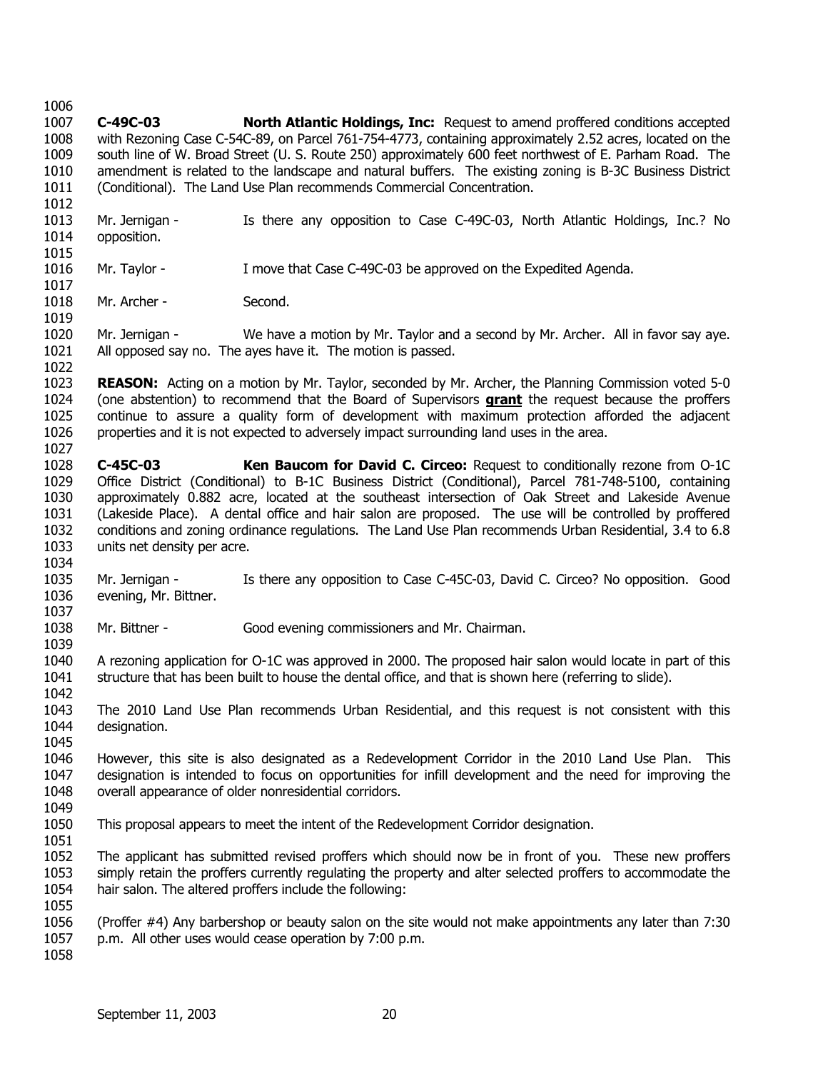1019

- 1007 1008 1009 1010 1011 1012 1013 1014 1015 **C-49C-03 North Atlantic Holdings, Inc:** Request to amend proffered conditions accepted with Rezoning Case C-54C-89, on Parcel 761-754-4773, containing approximately 2.52 acres, located on the south line of W. Broad Street (U. S. Route 250) approximately 600 feet northwest of E. Parham Road. The amendment is related to the landscape and natural buffers. The existing zoning is B-3C Business District (Conditional). The Land Use Plan recommends Commercial Concentration. Mr. Jernigan - Is there any opposition to Case C-49C-03, North Atlantic Holdings, Inc.? No opposition.
- 1016 1017 Mr. Taylor - I move that Case C-49C-03 be approved on the Expedited Agenda.
- 1018 Mr. Archer - Second.
- 1020 1021 1022 Mr. Jernigan - We have a motion by Mr. Taylor and a second by Mr. Archer. All in favor say aye. All opposed say no. The ayes have it. The motion is passed.
- 1023 **REASON:** Acting on a motion by Mr. Taylor, seconded by Mr. Archer, the Planning Commission voted 5-0 (one abstention) to recommend that the Board of Supervisors **grant** the request because the proffers continue to assure a quality form of development with maximum protection afforded the adjacent properties and it is not expected to adversely impact surrounding land uses in the area. 1024 1025 1026 1027
- 1028 1029 1030 1031 1032 1033 **C-45C-03 Ken Baucom for David C. Circeo:** Request to conditionally rezone from O-1C Office District (Conditional) to B-1C Business District (Conditional), Parcel 781-748-5100, containing approximately 0.882 acre, located at the southeast intersection of Oak Street and Lakeside Avenue (Lakeside Place). A dental office and hair salon are proposed. The use will be controlled by proffered conditions and zoning ordinance regulations. The Land Use Plan recommends Urban Residential, 3.4 to 6.8 units net density per acre.
- 1034
- 1035 1036 1037 Mr. Jernigan - Is there any opposition to Case C-45C-03, David C. Circeo? No opposition. Good evening, Mr. Bittner.
- 1038 Mr. Bittner - Good evening commissioners and Mr. Chairman.
- 1040 1041 1042 A rezoning application for O-1C was approved in 2000. The proposed hair salon would locate in part of this structure that has been built to house the dental office, and that is shown here (referring to slide).
- 1043 1044 The 2010 Land Use Plan recommends Urban Residential, and this request is not consistent with this designation.
- 1046 1047 1048 However, this site is also designated as a Redevelopment Corridor in the 2010 Land Use Plan. This designation is intended to focus on opportunities for infill development and the need for improving the overall appearance of older nonresidential corridors.
- 1049

1045

1039

- 1050 1051 This proposal appears to meet the intent of the Redevelopment Corridor designation.
- 1052 1053 1054 1055 The applicant has submitted revised proffers which should now be in front of you. These new proffers simply retain the proffers currently regulating the property and alter selected proffers to accommodate the hair salon. The altered proffers include the following:
- 1056 1057 (Proffer #4) Any barbershop or beauty salon on the site would not make appointments any later than 7:30 p.m. All other uses would cease operation by 7:00 p.m.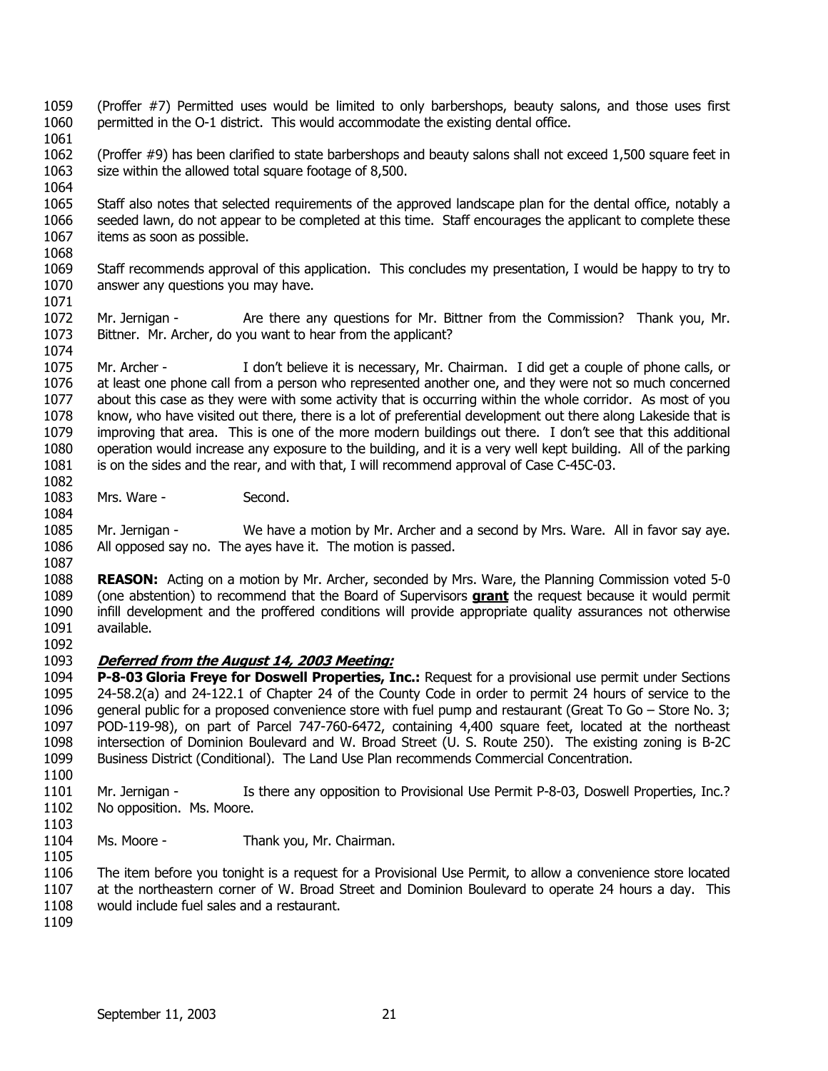- 1059 1060 (Proffer #7) Permitted uses would be limited to only barbershops, beauty salons, and those uses first permitted in the O-1 district. This would accommodate the existing dental office.
- 1061
- 1062 1063 1064 (Proffer #9) has been clarified to state barbershops and beauty salons shall not exceed 1,500 square feet in size within the allowed total square footage of 8,500.
- 1065 1066 1067 1068 Staff also notes that selected requirements of the approved landscape plan for the dental office, notably a seeded lawn, do not appear to be completed at this time. Staff encourages the applicant to complete these items as soon as possible.
- 1069 1070 1071 Staff recommends approval of this application. This concludes my presentation, I would be happy to try to answer any questions you may have.
- 1072 1073 1074 Mr. Jernigan - Are there any questions for Mr. Bittner from the Commission? Thank you, Mr. Bittner. Mr. Archer, do you want to hear from the applicant?
- 1075 1076 1077 1078 1079 1080 1081 Mr. Archer - I don't believe it is necessary, Mr. Chairman. I did get a couple of phone calls, or at least one phone call from a person who represented another one, and they were not so much concerned about this case as they were with some activity that is occurring within the whole corridor. As most of you know, who have visited out there, there is a lot of preferential development out there along Lakeside that is improving that area. This is one of the more modern buildings out there. I don't see that this additional operation would increase any exposure to the building, and it is a very well kept building. All of the parking is on the sides and the rear, and with that, I will recommend approval of Case C-45C-03.
- 1083 1084 Mrs. Ware - Second.
- 1085 1086 1087 Mr. Jernigan - We have a motion by Mr. Archer and a second by Mrs. Ware. All in favor say aye. All opposed say no. The ayes have it. The motion is passed.
- 1088 **REASON:** Acting on a motion by Mr. Archer, seconded by Mrs. Ware, the Planning Commission voted 5-0 (one abstention) to recommend that the Board of Supervisors **grant** the request because it would permit infill development and the proffered conditions will provide appropriate quality assurances not otherwise available. 1089 1090 1091
- 1092

## 1093 **Deferred from the August 14, 2003 Meeting:**

- 1094 1095 1096 1097 1098 1099 1100 **P-8-03 Gloria Freye for Doswell Properties, Inc.:** Request for a provisional use permit under Sections 24-58.2(a) and 24-122.1 of Chapter 24 of the County Code in order to permit 24 hours of service to the general public for a proposed convenience store with fuel pump and restaurant (Great To Go – Store No. 3; POD-119-98), on part of Parcel 747-760-6472, containing 4,400 square feet, located at the northeast intersection of Dominion Boulevard and W. Broad Street (U. S. Route 250). The existing zoning is B-2C Business District (Conditional). The Land Use Plan recommends Commercial Concentration.
- 1101 1102 Mr. Jernigan - Is there any opposition to Provisional Use Permit P-8-03, Doswell Properties, Inc.? No opposition. Ms. Moore.
- 1104 Ms. Moore - Thank you, Mr. Chairman.
- 1106 1107 1108 The item before you tonight is a request for a Provisional Use Permit, to allow a convenience store located at the northeastern corner of W. Broad Street and Dominion Boulevard to operate 24 hours a day. This would include fuel sales and a restaurant.
- 1109

1103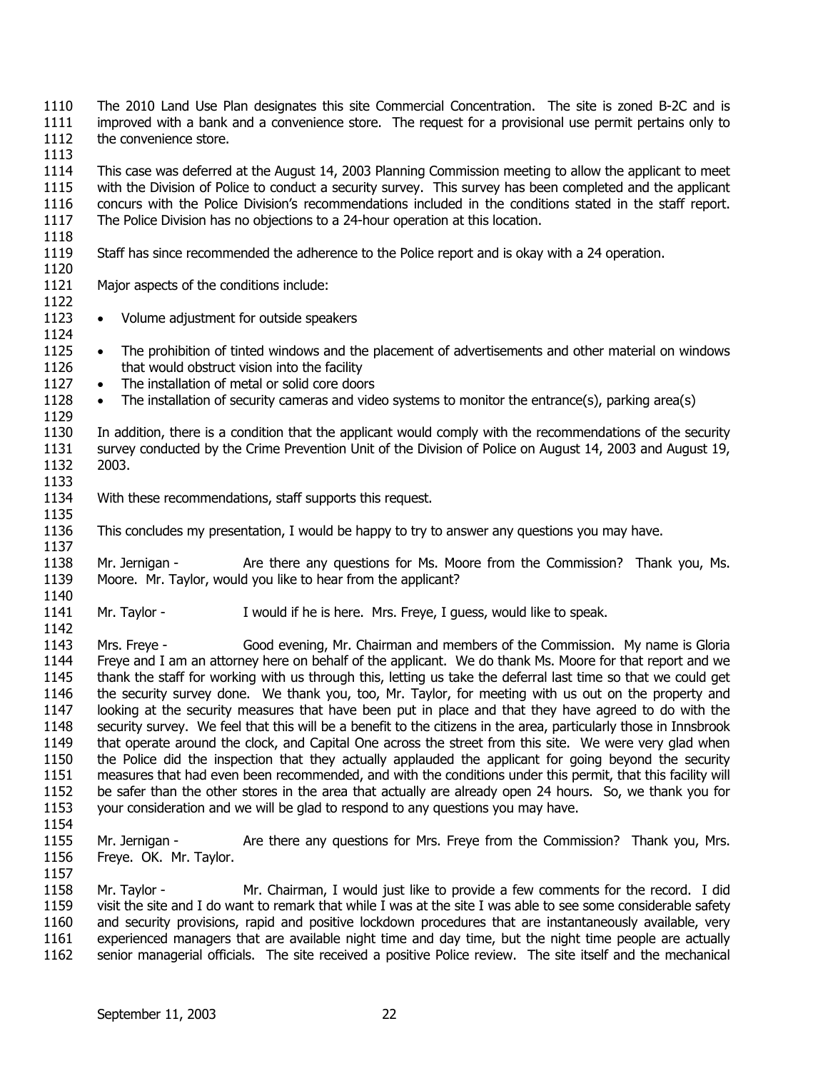1110 1111 1112 The 2010 Land Use Plan designates this site Commercial Concentration. The site is zoned B-2C and is improved with a bank and a convenience store. The request for a provisional use permit pertains only to the convenience store.

1113

1114 1115 1116 1117 This case was deferred at the August 14, 2003 Planning Commission meeting to allow the applicant to meet with the Division of Police to conduct a security survey. This survey has been completed and the applicant concurs with the Police Division's recommendations included in the conditions stated in the staff report. The Police Division has no objections to a 24-hour operation at this location.

- 1118
- 1119 Staff has since recommended the adherence to the Police report and is okay with a 24 operation.
- 1120 1121

Major aspects of the conditions include:

1122

1133

1135

1142

1157

- 1123 1124 • Volume adjustment for outside speakers
- 1125 1126 • The prohibition of tinted windows and the placement of advertisements and other material on windows that would obstruct vision into the facility
- 1127 • The installation of metal or solid core doors
- 1128 1129 The installation of security cameras and video systems to monitor the entrance(s), parking area(s)

1130 1131 1132 In addition, there is a condition that the applicant would comply with the recommendations of the security survey conducted by the Crime Prevention Unit of the Division of Police on August 14, 2003 and August 19, 2003.

- 1134 With these recommendations, staff supports this request.
- 1136 This concludes my presentation, I would be happy to try to answer any questions you may have.

1137 1138 1139 1140 Mr. Jernigan - Are there any questions for Ms. Moore from the Commission? Thank you, Ms. Moore. Mr. Taylor, would you like to hear from the applicant?

1141 Mr. Taylor - I would if he is here. Mrs. Freye, I guess, would like to speak.

1143 1144 1145 1146 1147 1148 1149 1150 1151 1152 1153 1154 Mrs. Freye - Good evening, Mr. Chairman and members of the Commission. My name is Gloria Freye and I am an attorney here on behalf of the applicant. We do thank Ms. Moore for that report and we thank the staff for working with us through this, letting us take the deferral last time so that we could get the security survey done. We thank you, too, Mr. Taylor, for meeting with us out on the property and looking at the security measures that have been put in place and that they have agreed to do with the security survey. We feel that this will be a benefit to the citizens in the area, particularly those in Innsbrook that operate around the clock, and Capital One across the street from this site. We were very glad when the Police did the inspection that they actually applauded the applicant for going beyond the security measures that had even been recommended, and with the conditions under this permit, that this facility will be safer than the other stores in the area that actually are already open 24 hours. So, we thank you for your consideration and we will be glad to respond to any questions you may have.

1155 1156 Mr. Jernigan - Are there any questions for Mrs. Freye from the Commission? Thank you, Mrs. Freye. OK. Mr. Taylor.

1158 1159 1160 1161 1162 Mr. Taylor - Mr. Chairman, I would just like to provide a few comments for the record. I did visit the site and I do want to remark that while I was at the site I was able to see some considerable safety and security provisions, rapid and positive lockdown procedures that are instantaneously available, very experienced managers that are available night time and day time, but the night time people are actually senior managerial officials. The site received a positive Police review. The site itself and the mechanical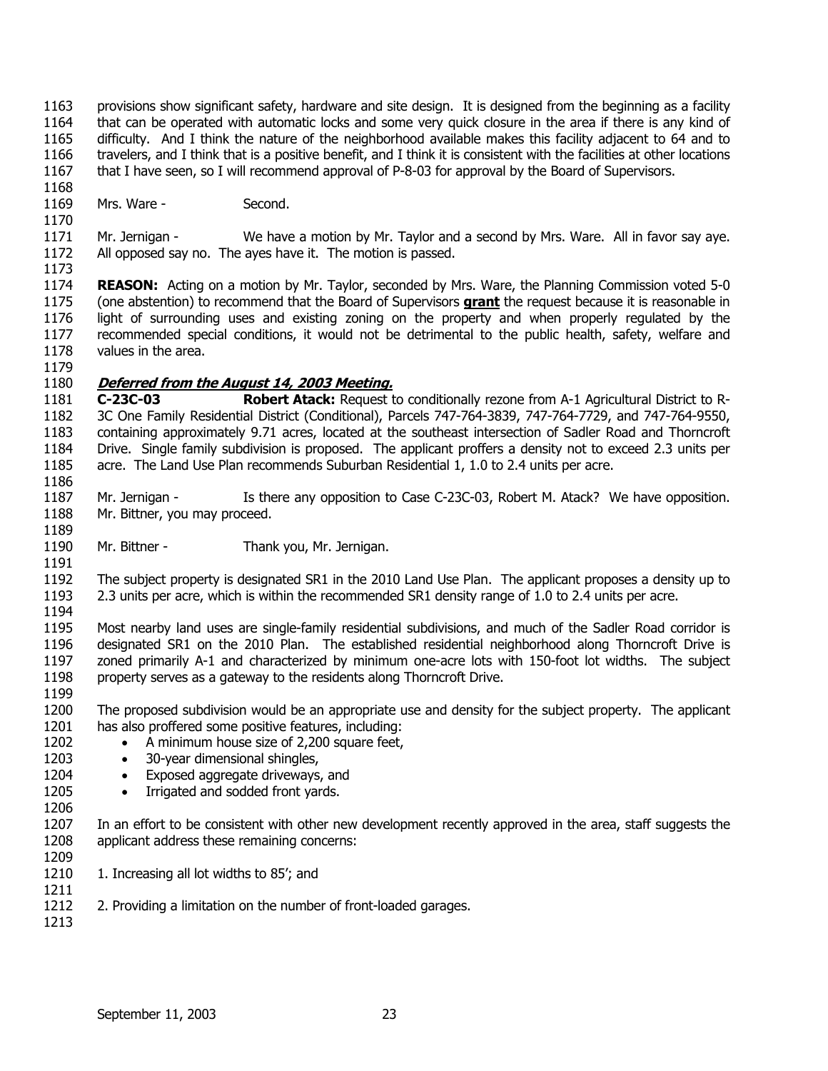- 1163 1164 1165 1166 1167 provisions show significant safety, hardware and site design. It is designed from the beginning as a facility that can be operated with automatic locks and some very quick closure in the area if there is any kind of difficulty. And I think the nature of the neighborhood available makes this facility adjacent to 64 and to travelers, and I think that is a positive benefit, and I think it is consistent with the facilities at other locations that I have seen, so I will recommend approval of P-8-03 for approval by the Board of Supervisors.
- 1168 1169 Mrs. Ware - Second.

1173

1171 1172 Mr. Jernigan - We have a motion by Mr. Taylor and a second by Mrs. Ware. All in favor say aye. All opposed say no. The ayes have it. The motion is passed.

1174 **REASON:** Acting on a motion by Mr. Taylor, seconded by Mrs. Ware, the Planning Commission voted 5-0 (one abstention) to recommend that the Board of Supervisors **grant** the request because it is reasonable in light of surrounding uses and existing zoning on the property and when properly regulated by the recommended special conditions, it would not be detrimental to the public health, safety, welfare and values in the area. 1175 1176 1177 1178 1179

## 1180 **Deferred from the August 14, 2003 Meeting.**

1181 1182 1183 1184 1185 1186 **C-23C-03 Robert Atack:** Request to conditionally rezone from A-1 Agricultural District to R-3C One Family Residential District (Conditional), Parcels 747-764-3839, 747-764-7729, and 747-764-9550, containing approximately 9.71 acres, located at the southeast intersection of Sadler Road and Thorncroft Drive. Single family subdivision is proposed. The applicant proffers a density not to exceed 2.3 units per acre. The Land Use Plan recommends Suburban Residential 1, 1.0 to 2.4 units per acre.

- 1187 1188 1189 Mr. Jernigan - Is there any opposition to Case C-23C-03, Robert M. Atack? We have opposition. Mr. Bittner, you may proceed.
- 1190 1191 Mr. Bittner - Thank you, Mr. Jernigan.

1192 1193 1194 The subject property is designated SR1 in the 2010 Land Use Plan. The applicant proposes a density up to 2.3 units per acre, which is within the recommended SR1 density range of 1.0 to 2.4 units per acre.

1195 1196 1197 1198 1199 Most nearby land uses are single-family residential subdivisions, and much of the Sadler Road corridor is designated SR1 on the 2010 Plan. The established residential neighborhood along Thorncroft Drive is zoned primarily A-1 and characterized by minimum one-acre lots with 150-foot lot widths. The subject property serves as a gateway to the residents along Thorncroft Drive.

- 1200 1201 The proposed subdivision would be an appropriate use and density for the subject property. The applicant has also proffered some positive features, including:
	- A minimum house size of 2,200 square feet,
	- 30-year dimensional shingles,
	- Exposed aggregate driveways, and
	- Irrigated and sodded front yards.
- 1207 1208 In an effort to be consistent with other new development recently approved in the area, staff suggests the applicant address these remaining concerns:
- 1209 1210

1211

- 1. Increasing all lot widths to 85'; and
- 1212 2. Providing a limitation on the number of front-loaded garages.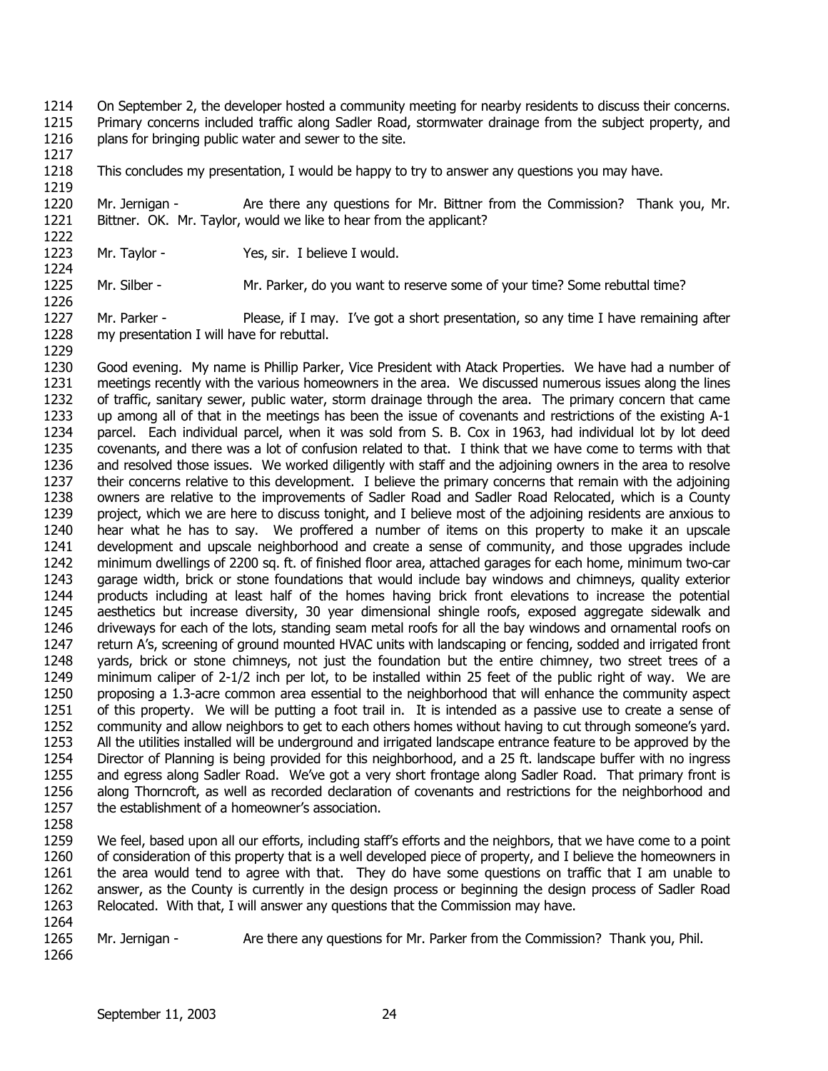- 1214 1215 1216 On September 2, the developer hosted a community meeting for nearby residents to discuss their concerns. Primary concerns included traffic along Sadler Road, stormwater drainage from the subject property, and plans for bringing public water and sewer to the site.
- 1218 This concludes my presentation, I would be happy to try to answer any questions you may have.

1220 1221 Mr. Jernigan - Are there any questions for Mr. Bittner from the Commission? Thank you, Mr. Bittner. OK. Mr. Taylor, would we like to hear from the applicant?

- 1223 Mr. Taylor - Yes, sir. I believe I would.
- 1225 Mr. Silber - Mr. Parker, do you want to reserve some of your time? Some rebuttal time?

1227 1228 Mr. Parker - Please, if I may. I've got a short presentation, so any time I have remaining after my presentation I will have for rebuttal.

- 1230 1231 1232 1233 1234 1235 1236 1237 1238 1239 1240 1241 1242 1243 1244 1245 1246 1247 1248 1249 1250 1251 1252 1253 1254 1255 1256 1257 Good evening. My name is Phillip Parker, Vice President with Atack Properties. We have had a number of meetings recently with the various homeowners in the area. We discussed numerous issues along the lines of traffic, sanitary sewer, public water, storm drainage through the area. The primary concern that came up among all of that in the meetings has been the issue of covenants and restrictions of the existing A-1 parcel. Each individual parcel, when it was sold from S. B. Cox in 1963, had individual lot by lot deed covenants, and there was a lot of confusion related to that. I think that we have come to terms with that and resolved those issues. We worked diligently with staff and the adjoining owners in the area to resolve their concerns relative to this development. I believe the primary concerns that remain with the adjoining owners are relative to the improvements of Sadler Road and Sadler Road Relocated, which is a County project, which we are here to discuss tonight, and I believe most of the adjoining residents are anxious to hear what he has to say. We proffered a number of items on this property to make it an upscale development and upscale neighborhood and create a sense of community, and those upgrades include minimum dwellings of 2200 sq. ft. of finished floor area, attached garages for each home, minimum two-car garage width, brick or stone foundations that would include bay windows and chimneys, quality exterior products including at least half of the homes having brick front elevations to increase the potential aesthetics but increase diversity, 30 year dimensional shingle roofs, exposed aggregate sidewalk and driveways for each of the lots, standing seam metal roofs for all the bay windows and ornamental roofs on return A's, screening of ground mounted HVAC units with landscaping or fencing, sodded and irrigated front yards, brick or stone chimneys, not just the foundation but the entire chimney, two street trees of a minimum caliper of 2-1/2 inch per lot, to be installed within 25 feet of the public right of way. We are proposing a 1.3-acre common area essential to the neighborhood that will enhance the community aspect of this property. We will be putting a foot trail in. It is intended as a passive use to create a sense of community and allow neighbors to get to each others homes without having to cut through someone's yard. All the utilities installed will be underground and irrigated landscape entrance feature to be approved by the Director of Planning is being provided for this neighborhood, and a 25 ft. landscape buffer with no ingress and egress along Sadler Road. We've got a very short frontage along Sadler Road. That primary front is along Thorncroft, as well as recorded declaration of covenants and restrictions for the neighborhood and the establishment of a homeowner's association.
- 1258

1217

1219

1222

1224

1226

1229

1259 1260 1261 1262 1263 1264 We feel, based upon all our efforts, including staff's efforts and the neighbors, that we have come to a point of consideration of this property that is a well developed piece of property, and I believe the homeowners in the area would tend to agree with that. They do have some questions on traffic that I am unable to answer, as the County is currently in the design process or beginning the design process of Sadler Road Relocated. With that, I will answer any questions that the Commission may have.

1265 Mr. Jernigan - Are there any questions for Mr. Parker from the Commission? Thank you, Phil.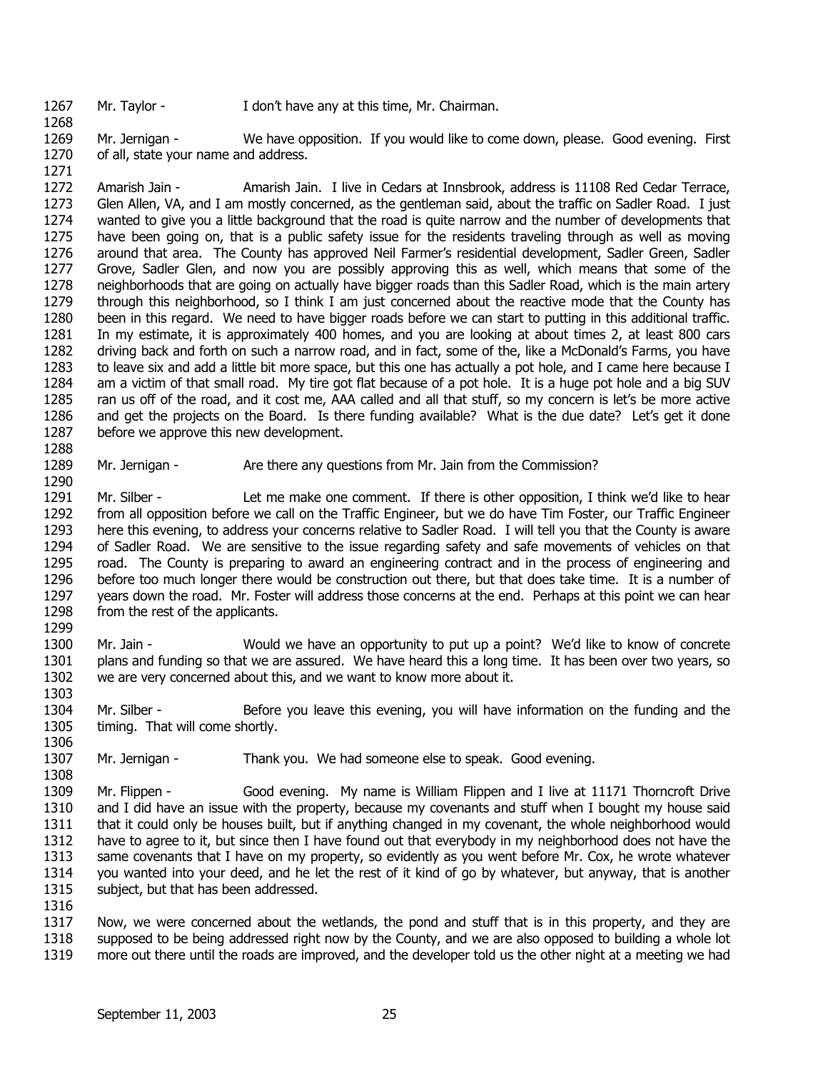Mr. Taylor - I don't have any at this time, Mr. Chairman.

1269 1270 Mr. Jernigan - We have opposition. If you would like to come down, please. Good evening. First of all, state your name and address.

1271

1268

1272 1273 1274 1275 1276 1277 1278 1279 1280 1281 1282 1283 1284 1285 1286 1287 Amarish Jain - Amarish Jain. I live in Cedars at Innsbrook, address is 11108 Red Cedar Terrace, Glen Allen, VA, and I am mostly concerned, as the gentleman said, about the traffic on Sadler Road. I just wanted to give you a little background that the road is quite narrow and the number of developments that have been going on, that is a public safety issue for the residents traveling through as well as moving around that area. The County has approved Neil Farmer's residential development, Sadler Green, Sadler Grove, Sadler Glen, and now you are possibly approving this as well, which means that some of the neighborhoods that are going on actually have bigger roads than this Sadler Road, which is the main artery through this neighborhood, so I think I am just concerned about the reactive mode that the County has been in this regard. We need to have bigger roads before we can start to putting in this additional traffic. In my estimate, it is approximately 400 homes, and you are looking at about times 2, at least 800 cars driving back and forth on such a narrow road, and in fact, some of the, like a McDonald's Farms, you have to leave six and add a little bit more space, but this one has actually a pot hole, and I came here because I am a victim of that small road. My tire got flat because of a pot hole. It is a huge pot hole and a big SUV ran us off of the road, and it cost me, AAA called and all that stuff, so my concern is let's be more active and get the projects on the Board. Is there funding available? What is the due date? Let's get it done before we approve this new development.

- 1288 1289 1290
- Mr. Jernigan Are there any questions from Mr. Jain from the Commission?

1291 1292 1293 1294 1295 1296 1297 1298 1299 Mr. Silber - Let me make one comment. If there is other opposition, I think we'd like to hear from all opposition before we call on the Traffic Engineer, but we do have Tim Foster, our Traffic Engineer here this evening, to address your concerns relative to Sadler Road. I will tell you that the County is aware of Sadler Road. We are sensitive to the issue regarding safety and safe movements of vehicles on that road. The County is preparing to award an engineering contract and in the process of engineering and before too much longer there would be construction out there, but that does take time. It is a number of years down the road. Mr. Foster will address those concerns at the end. Perhaps at this point we can hear from the rest of the applicants.

1300 1301 1302 1303 Mr. Jain - Would we have an opportunity to put up a point? We'd like to know of concrete plans and funding so that we are assured. We have heard this a long time. It has been over two years, so we are very concerned about this, and we want to know more about it.

1304 1305 1306 Mr. Silber - Before you leave this evening, you will have information on the funding and the timing. That will come shortly.

1307 Mr. Jernigan - Thank you. We had someone else to speak. Good evening.

1309 1310 1311 1312 1313 1314 1315 Mr. Flippen - Good evening. My name is William Flippen and I live at 11171 Thorncroft Drive and I did have an issue with the property, because my covenants and stuff when I bought my house said that it could only be houses built, but if anything changed in my covenant, the whole neighborhood would have to agree to it, but since then I have found out that everybody in my neighborhood does not have the same covenants that I have on my property, so evidently as you went before Mr. Cox, he wrote whatever you wanted into your deed, and he let the rest of it kind of go by whatever, but anyway, that is another subject, but that has been addressed.

1316

1308

1317 1318 1319 Now, we were concerned about the wetlands, the pond and stuff that is in this property, and they are supposed to be being addressed right now by the County, and we are also opposed to building a whole lot more out there until the roads are improved, and the developer told us the other night at a meeting we had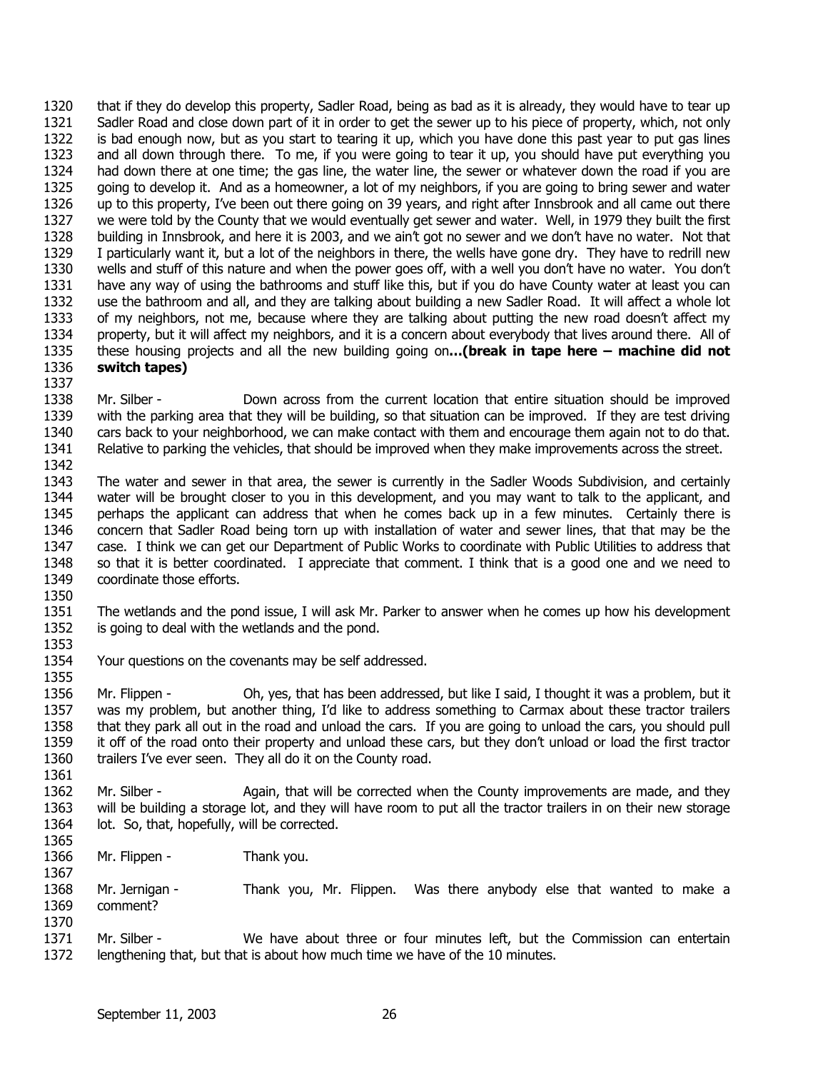1320 1321 1322 1323 1324 1325 1326 1327 1328 1329 1330 1331 1332 1333 1334 1335 1336 1337 that if they do develop this property, Sadler Road, being as bad as it is already, they would have to tear up Sadler Road and close down part of it in order to get the sewer up to his piece of property, which, not only is bad enough now, but as you start to tearing it up, which you have done this past year to put gas lines and all down through there. To me, if you were going to tear it up, you should have put everything you had down there at one time; the gas line, the water line, the sewer or whatever down the road if you are going to develop it. And as a homeowner, a lot of my neighbors, if you are going to bring sewer and water up to this property, I've been out there going on 39 years, and right after Innsbrook and all came out there we were told by the County that we would eventually get sewer and water. Well, in 1979 they built the first building in Innsbrook, and here it is 2003, and we ain't got no sewer and we don't have no water. Not that I particularly want it, but a lot of the neighbors in there, the wells have gone dry. They have to redrill new wells and stuff of this nature and when the power goes off, with a well you don't have no water. You don't have any way of using the bathrooms and stuff like this, but if you do have County water at least you can use the bathroom and all, and they are talking about building a new Sadler Road. It will affect a whole lot of my neighbors, not me, because where they are talking about putting the new road doesn't affect my property, but it will affect my neighbors, and it is a concern about everybody that lives around there. All of these housing projects and all the new building going on**…(break in tape here – machine did not switch tapes)** 

- 1338 1339 1340 1341 1342 Mr. Silber - Down across from the current location that entire situation should be improved with the parking area that they will be building, so that situation can be improved. If they are test driving cars back to your neighborhood, we can make contact with them and encourage them again not to do that. Relative to parking the vehicles, that should be improved when they make improvements across the street.
- 1343 1344 1345 1346 1347 1348 1349 1350 The water and sewer in that area, the sewer is currently in the Sadler Woods Subdivision, and certainly water will be brought closer to you in this development, and you may want to talk to the applicant, and perhaps the applicant can address that when he comes back up in a few minutes. Certainly there is concern that Sadler Road being torn up with installation of water and sewer lines, that that may be the case. I think we can get our Department of Public Works to coordinate with Public Utilities to address that so that it is better coordinated. I appreciate that comment. I think that is a good one and we need to coordinate those efforts.
- 1351 1352 The wetlands and the pond issue, I will ask Mr. Parker to answer when he comes up how his development is going to deal with the wetlands and the pond.
- 1354 Your questions on the covenants may be self addressed.
- 1356 1357 1358 1359 1360 Mr. Flippen - Oh, yes, that has been addressed, but like I said, I thought it was a problem, but it was my problem, but another thing, I'd like to address something to Carmax about these tractor trailers that they park all out in the road and unload the cars. If you are going to unload the cars, you should pull it off of the road onto their property and unload these cars, but they don't unload or load the first tractor trailers I've ever seen. They all do it on the County road.
- 1362 1363 1364 Mr. Silber - Again, that will be corrected when the County improvements are made, and they will be building a storage lot, and they will have room to put all the tractor trailers in on their new storage lot. So, that, hopefully, will be corrected.
- 1365 1366

1367

1353

1355

- Mr. Flippen Thank you.
- 1368 1369 1370 Mr. Jernigan - Thank you, Mr. Flippen. Was there anybody else that wanted to make a comment?
- 1371 1372 Mr. Silber - We have about three or four minutes left, but the Commission can entertain lengthening that, but that is about how much time we have of the 10 minutes.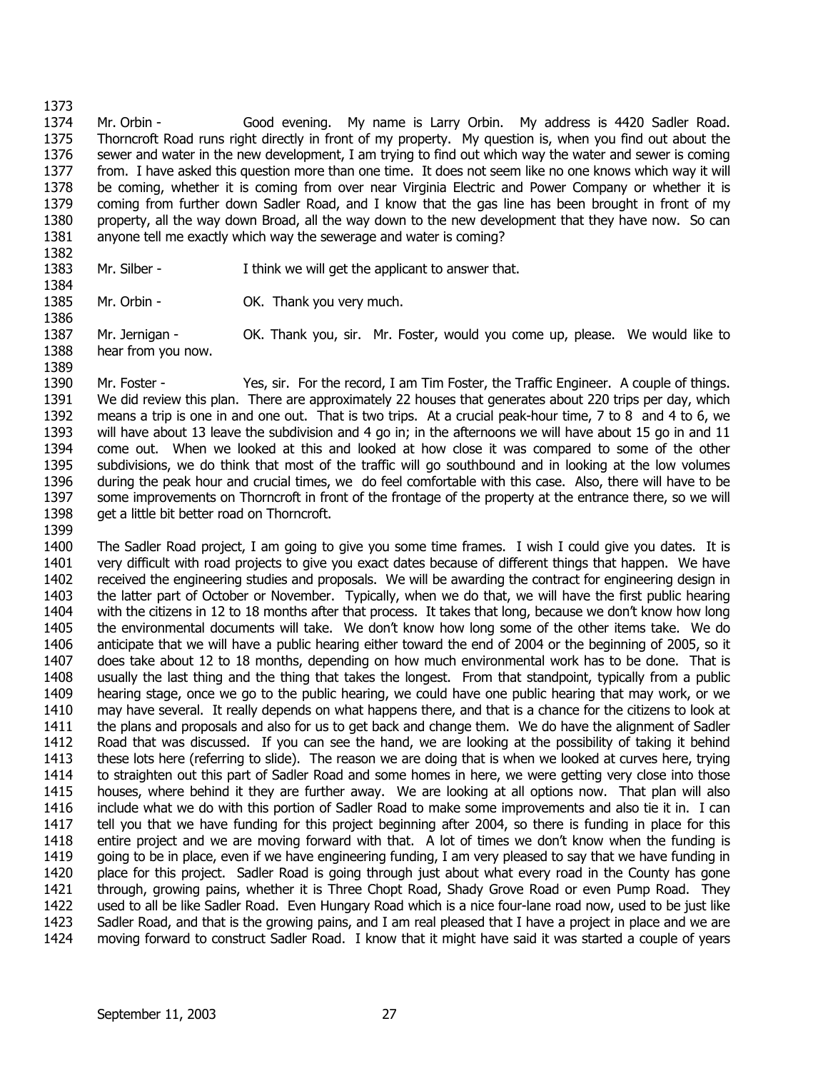1373 1374 1375 1376 1377 1378 1379 1380 1381 Mr. Orbin - Good evening. My name is Larry Orbin. My address is 4420 Sadler Road. Thorncroft Road runs right directly in front of my property. My question is, when you find out about the sewer and water in the new development, I am trying to find out which way the water and sewer is coming from. I have asked this question more than one time. It does not seem like no one knows which way it will be coming, whether it is coming from over near Virginia Electric and Power Company or whether it is coming from further down Sadler Road, and I know that the gas line has been brought in front of my property, all the way down Broad, all the way down to the new development that they have now. So can anyone tell me exactly which way the sewerage and water is coming?

1382 1383 1384

1386

1389

Mr. Silber - I think we will get the applicant to answer that.

1385 Mr. Orbin - **OK.** Thank you very much.

1387 1388 Mr. Jernigan - OK. Thank you, sir. Mr. Foster, would you come up, please. We would like to hear from you now.

1390 1391 1392 1393 1394 1395 1396 1397 1398 1399 Mr. Foster - Yes, sir. For the record, I am Tim Foster, the Traffic Engineer. A couple of things. We did review this plan. There are approximately 22 houses that generates about 220 trips per day, which means a trip is one in and one out. That is two trips. At a crucial peak-hour time, 7 to 8 and 4 to 6, we will have about 13 leave the subdivision and 4 go in; in the afternoons we will have about 15 go in and 11 come out. When we looked at this and looked at how close it was compared to some of the other subdivisions, we do think that most of the traffic will go southbound and in looking at the low volumes during the peak hour and crucial times, we do feel comfortable with this case. Also, there will have to be some improvements on Thorncroft in front of the frontage of the property at the entrance there, so we will get a little bit better road on Thorncroft.

1400 1401 1402 1403 1404 1405 1406 1407 1408 1409 1410 1411 1412 1413 1414 1415 1416 1417 1418 1419 1420 1421 1422 1423 1424 The Sadler Road project, I am going to give you some time frames. I wish I could give you dates. It is very difficult with road projects to give you exact dates because of different things that happen. We have received the engineering studies and proposals. We will be awarding the contract for engineering design in the latter part of October or November. Typically, when we do that, we will have the first public hearing with the citizens in 12 to 18 months after that process. It takes that long, because we don't know how long the environmental documents will take. We don't know how long some of the other items take. We do anticipate that we will have a public hearing either toward the end of 2004 or the beginning of 2005, so it does take about 12 to 18 months, depending on how much environmental work has to be done. That is usually the last thing and the thing that takes the longest. From that standpoint, typically from a public hearing stage, once we go to the public hearing, we could have one public hearing that may work, or we may have several. It really depends on what happens there, and that is a chance for the citizens to look at the plans and proposals and also for us to get back and change them. We do have the alignment of Sadler Road that was discussed. If you can see the hand, we are looking at the possibility of taking it behind these lots here (referring to slide). The reason we are doing that is when we looked at curves here, trying to straighten out this part of Sadler Road and some homes in here, we were getting very close into those houses, where behind it they are further away. We are looking at all options now. That plan will also include what we do with this portion of Sadler Road to make some improvements and also tie it in. I can tell you that we have funding for this project beginning after 2004, so there is funding in place for this entire project and we are moving forward with that. A lot of times we don't know when the funding is going to be in place, even if we have engineering funding, I am very pleased to say that we have funding in place for this project. Sadler Road is going through just about what every road in the County has gone through, growing pains, whether it is Three Chopt Road, Shady Grove Road or even Pump Road. They used to all be like Sadler Road. Even Hungary Road which is a nice four-lane road now, used to be just like Sadler Road, and that is the growing pains, and I am real pleased that I have a project in place and we are moving forward to construct Sadler Road. I know that it might have said it was started a couple of years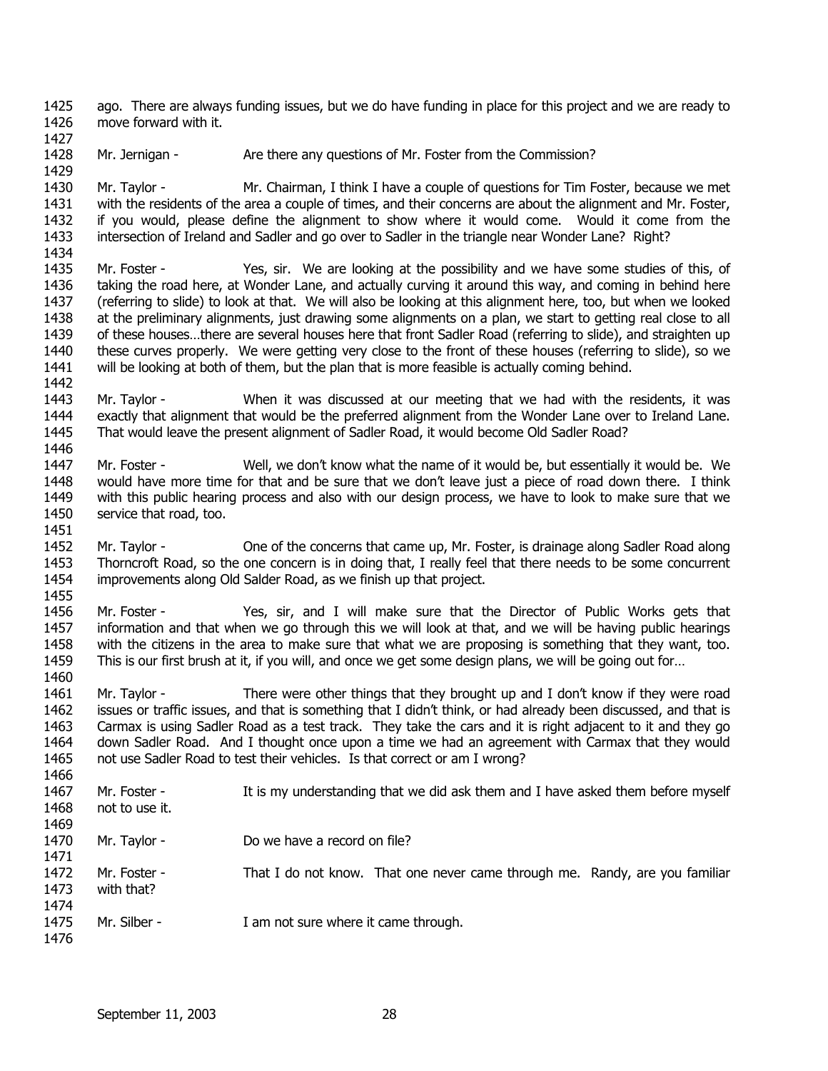1425 1426 ago. There are always funding issues, but we do have funding in place for this project and we are ready to move forward with it.

1428 1429 Mr. Jernigan - Are there any questions of Mr. Foster from the Commission?

1427

1430 1431 1432 1433 1434 Mr. Taylor - Mr. Chairman, I think I have a couple of questions for Tim Foster, because we met with the residents of the area a couple of times, and their concerns are about the alignment and Mr. Foster, if you would, please define the alignment to show where it would come. Would it come from the intersection of Ireland and Sadler and go over to Sadler in the triangle near Wonder Lane? Right?

- 1435 1436 1437 1438 1439 1440 1441 Mr. Foster - Yes, sir. We are looking at the possibility and we have some studies of this, of taking the road here, at Wonder Lane, and actually curving it around this way, and coming in behind here (referring to slide) to look at that. We will also be looking at this alignment here, too, but when we looked at the preliminary alignments, just drawing some alignments on a plan, we start to getting real close to all of these houses…there are several houses here that front Sadler Road (referring to slide), and straighten up these curves properly. We were getting very close to the front of these houses (referring to slide), so we will be looking at both of them, but the plan that is more feasible is actually coming behind.
- 1442 1443 1444 1445 1446 Mr. Taylor - When it was discussed at our meeting that we had with the residents, it was exactly that alignment that would be the preferred alignment from the Wonder Lane over to Ireland Lane. That would leave the present alignment of Sadler Road, it would become Old Sadler Road?
- 1447 1448 1449 1450 1451 Mr. Foster - Well, we don't know what the name of it would be, but essentially it would be. We would have more time for that and be sure that we don't leave just a piece of road down there. I think with this public hearing process and also with our design process, we have to look to make sure that we service that road, too.
- 1452 1453 1454 1455 Mr. Taylor - One of the concerns that came up, Mr. Foster, is drainage along Sadler Road along Thorncroft Road, so the one concern is in doing that, I really feel that there needs to be some concurrent improvements along Old Salder Road, as we finish up that project.
- 1456 1457 1458 1459 1460 Mr. Foster - Yes, sir, and I will make sure that the Director of Public Works gets that information and that when we go through this we will look at that, and we will be having public hearings with the citizens in the area to make sure that what we are proposing is something that they want, too. This is our first brush at it, if you will, and once we get some design plans, we will be going out for…
- 1461 1462 1463 1464 1465 Mr. Taylor - There were other things that they brought up and I don't know if they were road issues or traffic issues, and that is something that I didn't think, or had already been discussed, and that is Carmax is using Sadler Road as a test track. They take the cars and it is right adjacent to it and they go down Sadler Road. And I thought once upon a time we had an agreement with Carmax that they would not use Sadler Road to test their vehicles. Is that correct or am I wrong?
- 1466 1467 1468 1469 1470 1471 1472 1473 1474 1475 1476 Mr. Foster - It is my understanding that we did ask them and I have asked them before myself not to use it. Mr. Taylor - Do we have a record on file? Mr. Foster - That I do not know. That one never came through me. Randy, are you familiar with that? Mr. Silber - I am not sure where it came through.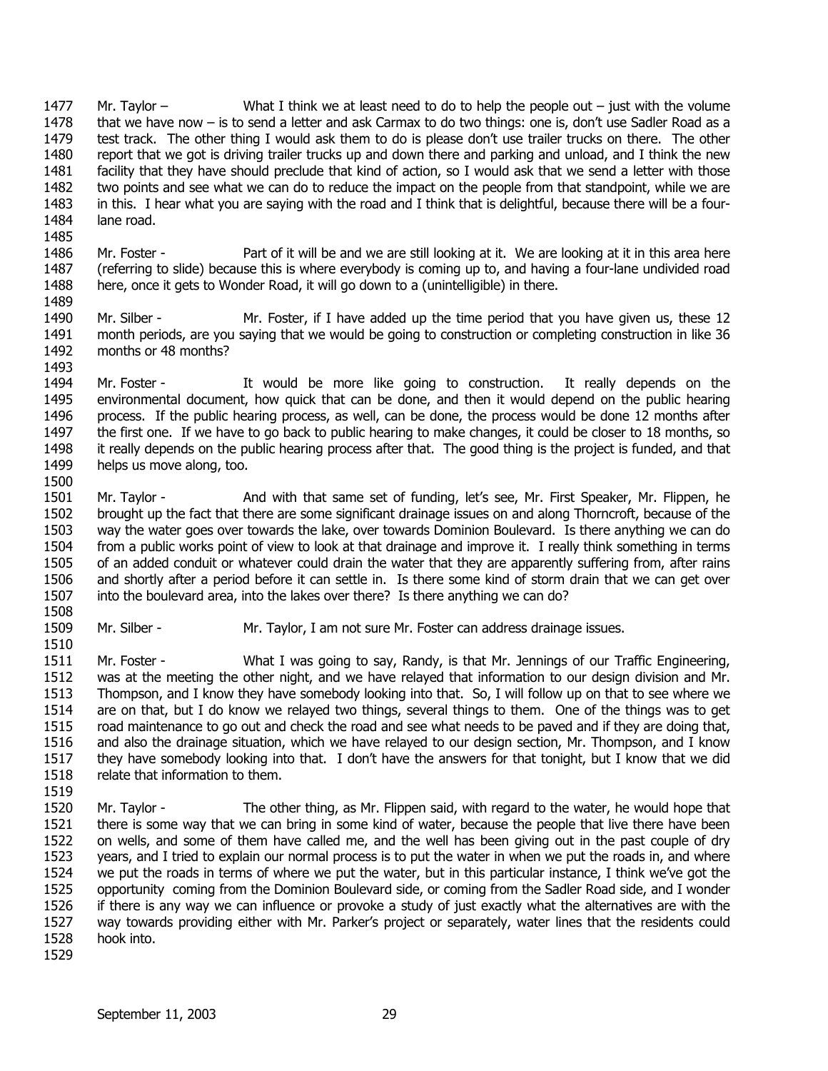1477 1478 1479 1480 1481 1482 1483 1484 1485 Mr. Taylor – What I think we at least need to do to help the people out – just with the volume that we have now – is to send a letter and ask Carmax to do two things: one is, don't use Sadler Road as a test track. The other thing I would ask them to do is please don't use trailer trucks on there. The other report that we got is driving trailer trucks up and down there and parking and unload, and I think the new facility that they have should preclude that kind of action, so I would ask that we send a letter with those two points and see what we can do to reduce the impact on the people from that standpoint, while we are in this. I hear what you are saying with the road and I think that is delightful, because there will be a fourlane road.

- 1486 1487 1488 1489 Mr. Foster - Part of it will be and we are still looking at it. We are looking at it in this area here (referring to slide) because this is where everybody is coming up to, and having a four-lane undivided road here, once it gets to Wonder Road, it will go down to a (unintelligible) in there.
- 1490 1491 1492 1493 Mr. Silber - Mr. Foster, if I have added up the time period that you have given us, these 12 month periods, are you saying that we would be going to construction or completing construction in like 36 months or 48 months?
- 1494 1495 1496 1497 1498 1499 Mr. Foster - It would be more like going to construction. It really depends on the environmental document, how quick that can be done, and then it would depend on the public hearing process. If the public hearing process, as well, can be done, the process would be done 12 months after the first one. If we have to go back to public hearing to make changes, it could be closer to 18 months, so it really depends on the public hearing process after that. The good thing is the project is funded, and that helps us move along, too.
- 1501 1502 1503 1504 1505 1506 1507 Mr. Taylor - And with that same set of funding, let's see, Mr. First Speaker, Mr. Flippen, he brought up the fact that there are some significant drainage issues on and along Thorncroft, because of the way the water goes over towards the lake, over towards Dominion Boulevard. Is there anything we can do from a public works point of view to look at that drainage and improve it. I really think something in terms of an added conduit or whatever could drain the water that they are apparently suffering from, after rains and shortly after a period before it can settle in. Is there some kind of storm drain that we can get over into the boulevard area, into the lakes over there? Is there anything we can do?
- 1508 1509

1510

- Mr. Silber Mr. Taylor, I am not sure Mr. Foster can address drainage issues.
- 1511 1512 1513 1514 1515 1516 1517 1518 Mr. Foster - What I was going to say, Randy, is that Mr. Jennings of our Traffic Engineering, was at the meeting the other night, and we have relayed that information to our design division and Mr. Thompson, and I know they have somebody looking into that. So, I will follow up on that to see where we are on that, but I do know we relayed two things, several things to them. One of the things was to get road maintenance to go out and check the road and see what needs to be paved and if they are doing that, and also the drainage situation, which we have relayed to our design section, Mr. Thompson, and I know they have somebody looking into that. I don't have the answers for that tonight, but I know that we did relate that information to them.
- 1519
- 1520 1521 1522 1523 1524 1525 1526 1527 1528 1529 Mr. Taylor - The other thing, as Mr. Flippen said, with regard to the water, he would hope that there is some way that we can bring in some kind of water, because the people that live there have been on wells, and some of them have called me, and the well has been giving out in the past couple of dry years, and I tried to explain our normal process is to put the water in when we put the roads in, and where we put the roads in terms of where we put the water, but in this particular instance, I think we've got the opportunity coming from the Dominion Boulevard side, or coming from the Sadler Road side, and I wonder if there is any way we can influence or provoke a study of just exactly what the alternatives are with the way towards providing either with Mr. Parker's project or separately, water lines that the residents could hook into.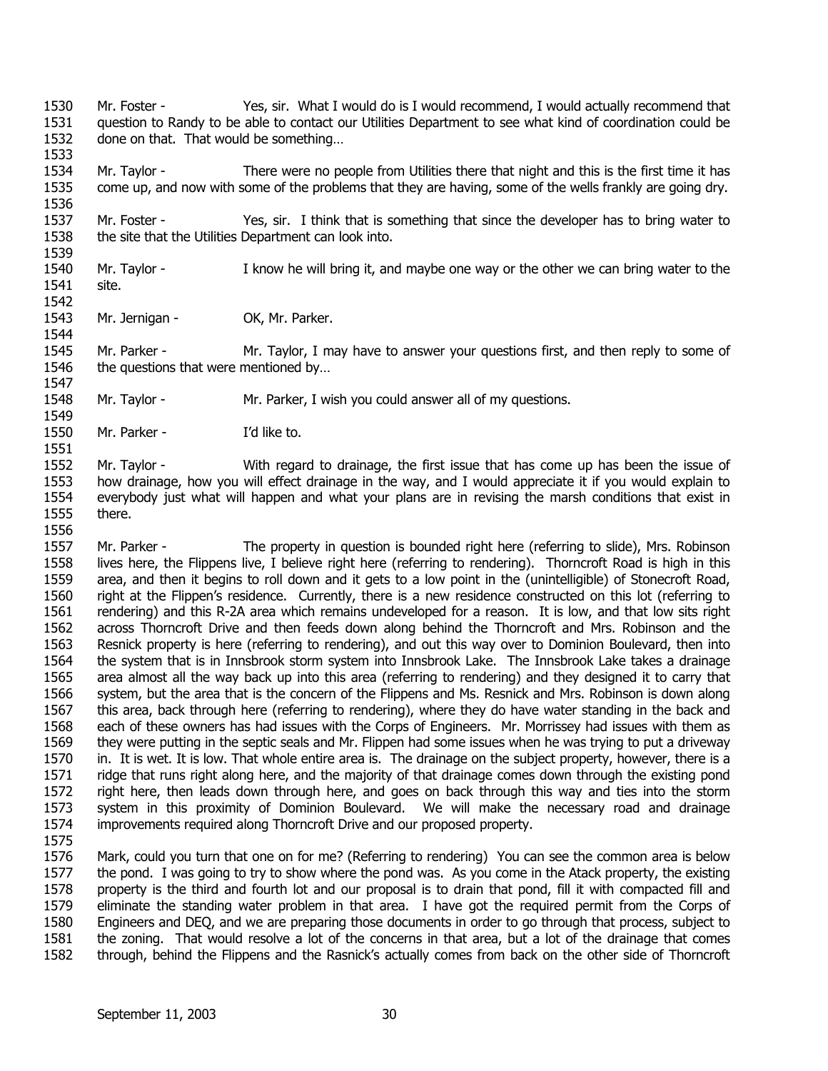- 1530 1531 1532 Mr. Foster - Yes, sir. What I would do is I would recommend, I would actually recommend that question to Randy to be able to contact our Utilities Department to see what kind of coordination could be done on that. That would be something…
- 1534 1535 1536 Mr. Taylor - There were no people from Utilities there that night and this is the first time it has come up, and now with some of the problems that they are having, some of the wells frankly are going dry.
- 1537 1538 1539 Mr. Foster - Yes, sir. I think that is something that since the developer has to bring water to the site that the Utilities Department can look into.
- 1540 1541 Mr. Taylor - I know he will bring it, and maybe one way or the other we can bring water to the site.
- 1543 1544 Mr. Jernigan - OK, Mr. Parker.

1545 1546 1547 Mr. Parker - Mr. Taylor, I may have to answer your questions first, and then reply to some of the questions that were mentioned by…

1548 Mr. Taylor - Mr. Parker, I wish you could answer all of my questions.

1550 1551 Mr. Parker - I'd like to.

1552 1553 1554 1555 1556 Mr. Taylor - With regard to drainage, the first issue that has come up has been the issue of how drainage, how you will effect drainage in the way, and I would appreciate it if you would explain to everybody just what will happen and what your plans are in revising the marsh conditions that exist in there.

- 1557 1558 1559 1560 1561 1562 1563 1564 1565 1566 1567 1568 1569 1570 1571 1572 1573 1574 Mr. Parker - The property in question is bounded right here (referring to slide), Mrs. Robinson lives here, the Flippens live, I believe right here (referring to rendering). Thorncroft Road is high in this area, and then it begins to roll down and it gets to a low point in the (unintelligible) of Stonecroft Road, right at the Flippen's residence. Currently, there is a new residence constructed on this lot (referring to rendering) and this R-2A area which remains undeveloped for a reason. It is low, and that low sits right across Thorncroft Drive and then feeds down along behind the Thorncroft and Mrs. Robinson and the Resnick property is here (referring to rendering), and out this way over to Dominion Boulevard, then into the system that is in Innsbrook storm system into Innsbrook Lake. The Innsbrook Lake takes a drainage area almost all the way back up into this area (referring to rendering) and they designed it to carry that system, but the area that is the concern of the Flippens and Ms. Resnick and Mrs. Robinson is down along this area, back through here (referring to rendering), where they do have water standing in the back and each of these owners has had issues with the Corps of Engineers. Mr. Morrissey had issues with them as they were putting in the septic seals and Mr. Flippen had some issues when he was trying to put a driveway in. It is wet. It is low. That whole entire area is. The drainage on the subject property, however, there is a ridge that runs right along here, and the majority of that drainage comes down through the existing pond right here, then leads down through here, and goes on back through this way and ties into the storm system in this proximity of Dominion Boulevard. We will make the necessary road and drainage improvements required along Thorncroft Drive and our proposed property.
- 1575

1533

1542

1549

1576 1577 1578 1579 1580 1581 1582 Mark, could you turn that one on for me? (Referring to rendering) You can see the common area is below the pond. I was going to try to show where the pond was. As you come in the Atack property, the existing property is the third and fourth lot and our proposal is to drain that pond, fill it with compacted fill and eliminate the standing water problem in that area. I have got the required permit from the Corps of Engineers and DEQ, and we are preparing those documents in order to go through that process, subject to the zoning. That would resolve a lot of the concerns in that area, but a lot of the drainage that comes through, behind the Flippens and the Rasnick's actually comes from back on the other side of Thorncroft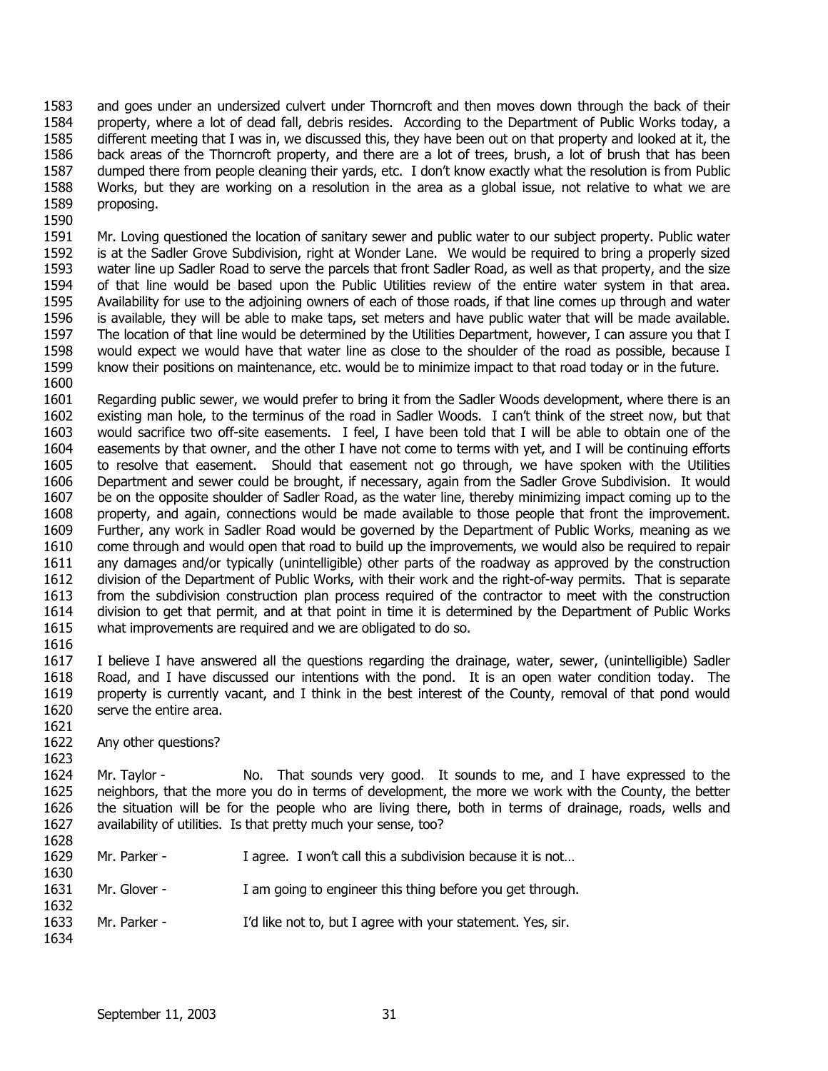1583 1584 1585 1586 1587 1588 1589 and goes under an undersized culvert under Thorncroft and then moves down through the back of their property, where a lot of dead fall, debris resides. According to the Department of Public Works today, a different meeting that I was in, we discussed this, they have been out on that property and looked at it, the back areas of the Thorncroft property, and there are a lot of trees, brush, a lot of brush that has been dumped there from people cleaning their yards, etc. I don't know exactly what the resolution is from Public Works, but they are working on a resolution in the area as a global issue, not relative to what we are proposing.

1591 1592 1593 1594 1595 1596 1597 1598 1599 1600 Mr. Loving questioned the location of sanitary sewer and public water to our subject property. Public water is at the Sadler Grove Subdivision, right at Wonder Lane. We would be required to bring a properly sized water line up Sadler Road to serve the parcels that front Sadler Road, as well as that property, and the size of that line would be based upon the Public Utilities review of the entire water system in that area. Availability for use to the adjoining owners of each of those roads, if that line comes up through and water is available, they will be able to make taps, set meters and have public water that will be made available. The location of that line would be determined by the Utilities Department, however, I can assure you that I would expect we would have that water line as close to the shoulder of the road as possible, because I know their positions on maintenance, etc. would be to minimize impact to that road today or in the future.

1601 1602 1603 1604 1605 1606 1607 1608 1609 1610 1611 1612 1613 1614 1615 1616 Regarding public sewer, we would prefer to bring it from the Sadler Woods development, where there is an existing man hole, to the terminus of the road in Sadler Woods. I can't think of the street now, but that would sacrifice two off-site easements. I feel, I have been told that I will be able to obtain one of the easements by that owner, and the other I have not come to terms with yet, and I will be continuing efforts to resolve that easement. Should that easement not go through, we have spoken with the Utilities Department and sewer could be brought, if necessary, again from the Sadler Grove Subdivision. It would be on the opposite shoulder of Sadler Road, as the water line, thereby minimizing impact coming up to the property, and again, connections would be made available to those people that front the improvement. Further, any work in Sadler Road would be governed by the Department of Public Works, meaning as we come through and would open that road to build up the improvements, we would also be required to repair any damages and/or typically (unintelligible) other parts of the roadway as approved by the construction division of the Department of Public Works, with their work and the right-of-way permits. That is separate from the subdivision construction plan process required of the contractor to meet with the construction division to get that permit, and at that point in time it is determined by the Department of Public Works what improvements are required and we are obligated to do so.

1617 1618 1619 1620 I believe I have answered all the questions regarding the drainage, water, sewer, (unintelligible) Sadler Road, and I have discussed our intentions with the pond. It is an open water condition today. The property is currently vacant, and I think in the best interest of the County, removal of that pond would serve the entire area.

1622 Any other questions?

1621

1590

1623 1624 1625 1626 1627 1628 Mr. Taylor - No. That sounds very good. It sounds to me, and I have expressed to the neighbors, that the more you do in terms of development, the more we work with the County, the better the situation will be for the people who are living there, both in terms of drainage, roads, wells and availability of utilities. Is that pretty much your sense, too?

1629 1630 1631 1632 1633 1634 Mr. Parker - I agree. I won't call this a subdivision because it is not... Mr. Glover - I am going to engineer this thing before you get through. Mr. Parker - I'd like not to, but I agree with your statement. Yes, sir.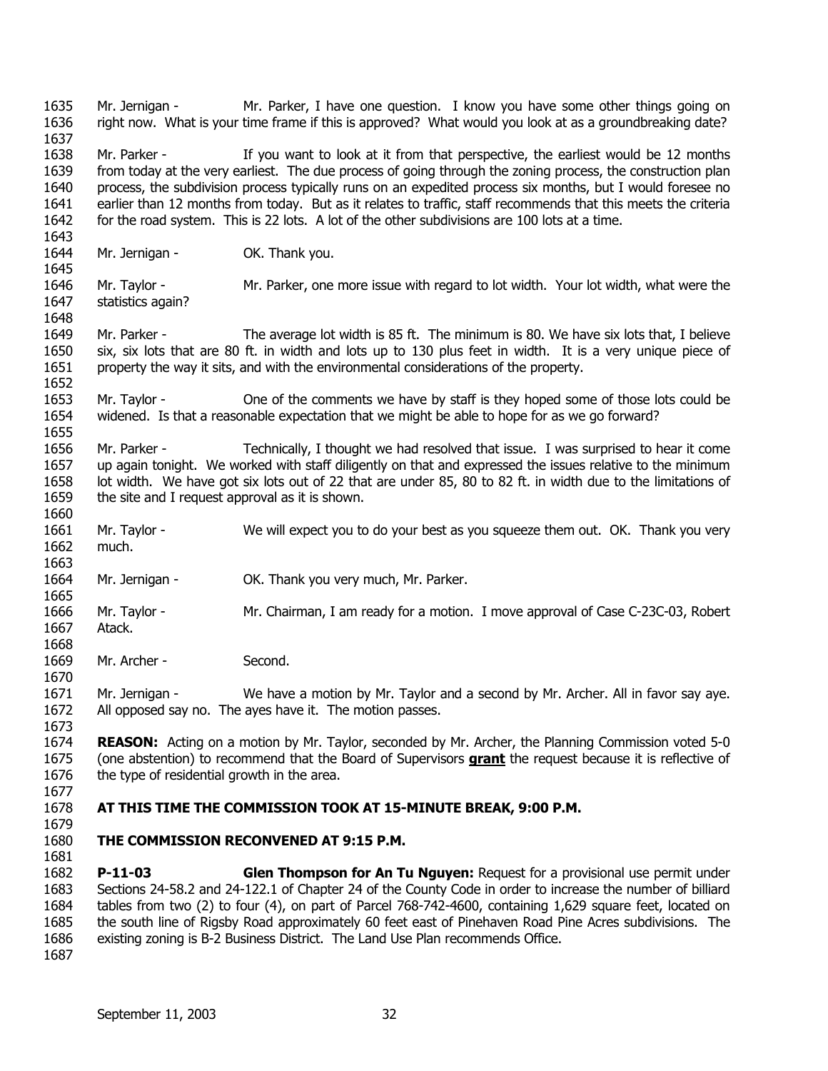1635 1636 1637 1638 1639 1640 1641 1642 1643 1644 1645 1646 1647 1648 1649 1650 1651 1652 1653 1654 1655 1656 1657 1658 1659 1660 1661 1662 1663 1664 1665 1666 1667 1668 1669 1670 1671 1672 1673 1674 Mr. Jernigan - Mr. Parker, I have one question. I know you have some other things going on right now. What is your time frame if this is approved? What would you look at as a groundbreaking date? Mr. Parker - If you want to look at it from that perspective, the earliest would be 12 months from today at the very earliest. The due process of going through the zoning process, the construction plan process, the subdivision process typically runs on an expedited process six months, but I would foresee no earlier than 12 months from today. But as it relates to traffic, staff recommends that this meets the criteria for the road system. This is 22 lots. A lot of the other subdivisions are 100 lots at a time. Mr. Jernigan - OK. Thank you. Mr. Taylor - Mr. Parker, one more issue with regard to lot width. Your lot width, what were the statistics again? Mr. Parker - The average lot width is 85 ft. The minimum is 80. We have six lots that, I believe six, six lots that are 80 ft. in width and lots up to 130 plus feet in width. It is a very unique piece of property the way it sits, and with the environmental considerations of the property. Mr. Taylor - One of the comments we have by staff is they hoped some of those lots could be widened. Is that a reasonable expectation that we might be able to hope for as we go forward? Mr. Parker - Technically, I thought we had resolved that issue. I was surprised to hear it come up again tonight. We worked with staff diligently on that and expressed the issues relative to the minimum lot width. We have got six lots out of 22 that are under 85, 80 to 82 ft. in width due to the limitations of the site and I request approval as it is shown. Mr. Taylor - We will expect you to do your best as you squeeze them out. OK. Thank you very much. Mr. Jernigan - OK. Thank you very much, Mr. Parker. Mr. Taylor - Mr. Chairman, I am ready for a motion. I move approval of Case C-23C-03, Robert Atack. Mr. Archer - Second. Mr. Jernigan - We have a motion by Mr. Taylor and a second by Mr. Archer. All in favor say aye. All opposed say no. The ayes have it. The motion passes. **REASON:** Acting on a motion by Mr. Taylor, seconded by Mr. Archer, the Planning Commission voted 5-0 (one abstention) to recommend that the Board of Supervisors **grant** the request because it is reflective of the type of residential growth in the area. 1675 1676 1677 1678 1679 1680 1681 1682 1683 1684 1685 1686 1687 **AT THIS TIME THE COMMISSION TOOK AT 15-MINUTE BREAK, 9:00 P.M. THE COMMISSION RECONVENED AT 9:15 P.M. P-11-03 Glen Thompson for An Tu Nguyen:** Request for a provisional use permit under Sections 24-58.2 and 24-122.1 of Chapter 24 of the County Code in order to increase the number of billiard tables from two (2) to four (4), on part of Parcel 768-742-4600, containing 1,629 square feet, located on the south line of Rigsby Road approximately 60 feet east of Pinehaven Road Pine Acres subdivisions. The existing zoning is B-2 Business District. The Land Use Plan recommends Office.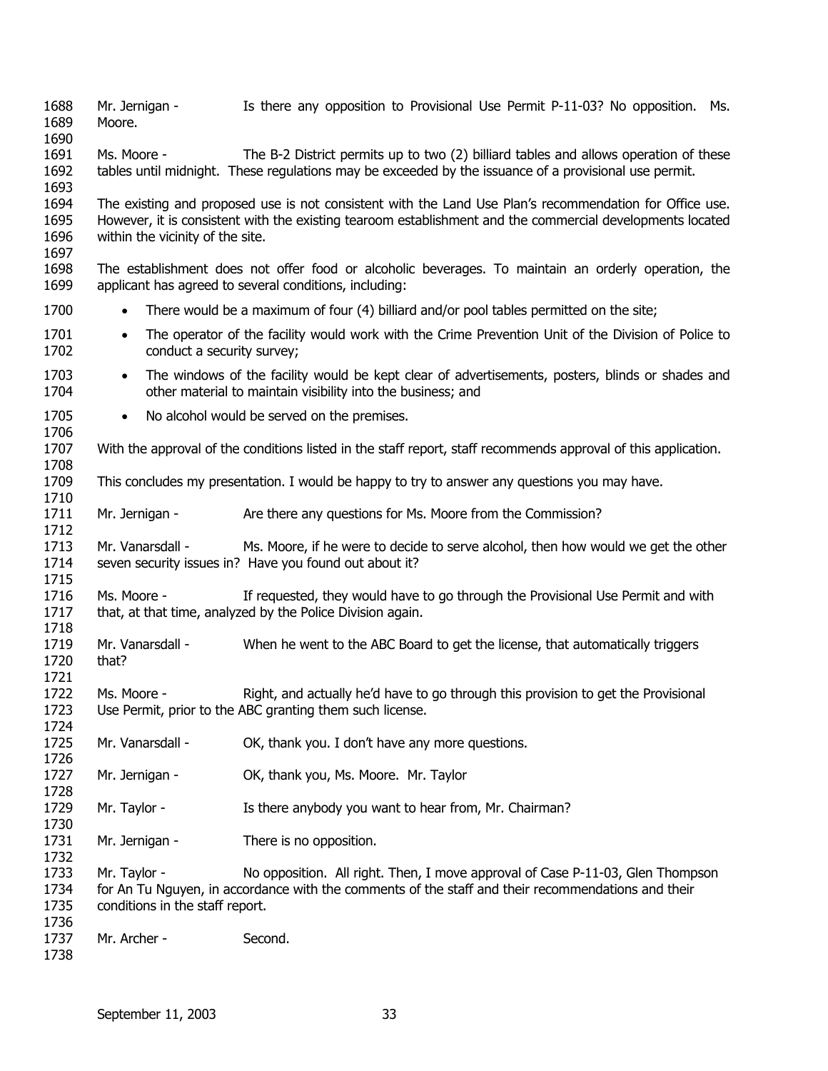1688 1689 1690 1691 1692 1693 1694 1695 1696 1697 1698 1699 1700 1701 1702 1703 1704 1705 1706 1707 1708 1709 1710 1711 1712 1713 1714 1715 1716 1717 1718 1719 1720 1721 1722 1723 1724 1725 1726 1727 1728 1729 1730 1731 1732 1733 1734 1735 1736 1737 1738 Mr. Jernigan - Is there any opposition to Provisional Use Permit P-11-03? No opposition. Ms. Moore. Ms. Moore - The B-2 District permits up to two (2) billiard tables and allows operation of these tables until midnight. These regulations may be exceeded by the issuance of a provisional use permit. The existing and proposed use is not consistent with the Land Use Plan's recommendation for Office use. However, it is consistent with the existing tearoom establishment and the commercial developments located within the vicinity of the site. The establishment does not offer food or alcoholic beverages. To maintain an orderly operation, the applicant has agreed to several conditions, including: • There would be a maximum of four (4) billiard and/or pool tables permitted on the site; • The operator of the facility would work with the Crime Prevention Unit of the Division of Police to conduct a security survey; • The windows of the facility would be kept clear of advertisements, posters, blinds or shades and other material to maintain visibility into the business; and • No alcohol would be served on the premises. With the approval of the conditions listed in the staff report, staff recommends approval of this application. This concludes my presentation. I would be happy to try to answer any questions you may have. Mr. Jernigan - Are there any questions for Ms. Moore from the Commission? Mr. Vanarsdall - Ms. Moore, if he were to decide to serve alcohol, then how would we get the other seven security issues in? Have you found out about it? Ms. Moore - If requested, they would have to go through the Provisional Use Permit and with that, at that time, analyzed by the Police Division again. Mr. Vanarsdall - When he went to the ABC Board to get the license, that automatically triggers that? Ms. Moore - Right, and actually he'd have to go through this provision to get the Provisional Use Permit, prior to the ABC granting them such license. Mr. Vanarsdall - OK, thank you. I don't have any more questions. Mr. Jernigan - **OK, thank you, Ms. Moore. Mr. Taylor** Mr. Taylor - Is there anybody you want to hear from, Mr. Chairman? Mr. Jernigan - There is no opposition. Mr. Taylor - No opposition. All right. Then, I move approval of Case P-11-03, Glen Thompson for An Tu Nguyen, in accordance with the comments of the staff and their recommendations and their conditions in the staff report. Mr. Archer - Second.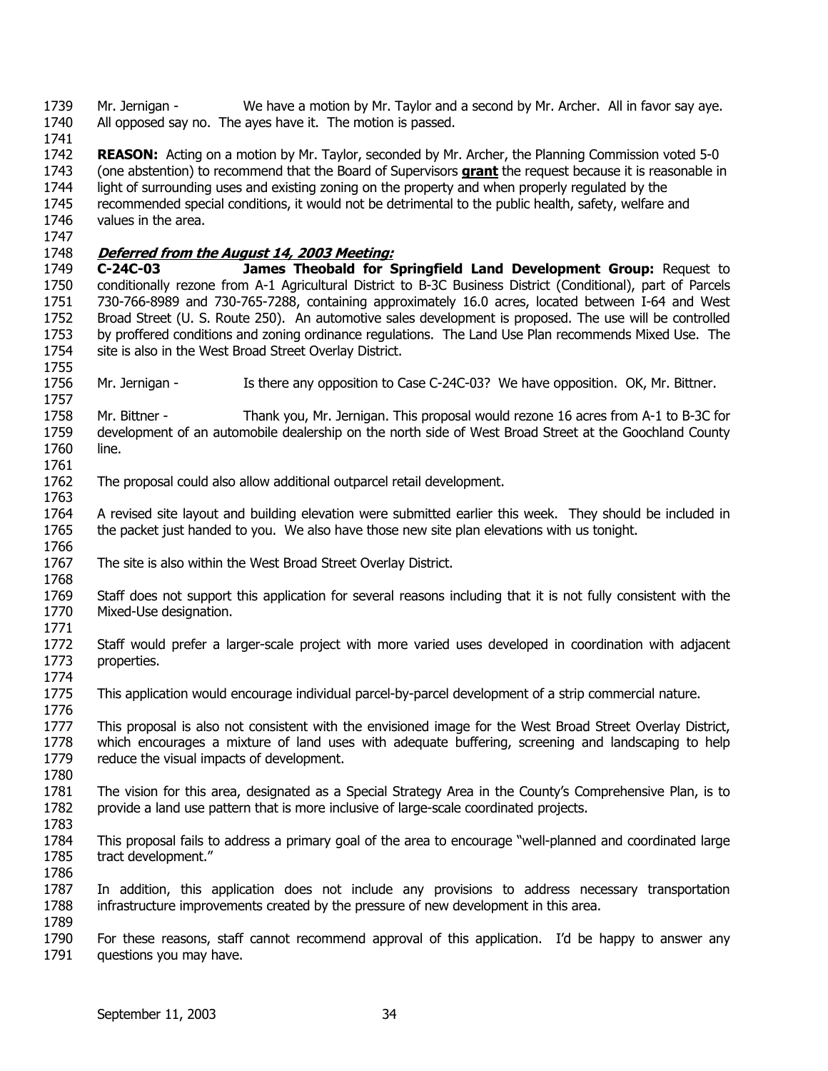1739 1740 Mr. Jernigan - We have a motion by Mr. Taylor and a second by Mr. Archer. All in favor say aye. All opposed say no. The ayes have it. The motion is passed.

1741

1747

1757

1742 **REASON:** Acting on a motion by Mr. Taylor, seconded by Mr. Archer, the Planning Commission voted 5-0 (one abstention) to recommend that the Board of Supervisors **grant** the request because it is reasonable in light of surrounding uses and existing zoning on the property and when properly regulated by the recommended special conditions, it would not be detrimental to the public health, safety, welfare and values in the area. 1743 1744 1745 1746

# 1748 **Deferred from the August 14, 2003 Meeting:**

1749 1750 1751 1752 1753 1754 1755 **C-24C-03 James Theobald for Springfield Land Development Group:** Request to conditionally rezone from A-1 Agricultural District to B-3C Business District (Conditional), part of Parcels 730-766-8989 and 730-765-7288, containing approximately 16.0 acres, located between I-64 and West Broad Street (U. S. Route 250). An automotive sales development is proposed. The use will be controlled by proffered conditions and zoning ordinance regulations. The Land Use Plan recommends Mixed Use. The site is also in the West Broad Street Overlay District.

1756 Mr. Jernigan - Is there any opposition to Case C-24C-03? We have opposition. OK, Mr. Bittner.

1758 1759 1760 1761 Mr. Bittner -Thank you, Mr. Jernigan. This proposal would rezone 16 acres from A-1 to B-3C for development of an automobile dealership on the north side of West Broad Street at the Goochland County line.

1762 1763 The proposal could also allow additional outparcel retail development.

1764 1765 1766 A revised site layout and building elevation were submitted earlier this week. They should be included in the packet just handed to you. We also have those new site plan elevations with us tonight.

1767 The site is also within the West Broad Street Overlay District.

1768 1769 1770 Staff does not support this application for several reasons including that it is not fully consistent with the Mixed-Use designation.

1771

1776

1780

1783

1772 1773 1774 Staff would prefer a larger-scale project with more varied uses developed in coordination with adjacent properties.

1775 This application would encourage individual parcel-by-parcel development of a strip commercial nature.

1777 1778 1779 This proposal is also not consistent with the envisioned image for the West Broad Street Overlay District, which encourages a mixture of land uses with adequate buffering, screening and landscaping to help reduce the visual impacts of development.

1781 1782 The vision for this area, designated as a Special Strategy Area in the County's Comprehensive Plan, is to provide a land use pattern that is more inclusive of large-scale coordinated projects.

1784 1785 1786 This proposal fails to address a primary goal of the area to encourage "well-planned and coordinated large tract development."

1787 1788 1789 In addition, this application does not include any provisions to address necessary transportation infrastructure improvements created by the pressure of new development in this area.

1790 1791 For these reasons, staff cannot recommend approval of this application. I'd be happy to answer any questions you may have.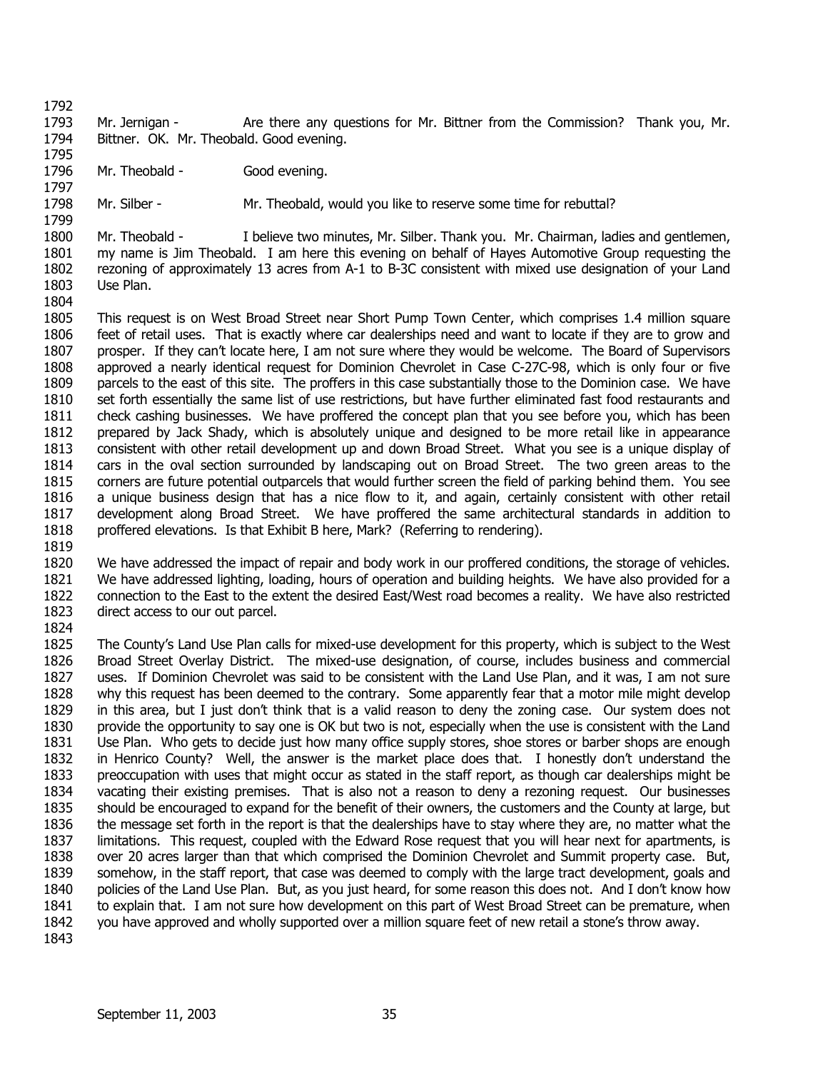1797

1793 1794 Mr. Jernigan - Are there any questions for Mr. Bittner from the Commission? Thank you, Mr. Bittner. OK. Mr. Theobald. Good evening.

1795 1796 Mr. Theobald - Good evening.

1798 1799 Mr. Silber - Mr. Theobald, would you like to reserve some time for rebuttal?

1800 1801 1802 1803 1804 Mr. Theobald - I believe two minutes, Mr. Silber. Thank you. Mr. Chairman, ladies and gentlemen, my name is Jim Theobald. I am here this evening on behalf of Hayes Automotive Group requesting the rezoning of approximately 13 acres from A-1 to B-3C consistent with mixed use designation of your Land Use Plan.

1805 1806 1807 1808 1809 1810 1811 1812 1813 1814 1815 1816 1817 1818 This request is on West Broad Street near Short Pump Town Center, which comprises 1.4 million square feet of retail uses. That is exactly where car dealerships need and want to locate if they are to grow and prosper. If they can't locate here, I am not sure where they would be welcome. The Board of Supervisors approved a nearly identical request for Dominion Chevrolet in Case C-27C-98, which is only four or five parcels to the east of this site. The proffers in this case substantially those to the Dominion case. We have set forth essentially the same list of use restrictions, but have further eliminated fast food restaurants and check cashing businesses. We have proffered the concept plan that you see before you, which has been prepared by Jack Shady, which is absolutely unique and designed to be more retail like in appearance consistent with other retail development up and down Broad Street. What you see is a unique display of cars in the oval section surrounded by landscaping out on Broad Street. The two green areas to the corners are future potential outparcels that would further screen the field of parking behind them. You see a unique business design that has a nice flow to it, and again, certainly consistent with other retail development along Broad Street. We have proffered the same architectural standards in addition to proffered elevations. Is that Exhibit B here, Mark? (Referring to rendering).

1819

1820 1821 1822 1823 We have addressed the impact of repair and body work in our proffered conditions, the storage of vehicles. We have addressed lighting, loading, hours of operation and building heights. We have also provided for a connection to the East to the extent the desired East/West road becomes a reality. We have also restricted direct access to our out parcel.

1824

1825 1826 1827 1828 1829 1830 1831 1832 1833 1834 1835 1836 1837 1838 1839 1840 1841 1842 1843 The County's Land Use Plan calls for mixed-use development for this property, which is subject to the West Broad Street Overlay District. The mixed-use designation, of course, includes business and commercial uses. If Dominion Chevrolet was said to be consistent with the Land Use Plan, and it was, I am not sure why this request has been deemed to the contrary. Some apparently fear that a motor mile might develop in this area, but I just don't think that is a valid reason to deny the zoning case. Our system does not provide the opportunity to say one is OK but two is not, especially when the use is consistent with the Land Use Plan. Who gets to decide just how many office supply stores, shoe stores or barber shops are enough in Henrico County? Well, the answer is the market place does that. I honestly don't understand the preoccupation with uses that might occur as stated in the staff report, as though car dealerships might be vacating their existing premises. That is also not a reason to deny a rezoning request. Our businesses should be encouraged to expand for the benefit of their owners, the customers and the County at large, but the message set forth in the report is that the dealerships have to stay where they are, no matter what the limitations. This request, coupled with the Edward Rose request that you will hear next for apartments, is over 20 acres larger than that which comprised the Dominion Chevrolet and Summit property case. But, somehow, in the staff report, that case was deemed to comply with the large tract development, goals and policies of the Land Use Plan. But, as you just heard, for some reason this does not. And I don't know how to explain that. I am not sure how development on this part of West Broad Street can be premature, when you have approved and wholly supported over a million square feet of new retail a stone's throw away.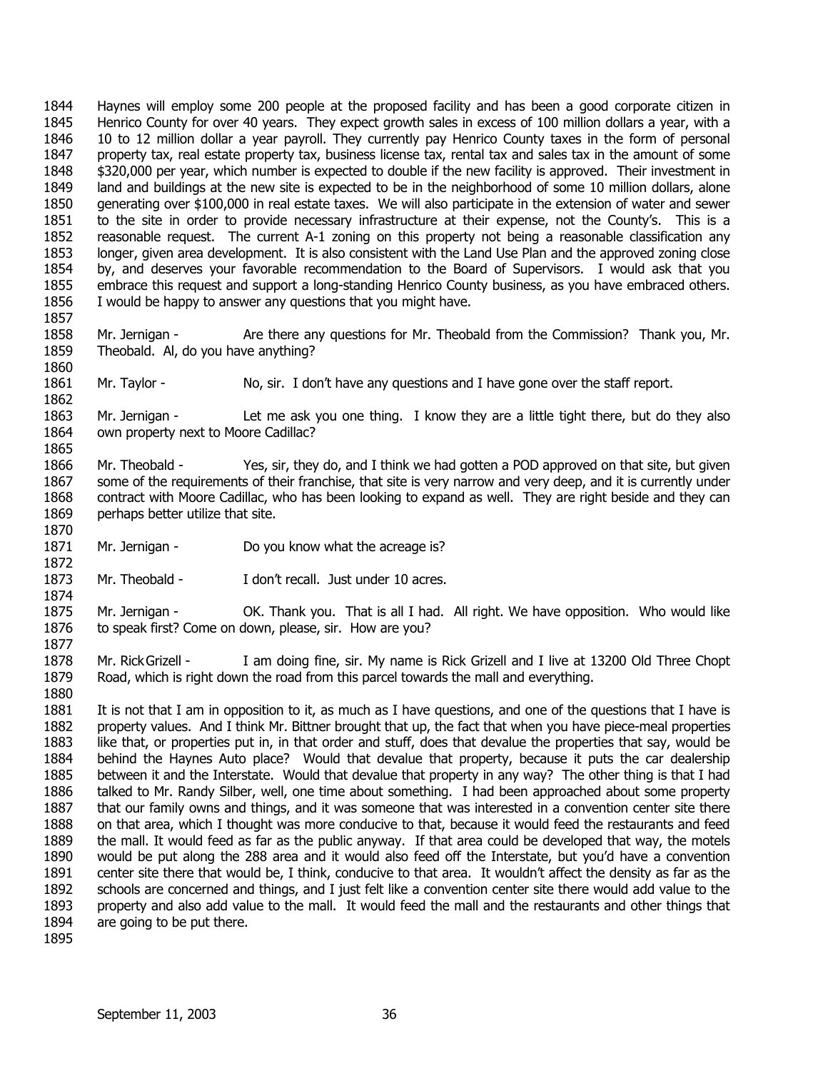1844 1845 1846 1847 1848 1849 1850 1851 1852 1853 1854 1855 1856 Haynes will employ some 200 people at the proposed facility and has been a good corporate citizen in Henrico County for over 40 years. They expect growth sales in excess of 100 million dollars a year, with a 10 to 12 million dollar a year payroll. They currently pay Henrico County taxes in the form of personal property tax, real estate property tax, business license tax, rental tax and sales tax in the amount of some \$320,000 per year, which number is expected to double if the new facility is approved. Their investment in land and buildings at the new site is expected to be in the neighborhood of some 10 million dollars, alone generating over \$100,000 in real estate taxes. We will also participate in the extension of water and sewer to the site in order to provide necessary infrastructure at their expense, not the County's. This is a reasonable request. The current A-1 zoning on this property not being a reasonable classification any longer, given area development. It is also consistent with the Land Use Plan and the approved zoning close by, and deserves your favorable recommendation to the Board of Supervisors. I would ask that you embrace this request and support a long-standing Henrico County business, as you have embraced others. I would be happy to answer any questions that you might have.

1858 1859 1860 Mr. Jernigan - Are there any questions for Mr. Theobald from the Commission? Thank you, Mr. Theobald. Al, do you have anything?

1861 Mr. Taylor - No, sir. I don't have any questions and I have gone over the staff report.

1863 1864 1865 Mr. Jernigan - Let me ask you one thing. I know they are a little tight there, but do they also own property next to Moore Cadillac?

1866 1867 1868 1869 1870 Mr. Theobald - Yes, sir, they do, and I think we had gotten a POD approved on that site, but given some of the requirements of their franchise, that site is very narrow and very deep, and it is currently under contract with Moore Cadillac, who has been looking to expand as well. They are right beside and they can perhaps better utilize that site.

- 1871 Mr. Jernigan - Do you know what the acreage is?
- 1873 Mr. Theobald - I don't recall. Just under 10 acres.

1875 1876 Mr. Jernigan - **OK. Thank you.** That is all I had. All right. We have opposition. Who would like to speak first? Come on down, please, sir. How are you?

1878 1879 1880 Mr. RickGrizell - I am doing fine, sir. My name is Rick Grizell and I live at 13200 Old Three Chopt Road, which is right down the road from this parcel towards the mall and everything.

1881 1882 1883 1884 1885 1886 1887 1888 1889 1890 1891 1892 1893 1894 It is not that I am in opposition to it, as much as I have questions, and one of the questions that I have is property values. And I think Mr. Bittner brought that up, the fact that when you have piece-meal properties like that, or properties put in, in that order and stuff, does that devalue the properties that say, would be behind the Haynes Auto place? Would that devalue that property, because it puts the car dealership between it and the Interstate. Would that devalue that property in any way? The other thing is that I had talked to Mr. Randy Silber, well, one time about something. I had been approached about some property that our family owns and things, and it was someone that was interested in a convention center site there on that area, which I thought was more conducive to that, because it would feed the restaurants and feed the mall. It would feed as far as the public anyway. If that area could be developed that way, the motels would be put along the 288 area and it would also feed off the Interstate, but you'd have a convention center site there that would be, I think, conducive to that area. It wouldn't affect the density as far as the schools are concerned and things, and I just felt like a convention center site there would add value to the property and also add value to the mall. It would feed the mall and the restaurants and other things that are going to be put there.

1895

1857

1862

1872

1874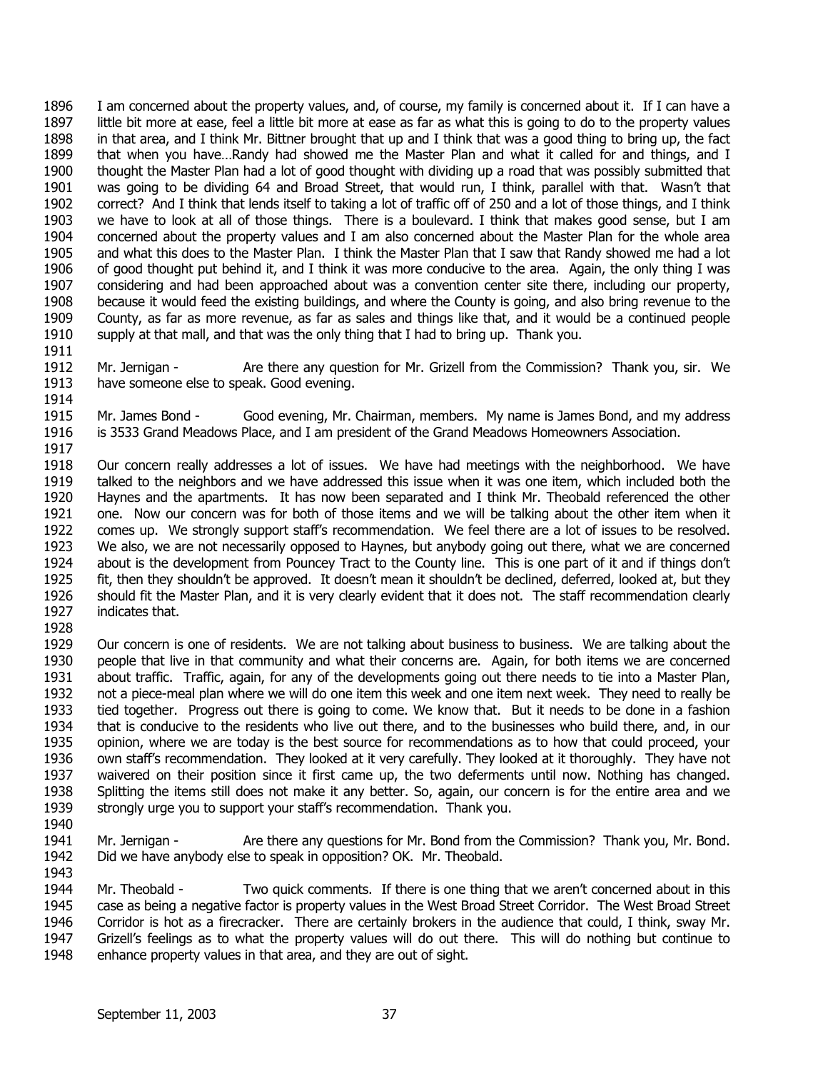1896 1897 1898 1899 1900 1901 1902 1903 1904 1905 1906 1907 1908 1909 1910 1911 I am concerned about the property values, and, of course, my family is concerned about it. If I can have a little bit more at ease, feel a little bit more at ease as far as what this is going to do to the property values in that area, and I think Mr. Bittner brought that up and I think that was a good thing to bring up, the fact that when you have…Randy had showed me the Master Plan and what it called for and things, and I thought the Master Plan had a lot of good thought with dividing up a road that was possibly submitted that was going to be dividing 64 and Broad Street, that would run, I think, parallel with that. Wasn't that correct? And I think that lends itself to taking a lot of traffic off of 250 and a lot of those things, and I think we have to look at all of those things. There is a boulevard. I think that makes good sense, but I am concerned about the property values and I am also concerned about the Master Plan for the whole area and what this does to the Master Plan. I think the Master Plan that I saw that Randy showed me had a lot of good thought put behind it, and I think it was more conducive to the area. Again, the only thing I was considering and had been approached about was a convention center site there, including our property, because it would feed the existing buildings, and where the County is going, and also bring revenue to the County, as far as more revenue, as far as sales and things like that, and it would be a continued people supply at that mall, and that was the only thing that I had to bring up. Thank you.

- 1912 1913 1914 Mr. Jernigan - Are there any question for Mr. Grizell from the Commission? Thank you, sir. We have someone else to speak. Good evening.
- 1915 1916 1917 Mr. James Bond - Good evening, Mr. Chairman, members. My name is James Bond, and my address is 3533 Grand Meadows Place, and I am president of the Grand Meadows Homeowners Association.
- 1918 1919 1920 1921 1922 1923 1924 1925 1926 1927 Our concern really addresses a lot of issues. We have had meetings with the neighborhood. We have talked to the neighbors and we have addressed this issue when it was one item, which included both the Haynes and the apartments. It has now been separated and I think Mr. Theobald referenced the other one. Now our concern was for both of those items and we will be talking about the other item when it comes up. We strongly support staff's recommendation. We feel there are a lot of issues to be resolved. We also, we are not necessarily opposed to Haynes, but anybody going out there, what we are concerned about is the development from Pouncey Tract to the County line. This is one part of it and if things don't fit, then they shouldn't be approved. It doesn't mean it shouldn't be declined, deferred, looked at, but they should fit the Master Plan, and it is very clearly evident that it does not. The staff recommendation clearly indicates that.
- 1928
- 1929 1930 1931 1932 1933 1934 1935 1936 1937 1938 1939 1940 Our concern is one of residents. We are not talking about business to business. We are talking about the people that live in that community and what their concerns are. Again, for both items we are concerned about traffic. Traffic, again, for any of the developments going out there needs to tie into a Master Plan, not a piece-meal plan where we will do one item this week and one item next week. They need to really be tied together. Progress out there is going to come. We know that. But it needs to be done in a fashion that is conducive to the residents who live out there, and to the businesses who build there, and, in our opinion, where we are today is the best source for recommendations as to how that could proceed, your own staff's recommendation. They looked at it very carefully. They looked at it thoroughly. They have not waivered on their position since it first came up, the two deferments until now. Nothing has changed. Splitting the items still does not make it any better. So, again, our concern is for the entire area and we strongly urge you to support your staff's recommendation. Thank you.
- 1941 1942 1943 Mr. Jernigan - Are there any questions for Mr. Bond from the Commission? Thank you, Mr. Bond. Did we have anybody else to speak in opposition? OK. Mr. Theobald.
- 1944 1945 1946 1947 1948 Mr. Theobald - Two quick comments. If there is one thing that we aren't concerned about in this case as being a negative factor is property values in the West Broad Street Corridor. The West Broad Street Corridor is hot as a firecracker. There are certainly brokers in the audience that could, I think, sway Mr. Grizell's feelings as to what the property values will do out there. This will do nothing but continue to enhance property values in that area, and they are out of sight.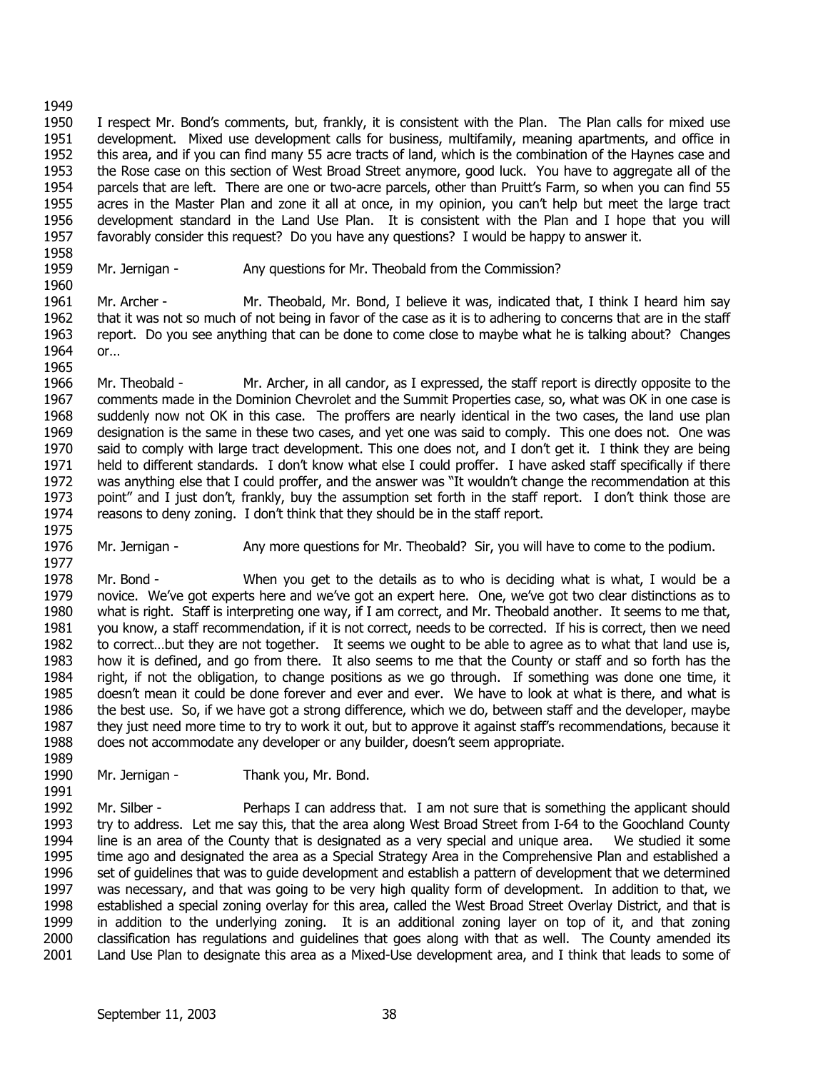1950 1951 1952 1953 1954 1955 1956 1957 I respect Mr. Bond's comments, but, frankly, it is consistent with the Plan. The Plan calls for mixed use development. Mixed use development calls for business, multifamily, meaning apartments, and office in this area, and if you can find many 55 acre tracts of land, which is the combination of the Haynes case and the Rose case on this section of West Broad Street anymore, good luck. You have to aggregate all of the parcels that are left. There are one or two-acre parcels, other than Pruitt's Farm, so when you can find 55 acres in the Master Plan and zone it all at once, in my opinion, you can't help but meet the large tract development standard in the Land Use Plan. It is consistent with the Plan and I hope that you will favorably consider this request? Do you have any questions? I would be happy to answer it.

1958 1959

1960

Mr. Jernigan - Any questions for Mr. Theobald from the Commission?

1961 1962 1963 1964 1965 Mr. Archer - Mr. Theobald, Mr. Bond, I believe it was, indicated that, I think I heard him say that it was not so much of not being in favor of the case as it is to adhering to concerns that are in the staff report. Do you see anything that can be done to come close to maybe what he is talking about? Changes or…

1966 1967 1968 1969 1970 1971 1972 1973 1974 1975 Mr. Theobald - Mr. Archer, in all candor, as I expressed, the staff report is directly opposite to the comments made in the Dominion Chevrolet and the Summit Properties case, so, what was OK in one case is suddenly now not OK in this case. The proffers are nearly identical in the two cases, the land use plan designation is the same in these two cases, and yet one was said to comply. This one does not. One was said to comply with large tract development. This one does not, and I don't get it. I think they are being held to different standards. I don't know what else I could proffer. I have asked staff specifically if there was anything else that I could proffer, and the answer was "It wouldn't change the recommendation at this point" and I just don't, frankly, buy the assumption set forth in the staff report. I don't think those are reasons to deny zoning. I don't think that they should be in the staff report.

1976 1977 Mr. Jernigan - Any more questions for Mr. Theobald? Sir, you will have to come to the podium.

1978 1979 1980 1981 1982 1983 1984 1985 1986 1987 1988 1989 Mr. Bond - When you get to the details as to who is deciding what is what, I would be a novice. We've got experts here and we've got an expert here. One, we've got two clear distinctions as to what is right. Staff is interpreting one way, if I am correct, and Mr. Theobald another. It seems to me that, you know, a staff recommendation, if it is not correct, needs to be corrected. If his is correct, then we need to correct…but they are not together. It seems we ought to be able to agree as to what that land use is, how it is defined, and go from there. It also seems to me that the County or staff and so forth has the right, if not the obligation, to change positions as we go through. If something was done one time, it doesn't mean it could be done forever and ever and ever. We have to look at what is there, and what is the best use. So, if we have got a strong difference, which we do, between staff and the developer, maybe they just need more time to try to work it out, but to approve it against staff's recommendations, because it does not accommodate any developer or any builder, doesn't seem appropriate.

1990 1991 Mr. Jernigan - Thank you, Mr. Bond.

1992 1993 1994 1995 1996 1997 1998 1999 2000 2001 Mr. Silber - Perhaps I can address that. I am not sure that is something the applicant should try to address. Let me say this, that the area along West Broad Street from I-64 to the Goochland County line is an area of the County that is designated as a very special and unique area. We studied it some time ago and designated the area as a Special Strategy Area in the Comprehensive Plan and established a set of guidelines that was to guide development and establish a pattern of development that we determined was necessary, and that was going to be very high quality form of development. In addition to that, we established a special zoning overlay for this area, called the West Broad Street Overlay District, and that is in addition to the underlying zoning. It is an additional zoning layer on top of it, and that zoning classification has regulations and guidelines that goes along with that as well. The County amended its Land Use Plan to designate this area as a Mixed-Use development area, and I think that leads to some of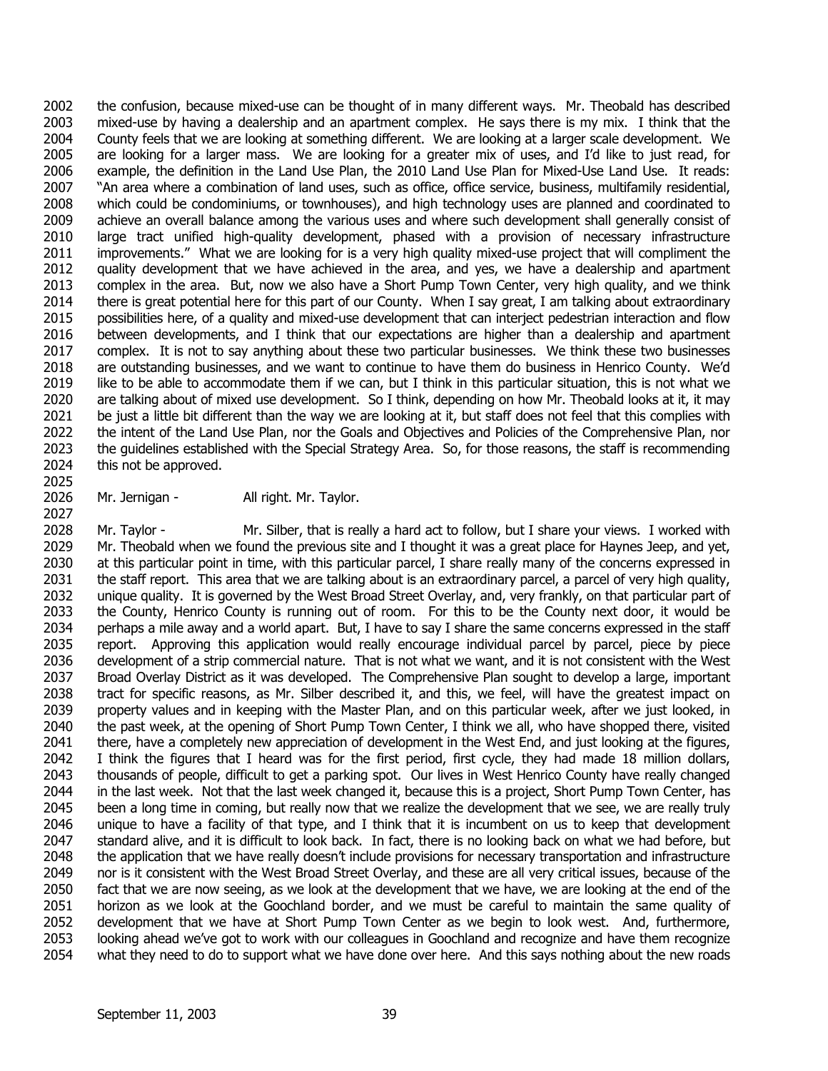2002 2003 2004 2005 2006 2007 2008 2009 2010 2011 2012 2013 2014 2015 2016 2017 2018 2019 2020 2021 2022 2023 2024 the confusion, because mixed-use can be thought of in many different ways. Mr. Theobald has described mixed-use by having a dealership and an apartment complex. He says there is my mix. I think that the County feels that we are looking at something different. We are looking at a larger scale development. We are looking for a larger mass. We are looking for a greater mix of uses, and I'd like to just read, for example, the definition in the Land Use Plan, the 2010 Land Use Plan for Mixed-Use Land Use. It reads: "An area where a combination of land uses, such as office, office service, business, multifamily residential, which could be condominiums, or townhouses), and high technology uses are planned and coordinated to achieve an overall balance among the various uses and where such development shall generally consist of large tract unified high-quality development, phased with a provision of necessary infrastructure improvements." What we are looking for is a very high quality mixed-use project that will compliment the quality development that we have achieved in the area, and yes, we have a dealership and apartment complex in the area. But, now we also have a Short Pump Town Center, very high quality, and we think there is great potential here for this part of our County. When I say great, I am talking about extraordinary possibilities here, of a quality and mixed-use development that can interject pedestrian interaction and flow between developments, and I think that our expectations are higher than a dealership and apartment complex. It is not to say anything about these two particular businesses. We think these two businesses are outstanding businesses, and we want to continue to have them do business in Henrico County. We'd like to be able to accommodate them if we can, but I think in this particular situation, this is not what we are talking about of mixed use development. So I think, depending on how Mr. Theobald looks at it, it may be just a little bit different than the way we are looking at it, but staff does not feel that this complies with the intent of the Land Use Plan, nor the Goals and Objectives and Policies of the Comprehensive Plan, nor the guidelines established with the Special Strategy Area. So, for those reasons, the staff is recommending this not be approved.

2026 Mr. Jernigan - All right. Mr. Taylor.

2025

2027

2028 2029 2030 2031 2032 2033 2034 2035 2036 2037 2038 2039 2040 2041 2042 2043 2044 2045 2046 2047 2048 2049 2050 2051 2052 2053 2054 Mr. Taylor - Mr. Silber, that is really a hard act to follow, but I share your views. I worked with Mr. Theobald when we found the previous site and I thought it was a great place for Haynes Jeep, and yet, at this particular point in time, with this particular parcel, I share really many of the concerns expressed in the staff report. This area that we are talking about is an extraordinary parcel, a parcel of very high quality, unique quality. It is governed by the West Broad Street Overlay, and, very frankly, on that particular part of the County, Henrico County is running out of room. For this to be the County next door, it would be perhaps a mile away and a world apart. But, I have to say I share the same concerns expressed in the staff report. Approving this application would really encourage individual parcel by parcel, piece by piece development of a strip commercial nature. That is not what we want, and it is not consistent with the West Broad Overlay District as it was developed. The Comprehensive Plan sought to develop a large, important tract for specific reasons, as Mr. Silber described it, and this, we feel, will have the greatest impact on property values and in keeping with the Master Plan, and on this particular week, after we just looked, in the past week, at the opening of Short Pump Town Center, I think we all, who have shopped there, visited there, have a completely new appreciation of development in the West End, and just looking at the figures, I think the figures that I heard was for the first period, first cycle, they had made 18 million dollars, thousands of people, difficult to get a parking spot. Our lives in West Henrico County have really changed in the last week. Not that the last week changed it, because this is a project, Short Pump Town Center, has been a long time in coming, but really now that we realize the development that we see, we are really truly unique to have a facility of that type, and I think that it is incumbent on us to keep that development standard alive, and it is difficult to look back. In fact, there is no looking back on what we had before, but the application that we have really doesn't include provisions for necessary transportation and infrastructure nor is it consistent with the West Broad Street Overlay, and these are all very critical issues, because of the fact that we are now seeing, as we look at the development that we have, we are looking at the end of the horizon as we look at the Goochland border, and we must be careful to maintain the same quality of development that we have at Short Pump Town Center as we begin to look west. And, furthermore, looking ahead we've got to work with our colleagues in Goochland and recognize and have them recognize what they need to do to support what we have done over here. And this says nothing about the new roads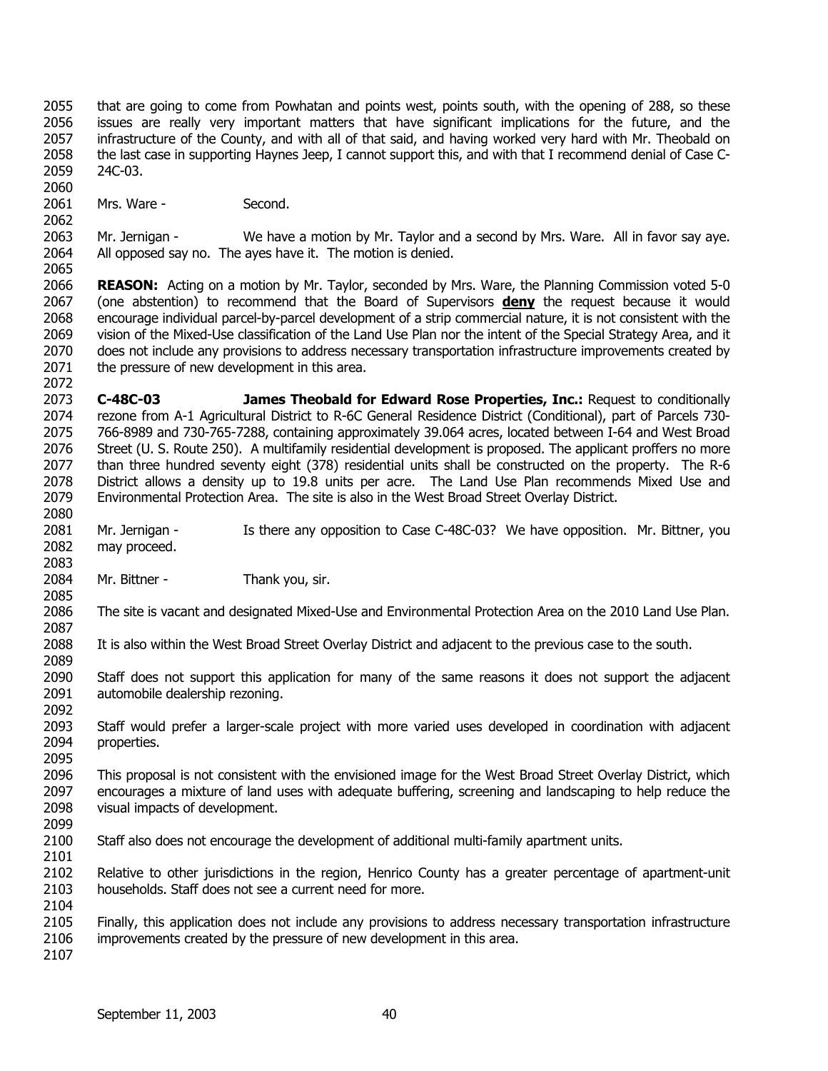2055 2056 2057 2058 2059 2060 that are going to come from Powhatan and points west, points south, with the opening of 288, so these issues are really very important matters that have significant implications for the future, and the infrastructure of the County, and with all of that said, and having worked very hard with Mr. Theobald on the last case in supporting Haynes Jeep, I cannot support this, and with that I recommend denial of Case C-24C-03.

2061 Mrs. Ware - Second.

2062

2065

2063 2064 Mr. Jernigan - We have a motion by Mr. Taylor and a second by Mrs. Ware. All in favor say aye. All opposed say no. The ayes have it. The motion is denied.

2066 **REASON:** Acting on a motion by Mr. Taylor, seconded by Mrs. Ware, the Planning Commission voted 5-0 (one abstention) to recommend that the Board of Supervisors **deny** the request because it would encourage individual parcel-by-parcel development of a strip commercial nature, it is not consistent with the vision of the Mixed-Use classification of the Land Use Plan nor the intent of the Special Strategy Area, and it does not include any provisions to address necessary transportation infrastructure improvements created by the pressure of new development in this area. 2067 2068 2069 2070 2071 2072

2073 2074 2075 2076 2077 2078 2079 2080 **C-48C-03 James Theobald for Edward Rose Properties, Inc.:** Request to conditionally rezone from A-1 Agricultural District to R-6C General Residence District (Conditional), part of Parcels 730- 766-8989 and 730-765-7288, containing approximately 39.064 acres, located between I-64 and West Broad Street (U. S. Route 250). A multifamily residential development is proposed. The applicant proffers no more than three hundred seventy eight (378) residential units shall be constructed on the property. The R-6 District allows a density up to 19.8 units per acre. The Land Use Plan recommends Mixed Use and Environmental Protection Area. The site is also in the West Broad Street Overlay District.

2081 2082 2083 Mr. Jernigan - Is there any opposition to Case C-48C-03? We have opposition. Mr. Bittner, you may proceed.

2084 Mr. Bittner - Thank you, sir. 2085

2086 The site is vacant and designated Mixed-Use and Environmental Protection Area on the 2010 Land Use Plan.

2088 It is also within the West Broad Street Overlay District and adjacent to the previous case to the south.

2090 2091 Staff does not support this application for many of the same reasons it does not support the adjacent automobile dealership rezoning.

2093 2094 Staff would prefer a larger-scale project with more varied uses developed in coordination with adjacent properties.

2096 2097 2098 This proposal is not consistent with the envisioned image for the West Broad Street Overlay District, which encourages a mixture of land uses with adequate buffering, screening and landscaping to help reduce the visual impacts of development.

2100 Staff also does not encourage the development of additional multi-family apartment units.

2102 2103 2104 Relative to other jurisdictions in the region, Henrico County has a greater percentage of apartment-unit households. Staff does not see a current need for more.

2105 2106 Finally, this application does not include any provisions to address necessary transportation infrastructure improvements created by the pressure of new development in this area.

2107

2087

2089

2092

2095

2099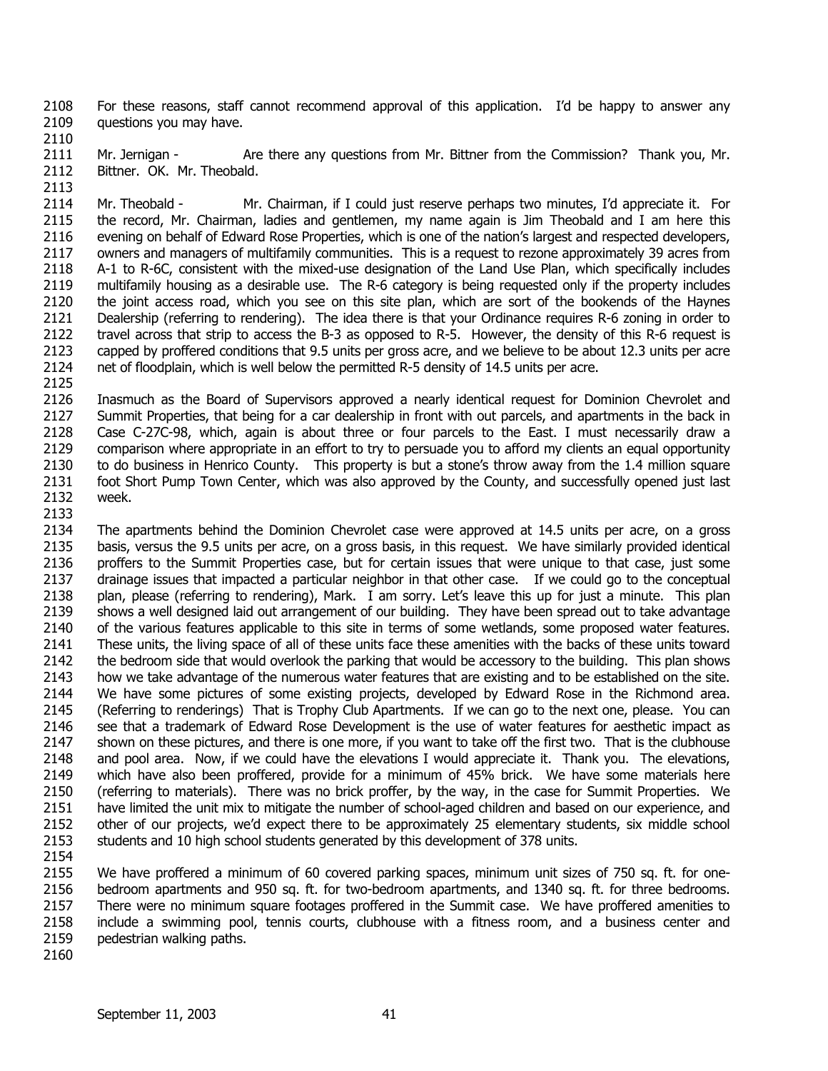2108 2109 For these reasons, staff cannot recommend approval of this application. I'd be happy to answer any questions you may have.

2110

2111 2112 2113 Mr. Jernigan - Are there any questions from Mr. Bittner from the Commission? Thank you, Mr. Bittner. OK. Mr. Theobald.

2114 2115 2116 2117 2118 2119 2120 2121 2122 2123 2124 Mr. Theobald - Mr. Chairman, if I could just reserve perhaps two minutes, I'd appreciate it. For the record, Mr. Chairman, ladies and gentlemen, my name again is Jim Theobald and I am here this evening on behalf of Edward Rose Properties, which is one of the nation's largest and respected developers, owners and managers of multifamily communities. This is a request to rezone approximately 39 acres from A-1 to R-6C, consistent with the mixed-use designation of the Land Use Plan, which specifically includes multifamily housing as a desirable use. The R-6 category is being requested only if the property includes the joint access road, which you see on this site plan, which are sort of the bookends of the Haynes Dealership (referring to rendering). The idea there is that your Ordinance requires R-6 zoning in order to travel across that strip to access the B-3 as opposed to R-5. However, the density of this R-6 request is capped by proffered conditions that 9.5 units per gross acre, and we believe to be about 12.3 units per acre net of floodplain, which is well below the permitted R-5 density of 14.5 units per acre.

2125

2126 2127 2128 2129 2130 2131 2132 2133 Inasmuch as the Board of Supervisors approved a nearly identical request for Dominion Chevrolet and Summit Properties, that being for a car dealership in front with out parcels, and apartments in the back in Case C-27C-98, which, again is about three or four parcels to the East. I must necessarily draw a comparison where appropriate in an effort to try to persuade you to afford my clients an equal opportunity to do business in Henrico County. This property is but a stone's throw away from the 1.4 million square foot Short Pump Town Center, which was also approved by the County, and successfully opened just last week.

2134 2135 2136 2137 2138 2139 2140 2141 2142 2143 2144 2145 2146 2147 2148 2149 2150 2151 2152 2153 The apartments behind the Dominion Chevrolet case were approved at 14.5 units per acre, on a gross basis, versus the 9.5 units per acre, on a gross basis, in this request. We have similarly provided identical proffers to the Summit Properties case, but for certain issues that were unique to that case, just some drainage issues that impacted a particular neighbor in that other case. If we could go to the conceptual plan, please (referring to rendering), Mark. I am sorry. Let's leave this up for just a minute. This plan shows a well designed laid out arrangement of our building. They have been spread out to take advantage of the various features applicable to this site in terms of some wetlands, some proposed water features. These units, the living space of all of these units face these amenities with the backs of these units toward the bedroom side that would overlook the parking that would be accessory to the building. This plan shows how we take advantage of the numerous water features that are existing and to be established on the site. We have some pictures of some existing projects, developed by Edward Rose in the Richmond area. (Referring to renderings) That is Trophy Club Apartments. If we can go to the next one, please. You can see that a trademark of Edward Rose Development is the use of water features for aesthetic impact as shown on these pictures, and there is one more, if you want to take off the first two. That is the clubhouse and pool area. Now, if we could have the elevations I would appreciate it. Thank you. The elevations, which have also been proffered, provide for a minimum of 45% brick. We have some materials here (referring to materials). There was no brick proffer, by the way, in the case for Summit Properties. We have limited the unit mix to mitigate the number of school-aged children and based on our experience, and other of our projects, we'd expect there to be approximately 25 elementary students, six middle school students and 10 high school students generated by this development of 378 units.

2154

2155 2156 2157 2158 2159 2160 We have proffered a minimum of 60 covered parking spaces, minimum unit sizes of 750 sq. ft. for onebedroom apartments and 950 sq. ft. for two-bedroom apartments, and 1340 sq. ft. for three bedrooms. There were no minimum square footages proffered in the Summit case. We have proffered amenities to include a swimming pool, tennis courts, clubhouse with a fitness room, and a business center and pedestrian walking paths.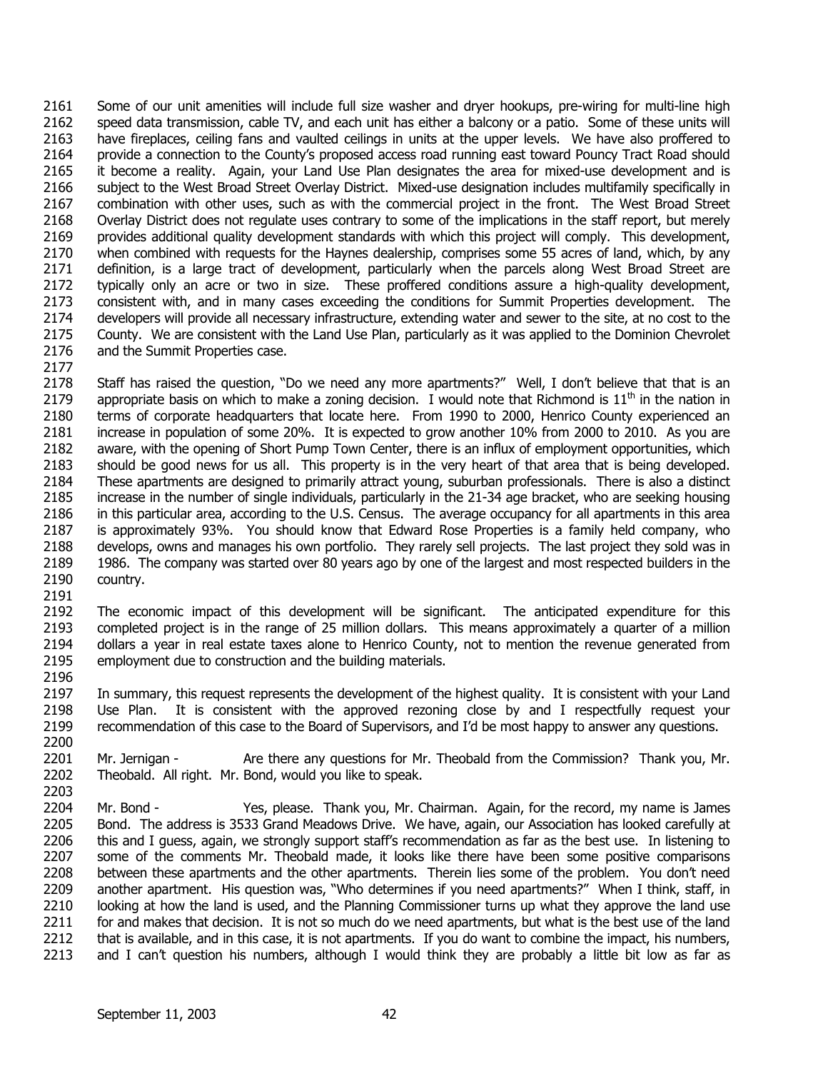2161 2162 2163 2164 2165 2166 2167 2168 2169 2170 2171 2172 2173 2174 2175 2176 2177 Some of our unit amenities will include full size washer and dryer hookups, pre-wiring for multi-line high speed data transmission, cable TV, and each unit has either a balcony or a patio. Some of these units will have fireplaces, ceiling fans and vaulted ceilings in units at the upper levels. We have also proffered to provide a connection to the County's proposed access road running east toward Pouncy Tract Road should it become a reality. Again, your Land Use Plan designates the area for mixed-use development and is subject to the West Broad Street Overlay District. Mixed-use designation includes multifamily specifically in combination with other uses, such as with the commercial project in the front. The West Broad Street Overlay District does not regulate uses contrary to some of the implications in the staff report, but merely provides additional quality development standards with which this project will comply. This development, when combined with requests for the Haynes dealership, comprises some 55 acres of land, which, by any definition, is a large tract of development, particularly when the parcels along West Broad Street are typically only an acre or two in size. These proffered conditions assure a high-quality development, consistent with, and in many cases exceeding the conditions for Summit Properties development. The developers will provide all necessary infrastructure, extending water and sewer to the site, at no cost to the County. We are consistent with the Land Use Plan, particularly as it was applied to the Dominion Chevrolet and the Summit Properties case.

2178 2179 2180 2181 2182 2183 2184 2185 2186 2187 2188 2189 2190 2191 Staff has raised the question, "Do we need any more apartments?" Well, I don't believe that that is an appropriate basis on which to make a zoning decision. I would note that Richmond is  $11<sup>th</sup>$  in the nation in terms of corporate headquarters that locate here. From 1990 to 2000, Henrico County experienced an increase in population of some 20%. It is expected to grow another 10% from 2000 to 2010. As you are aware, with the opening of Short Pump Town Center, there is an influx of employment opportunities, which should be good news for us all. This property is in the very heart of that area that is being developed. These apartments are designed to primarily attract young, suburban professionals. There is also a distinct increase in the number of single individuals, particularly in the 21-34 age bracket, who are seeking housing in this particular area, according to the U.S. Census. The average occupancy for all apartments in this area is approximately 93%. You should know that Edward Rose Properties is a family held company, who develops, owns and manages his own portfolio. They rarely sell projects. The last project they sold was in 1986. The company was started over 80 years ago by one of the largest and most respected builders in the country.

2192 2193 2194 2195 2196 The economic impact of this development will be significant. The anticipated expenditure for this completed project is in the range of 25 million dollars. This means approximately a quarter of a million dollars a year in real estate taxes alone to Henrico County, not to mention the revenue generated from employment due to construction and the building materials.

2197 2198 2199 2200 In summary, this request represents the development of the highest quality. It is consistent with your Land Use Plan. It is consistent with the approved rezoning close by and I respectfully request your recommendation of this case to the Board of Supervisors, and I'd be most happy to answer any questions.

2201 2202 2203 Mr. Jernigan - Are there any questions for Mr. Theobald from the Commission? Thank you, Mr. Theobald. All right. Mr. Bond, would you like to speak.

2204 2205 2206 2207 2208 2209 2210 2211 2212 2213 Mr. Bond - Yes, please. Thank you, Mr. Chairman. Again, for the record, my name is James Bond. The address is 3533 Grand Meadows Drive. We have, again, our Association has looked carefully at this and I guess, again, we strongly support staff's recommendation as far as the best use. In listening to some of the comments Mr. Theobald made, it looks like there have been some positive comparisons between these apartments and the other apartments. Therein lies some of the problem. You don't need another apartment. His question was, "Who determines if you need apartments?" When I think, staff, in looking at how the land is used, and the Planning Commissioner turns up what they approve the land use for and makes that decision. It is not so much do we need apartments, but what is the best use of the land that is available, and in this case, it is not apartments. If you do want to combine the impact, his numbers, and I can't question his numbers, although I would think they are probably a little bit low as far as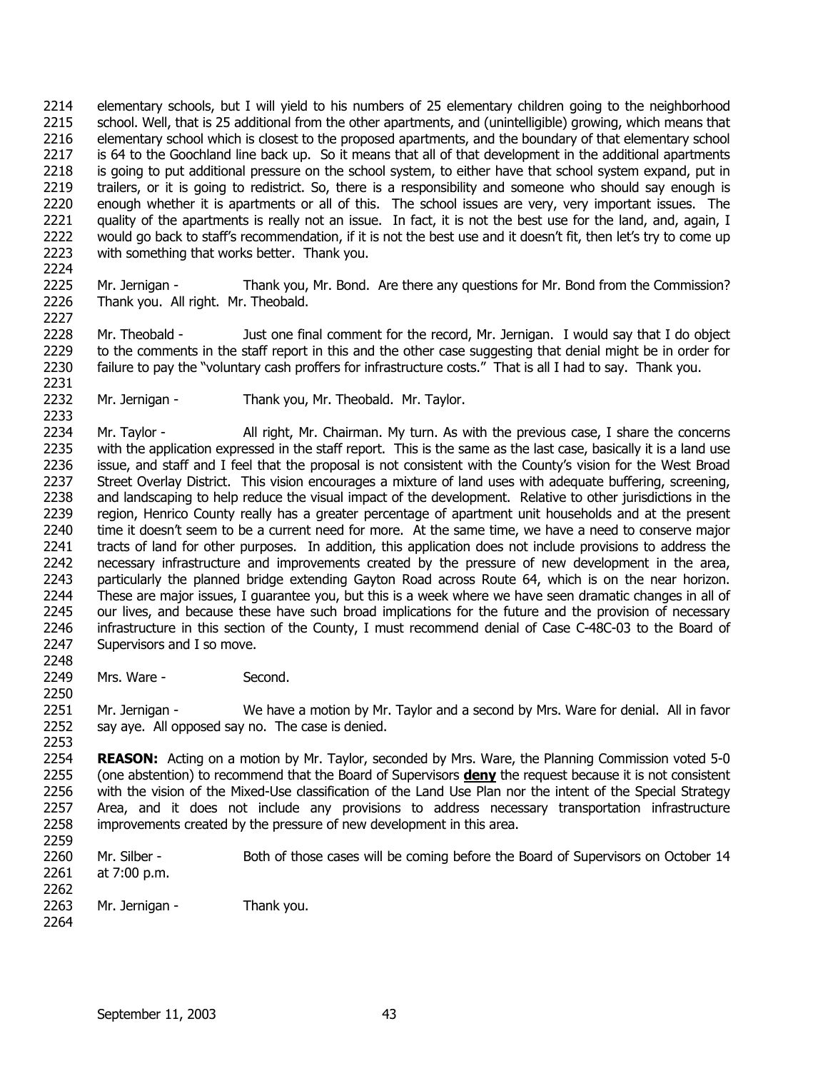2214 2215 2216 2217 2218 2219 2220 2221 2222 2223 2224 elementary schools, but I will yield to his numbers of 25 elementary children going to the neighborhood school. Well, that is 25 additional from the other apartments, and (unintelligible) growing, which means that elementary school which is closest to the proposed apartments, and the boundary of that elementary school is 64 to the Goochland line back up. So it means that all of that development in the additional apartments is going to put additional pressure on the school system, to either have that school system expand, put in trailers, or it is going to redistrict. So, there is a responsibility and someone who should say enough is enough whether it is apartments or all of this. The school issues are very, very important issues. The quality of the apartments is really not an issue. In fact, it is not the best use for the land, and, again, I would go back to staff's recommendation, if it is not the best use and it doesn't fit, then let's try to come up with something that works better. Thank you.

2225 2226 Mr. Jernigan - Thank you, Mr. Bond. Are there any questions for Mr. Bond from the Commission? Thank you. All right. Mr. Theobald.

2228 2229 2230 2231 Mr. Theobald - Just one final comment for the record, Mr. Jernigan. I would say that I do object to the comments in the staff report in this and the other case suggesting that denial might be in order for failure to pay the "voluntary cash proffers for infrastructure costs." That is all I had to say. Thank you.

2232 Mr. Jernigan - Thank you, Mr. Theobald. Mr. Taylor.

2233 2234 2235 2236 2237 2238 2239 2240 2241 2242 2243 2244 2245 2246 2247 Mr. Taylor - All right, Mr. Chairman. My turn. As with the previous case, I share the concerns with the application expressed in the staff report. This is the same as the last case, basically it is a land use issue, and staff and I feel that the proposal is not consistent with the County's vision for the West Broad Street Overlay District. This vision encourages a mixture of land uses with adequate buffering, screening, and landscaping to help reduce the visual impact of the development. Relative to other jurisdictions in the region, Henrico County really has a greater percentage of apartment unit households and at the present time it doesn't seem to be a current need for more. At the same time, we have a need to conserve major tracts of land for other purposes. In addition, this application does not include provisions to address the necessary infrastructure and improvements created by the pressure of new development in the area, particularly the planned bridge extending Gayton Road across Route 64, which is on the near horizon. These are major issues, I guarantee you, but this is a week where we have seen dramatic changes in all of our lives, and because these have such broad implications for the future and the provision of necessary infrastructure in this section of the County, I must recommend denial of Case C-48C-03 to the Board of Supervisors and I so move.

2248

2250

2227

2249 Mrs. Ware - Second.

2251 2252 2253 Mr. Jernigan - We have a motion by Mr. Taylor and a second by Mrs. Ware for denial. All in favor say aye. All opposed say no. The case is denied.

2254 **REASON:** Acting on a motion by Mr. Taylor, seconded by Mrs. Ware, the Planning Commission voted 5-0 (one abstention) to recommend that the Board of Supervisors **deny** the request because it is not consistent with the vision of the Mixed-Use classification of the Land Use Plan nor the intent of the Special Strategy Area, and it does not include any provisions to address necessary transportation infrastructure improvements created by the pressure of new development in this area. 2255 2256 2257 2258

2259 2260

Mr. Silber - Both of those cases will be coming before the Board of Supervisors on October 14

- 2261 2262 at 7:00 p.m.
- 2263 Mr. Jernigan - Thank you.
- 2264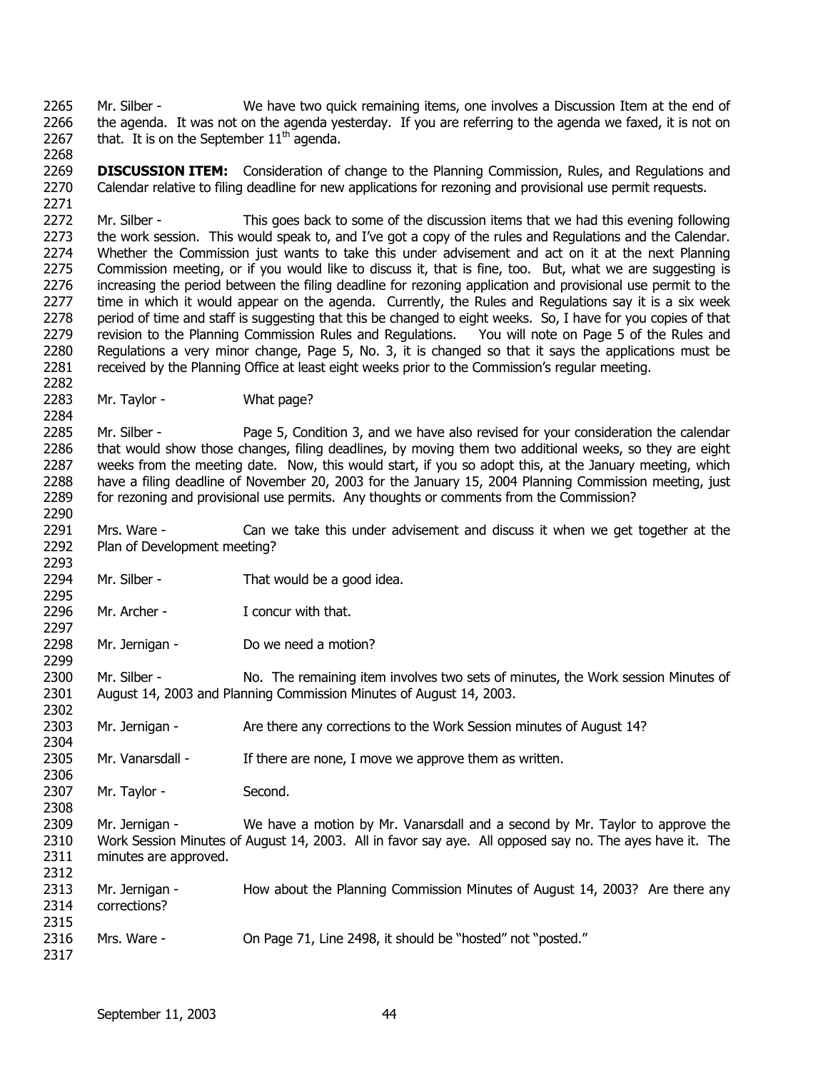Mr. Silber - We have two quick remaining items, one involves a Discussion Item at the end of the agenda. It was not on the agenda yesterday. If you are referring to the agenda we faxed, it is not on that. It is on the September  $11<sup>th</sup>$  agenda. 2265 2266 2267

2269 2270 2271 **DISCUSSION ITEM:** Consideration of change to the Planning Commission, Rules, and Regulations and Calendar relative to filing deadline for new applications for rezoning and provisional use permit requests.

2272 2273 2274 2275 2276 2277 2278 2279 2280 2281 Mr. Silber - This goes back to some of the discussion items that we had this evening following the work session. This would speak to, and I've got a copy of the rules and Regulations and the Calendar. Whether the Commission just wants to take this under advisement and act on it at the next Planning Commission meeting, or if you would like to discuss it, that is fine, too. But, what we are suggesting is increasing the period between the filing deadline for rezoning application and provisional use permit to the time in which it would appear on the agenda. Currently, the Rules and Regulations say it is a six week period of time and staff is suggesting that this be changed to eight weeks. So, I have for you copies of that revision to the Planning Commission Rules and Regulations. You will note on Page 5 of the Rules and Regulations a very minor change, Page 5, No. 3, it is changed so that it says the applications must be received by the Planning Office at least eight weeks prior to the Commission's regular meeting.

2283 Mr. Taylor - What page?

2268

2282

2284

2290

2293

2295

2297

2299

2304

2306

2308

2317

2285 2286 2287 2288 2289 Mr. Silber - Page 5, Condition 3, and we have also revised for your consideration the calendar that would show those changes, filing deadlines, by moving them two additional weeks, so they are eight weeks from the meeting date. Now, this would start, if you so adopt this, at the January meeting, which have a filing deadline of November 20, 2003 for the January 15, 2004 Planning Commission meeting, just for rezoning and provisional use permits. Any thoughts or comments from the Commission?

2291 2292 Mrs. Ware - Can we take this under advisement and discuss it when we get together at the Plan of Development meeting?

- 2294 Mr. Silber - That would be a good idea.
- 2296 Mr. Archer - T concur with that.
- 2298 Mr. Jernigan - Do we need a motion?

2300 2301 2302 Mr. Silber - No. The remaining item involves two sets of minutes, the Work session Minutes of August 14, 2003 and Planning Commission Minutes of August 14, 2003.

2303 Mr. Jernigan - Are there any corrections to the Work Session minutes of August 14?

2305 Mr. Vanarsdall - If there are none, I move we approve them as written.

2307 Mr. Taylor - Second.

2309 2310 2311 2312 Mr. Jernigan - We have a motion by Mr. Vanarsdall and a second by Mr. Taylor to approve the Work Session Minutes of August 14, 2003. All in favor say aye. All opposed say no. The ayes have it. The minutes are approved.

2313 2314 2315 2316 Mr. Jernigan - How about the Planning Commission Minutes of August 14, 2003? Are there any corrections? Mrs. Ware - On Page 71, Line 2498, it should be "hosted" not "posted."